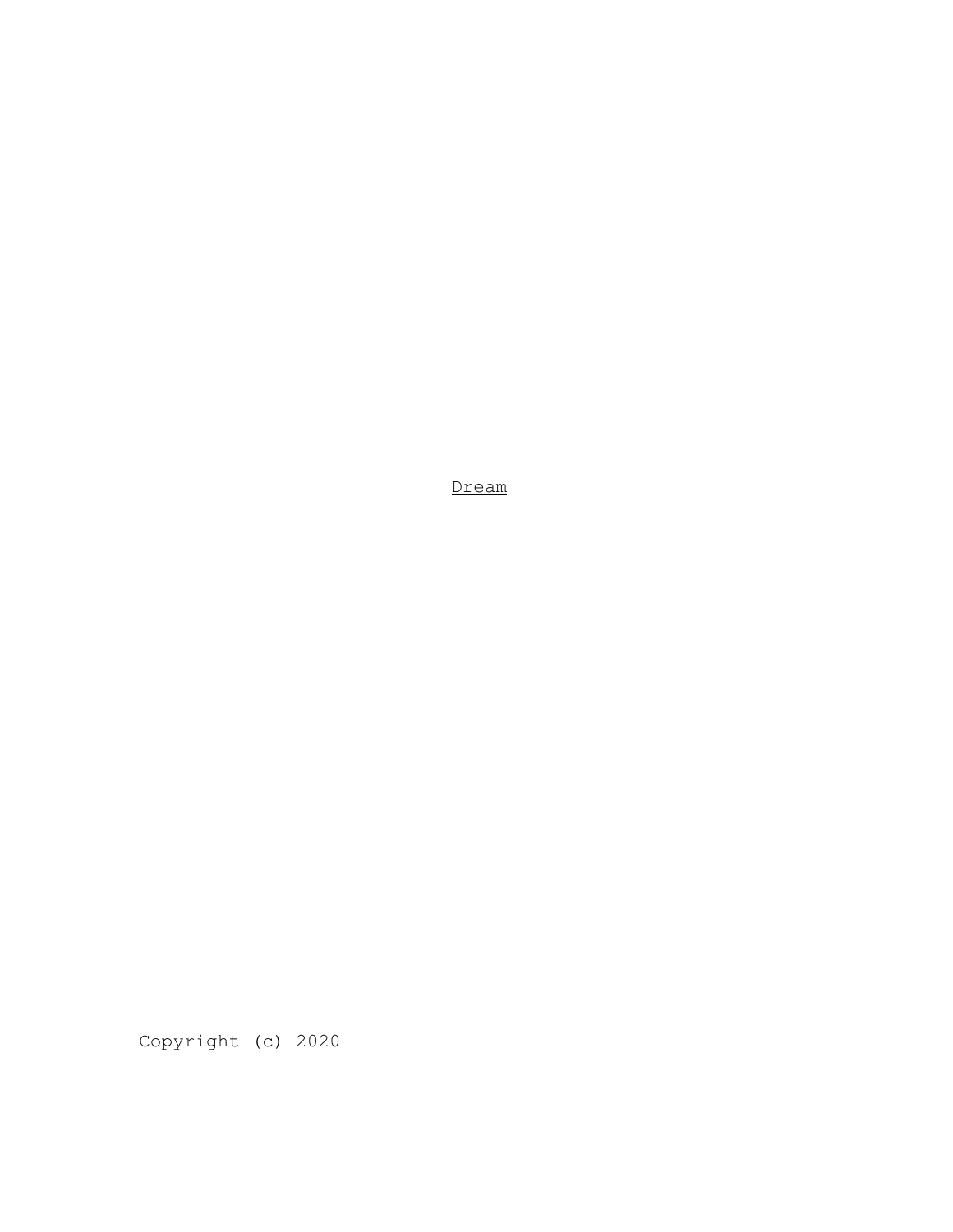Dream

Copyright (c) 2020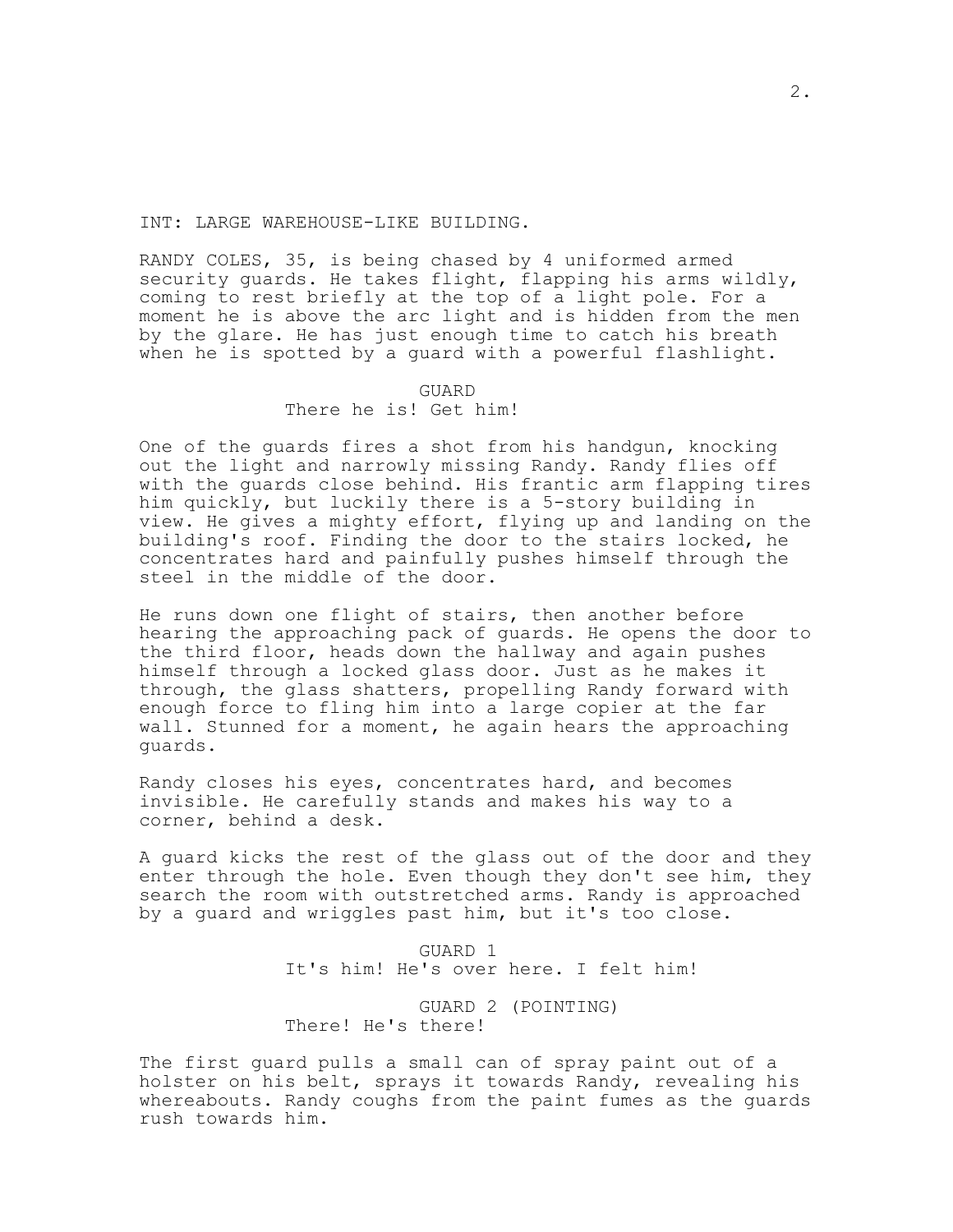INT: LARGE WAREHOUSE-LIKE BUILDING.

RANDY COLES, 35, is being chased by 4 uniformed armed security guards. He takes flight, flapping his arms wildly, coming to rest briefly at the top of a light pole. For a moment he is above the arc light and is hidden from the men by the glare. He has just enough time to catch his breath when he is spotted by a guard with a powerful flashlight.

> GUARD There he is! Get him!

One of the guards fires a shot from his handgun, knocking out the light and narrowly missing Randy. Randy flies off with the guards close behind. His frantic arm flapping tires him quickly, but luckily there is a 5-story building in view. He gives a mighty effort, flying up and landing on the building's roof. Finding the door to the stairs locked, he concentrates hard and painfully pushes himself through the steel in the middle of the door.

He runs down one flight of stairs, then another before hearing the approaching pack of guards. He opens the door to the third floor, heads down the hallway and again pushes himself through a locked glass door. Just as he makes it through, the glass shatters, propelling Randy forward with enough force to fling him into a large copier at the far wall. Stunned for a moment, he again hears the approaching guards.

Randy closes his eyes, concentrates hard, and becomes invisible. He carefully stands and makes his way to a corner, behind a desk.

A guard kicks the rest of the glass out of the door and they enter through the hole. Even though they don't see him, they search the room with outstretched arms. Randy is approached by a guard and wriggles past him, but it's too close.

> GUARD 1 It's him! He's over here. I felt him!

GUARD 2 (POINTING) There! He's there!

The first guard pulls a small can of spray paint out of a holster on his belt, sprays it towards Randy, revealing his whereabouts. Randy coughs from the paint fumes as the guards rush towards him.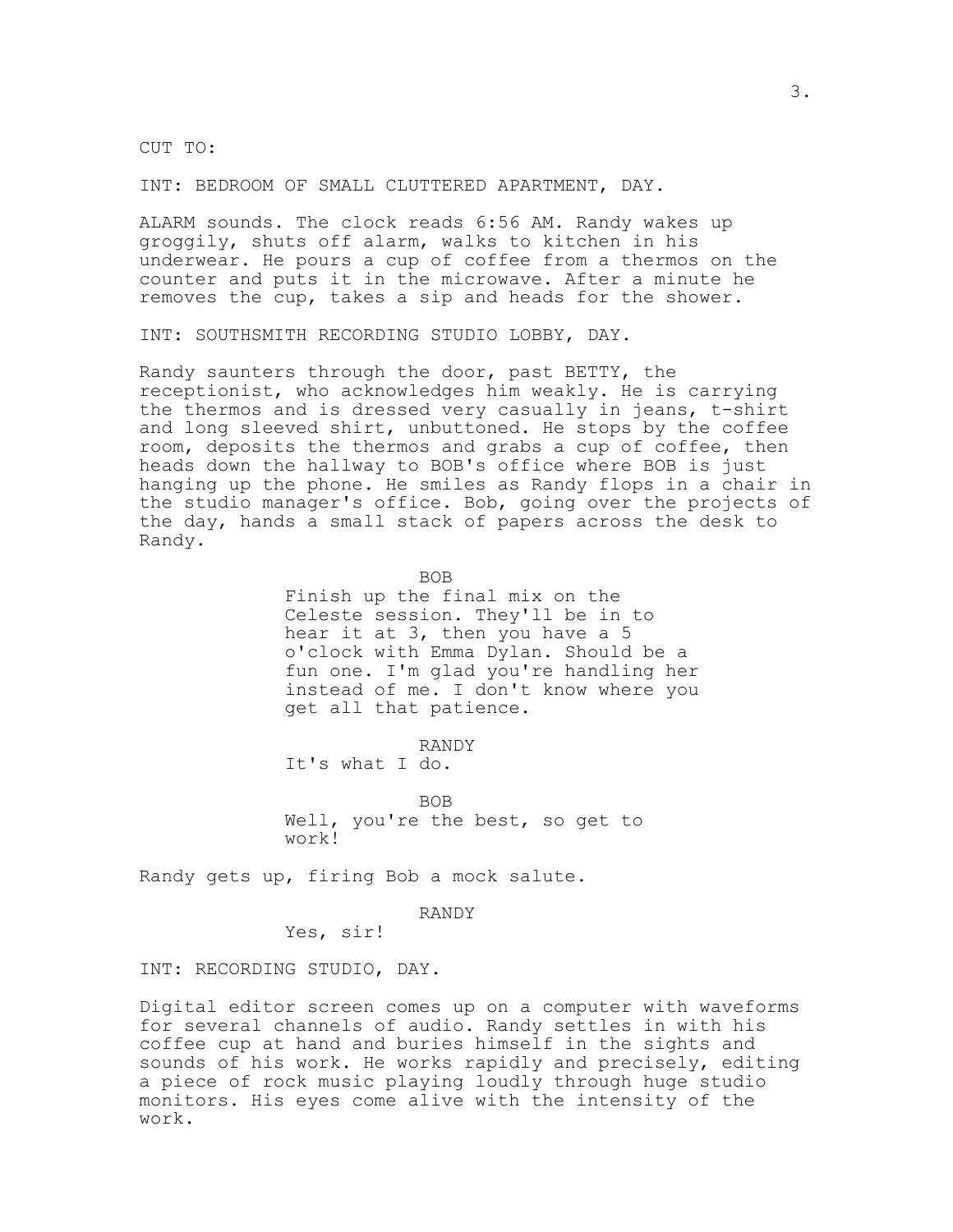CUT TO:

INT: BEDROOM OF SMALL CLUTTERED APARTMENT, DAY.

ALARM sounds. The clock reads 6:56 AM. Randy wakes up groggily, shuts off alarm, walks to kitchen in his underwear. He pours a cup of coffee from a thermos on the counter and puts it in the microwave. After a minute he removes the cup, takes a sip and heads for the shower.

INT: SOUTHSMITH RECORDING STUDIO LOBBY, DAY.

Randy saunters through the door, past BETTY, the receptionist, who acknowledges him weakly. He is carrying the thermos and is dressed very casually in jeans, t-shirt and long sleeved shirt, unbuttoned. He stops by the coffee room, deposits the thermos and grabs a cup of coffee, then heads down the hallway to BOB's office where BOB is just hanging up the phone. He smiles as Randy flops in a chair in the studio manager's office. Bob, going over the projects of the day, hands a small stack of papers across the desk to Randy.

BOB

Finish up the final mix on the Celeste session. They'll be in to hear it at 3, then you have a 5 o'clock with Emma Dylan. Should be a fun one. I'm glad you're handling her instead of me. I don't know where you get all that patience.

RANDY It's what I do.

BOB Well, you're the best, so get to work!

Randy gets up, firing Bob a mock salute.

RANDY

Yes, sir!

INT: RECORDING STUDIO, DAY.

Digital editor screen comes up on a computer with waveforms for several channels of audio. Randy settles in with his coffee cup at hand and buries himself in the sights and sounds of his work. He works rapidly and precisely, editing a piece of rock music playing loudly through huge studio monitors. His eyes come alive with the intensity of the work.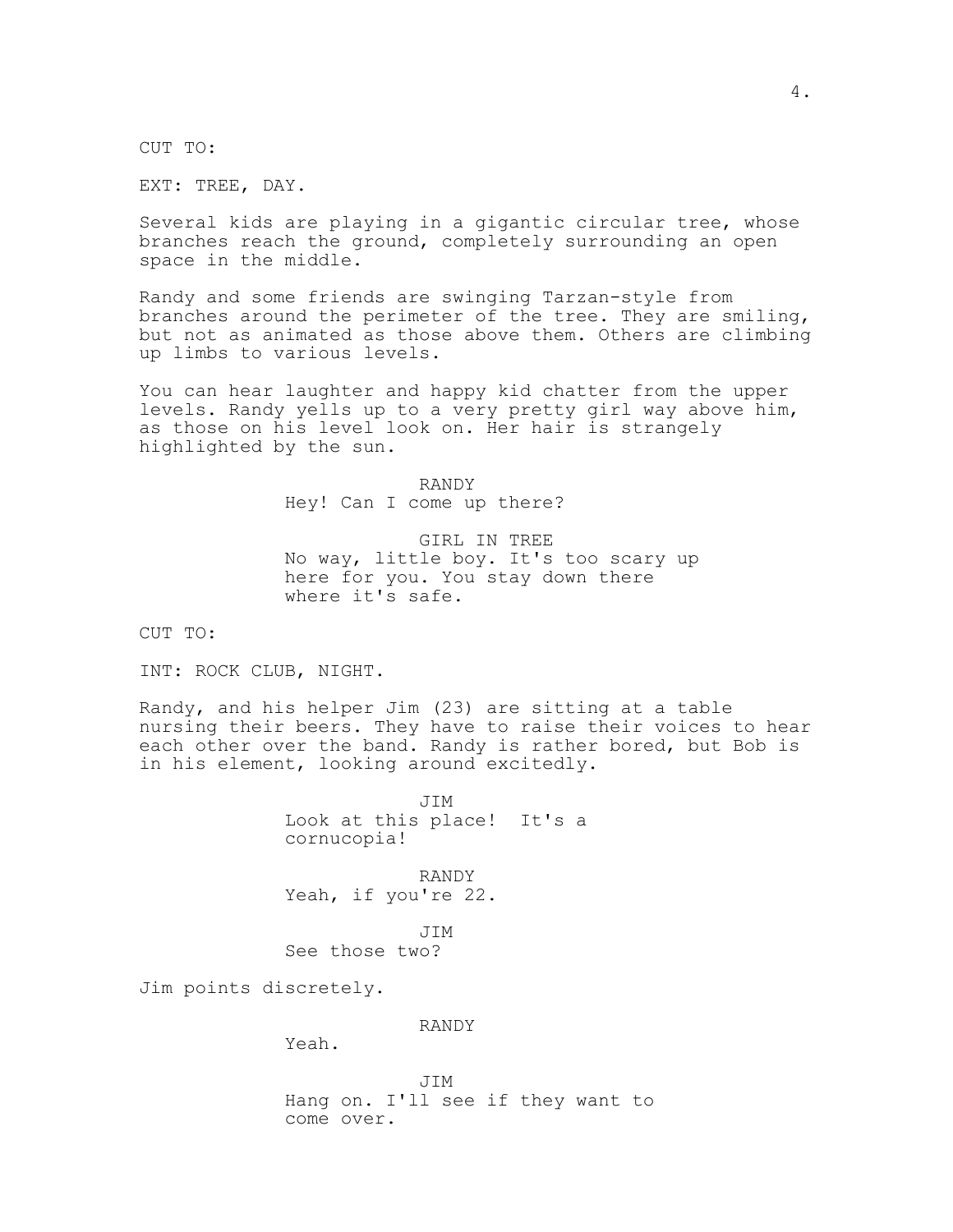CUT TO:

EXT: TREE, DAY.

Several kids are playing in a gigantic circular tree, whose branches reach the ground, completely surrounding an open space in the middle.

Randy and some friends are swinging Tarzan-style from branches around the perimeter of the tree. They are smiling, but not as animated as those above them. Others are climbing up limbs to various levels.

You can hear laughter and happy kid chatter from the upper levels. Randy yells up to a very pretty girl way above him, as those on his level look on. Her hair is strangely highlighted by the sun.

> RANDY Hey! Can I come up there?

GIRL IN TREE No way, little boy. It's too scary up here for you. You stay down there where it's safe.

CUT TO:

INT: ROCK CLUB, NIGHT.

Randy, and his helper Jim (23) are sitting at a table nursing their beers. They have to raise their voices to hear each other over the band. Randy is rather bored, but Bob is in his element, looking around excitedly.

> JIM Look at this place! It's a cornucopia!

RANDY Yeah, if you're 22.

JIM See those two?

Jim points discretely.

RANDY

Yeah.

JIM Hang on. I'll see if they want to come over.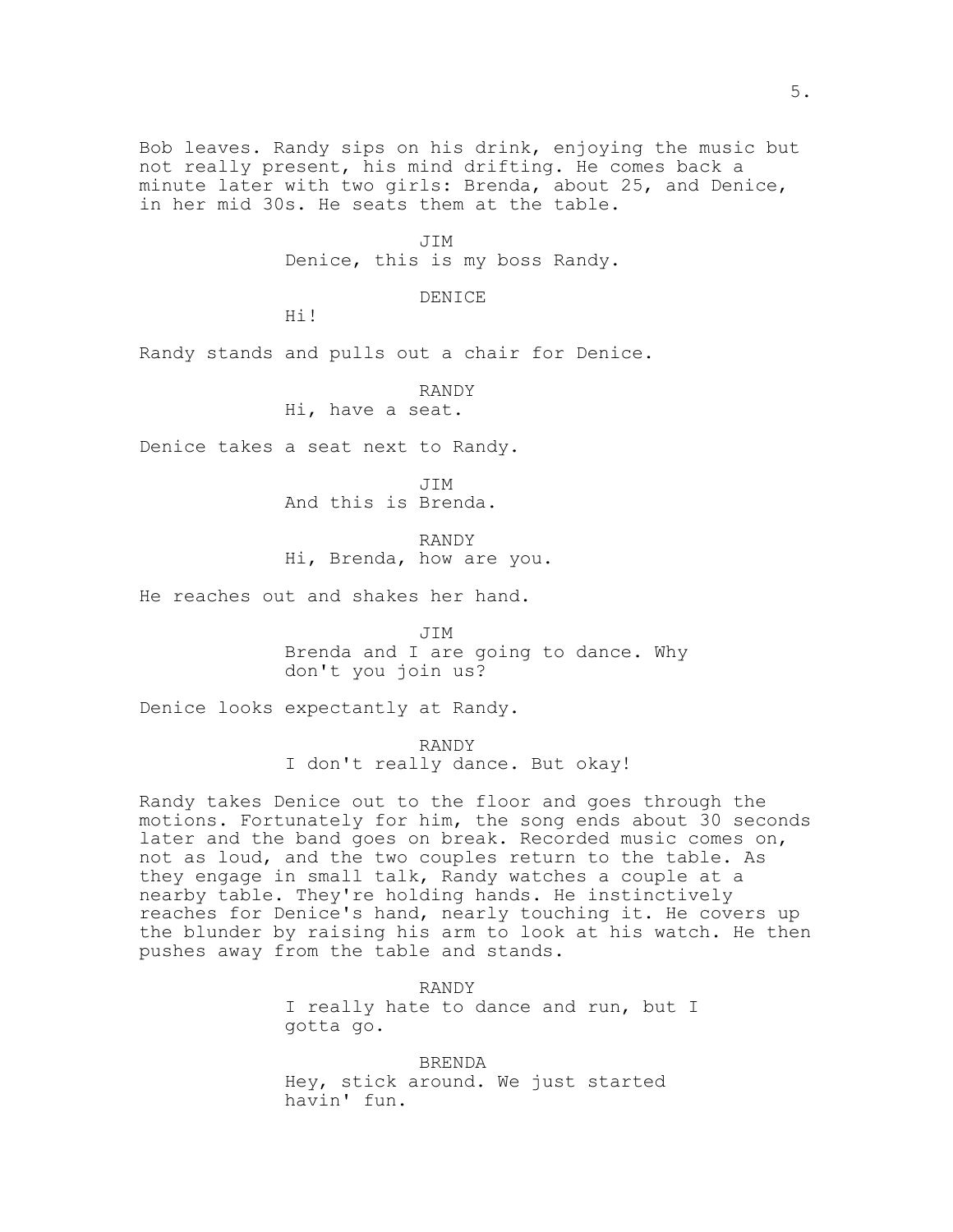Bob leaves. Randy sips on his drink, enjoying the music but not really present, his mind drifting. He comes back a minute later with two girls: Brenda, about 25, and Denice, in her mid 30s. He seats them at the table.

> JIM Denice, this is my boss Randy.

> > DENICE

Hi!

Randy stands and pulls out a chair for Denice.

RANDY Hi, have a seat.

Denice takes a seat next to Randy.

JIM And this is Brenda.

RANDY Hi, Brenda, how are you.

He reaches out and shakes her hand.

JIM

Brenda and I are going to dance. Why don't you join us?

Denice looks expectantly at Randy.

RANDY I don't really dance. But okay!

Randy takes Denice out to the floor and goes through the motions. Fortunately for him, the song ends about 30 seconds later and the band goes on break. Recorded music comes on, not as loud, and the two couples return to the table. As they engage in small talk, Randy watches a couple at a nearby table. They're holding hands. He instinctively reaches for Denice's hand, nearly touching it. He covers up the blunder by raising his arm to look at his watch. He then pushes away from the table and stands.

> RANDY I really hate to dance and run, but I gotta go.

BRENDA Hey, stick around. We just started havin' fun.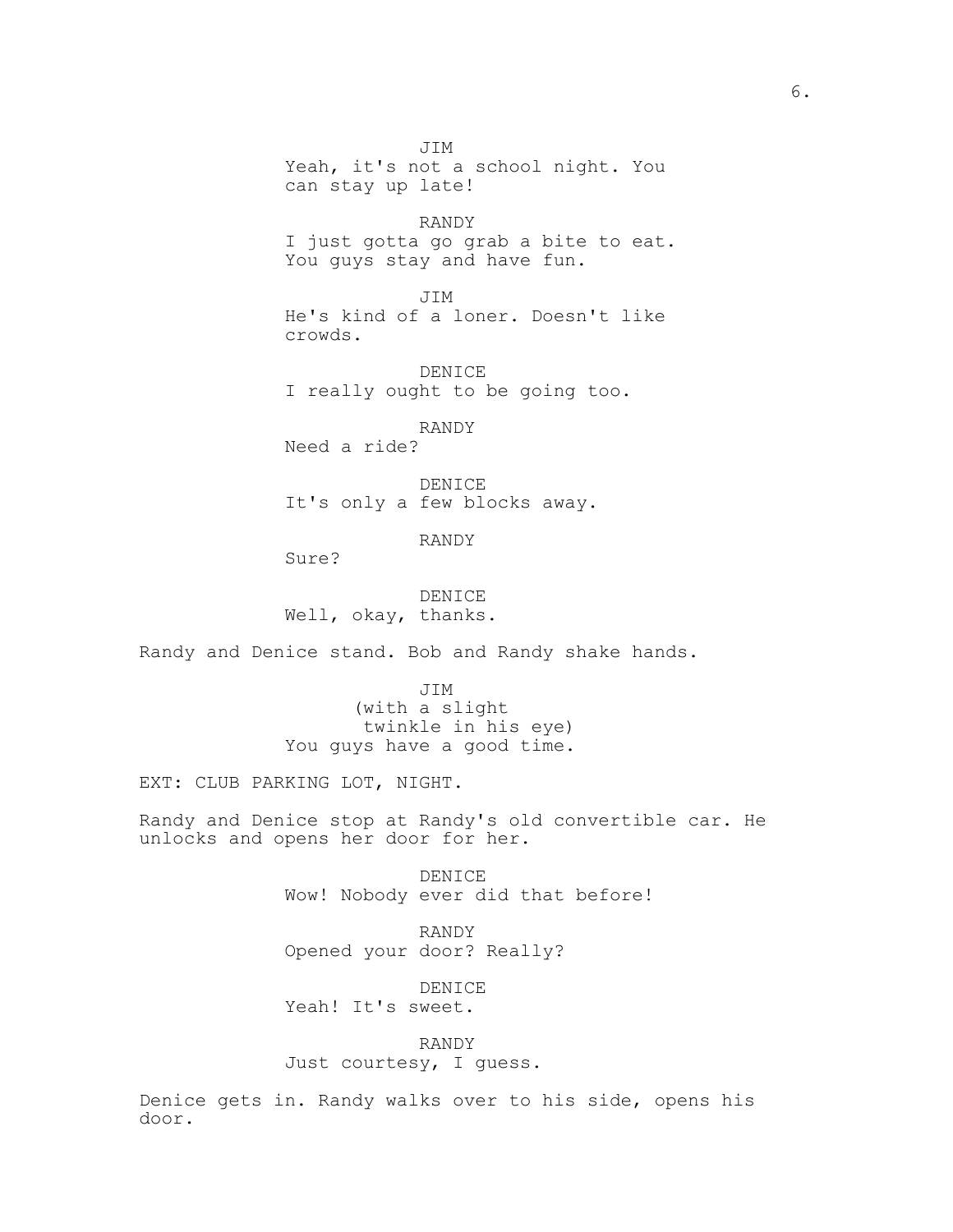JIM Yeah, it's not a school night. You can stay up late!

RANDY I just gotta go grab a bite to eat. You guys stay and have fun.

JIM He's kind of a loner. Doesn't like crowds.

DENICE I really ought to be going too.

RANDY Need a ride?

DENICE It's only a few blocks away.

RANDY

Sure?

DENICE Well, okay, thanks.

Randy and Denice stand. Bob and Randy shake hands.

JIM (with a slight twinkle in his eye) You guys have a good time.

EXT: CLUB PARKING LOT, NIGHT.

Randy and Denice stop at Randy's old convertible car. He unlocks and opens her door for her.

> DENICE Wow! Nobody ever did that before!

RANDY Opened your door? Really?

DENICE Yeah! It's sweet.

RANDY Just courtesy, I guess.

Denice gets in. Randy walks over to his side, opens his door.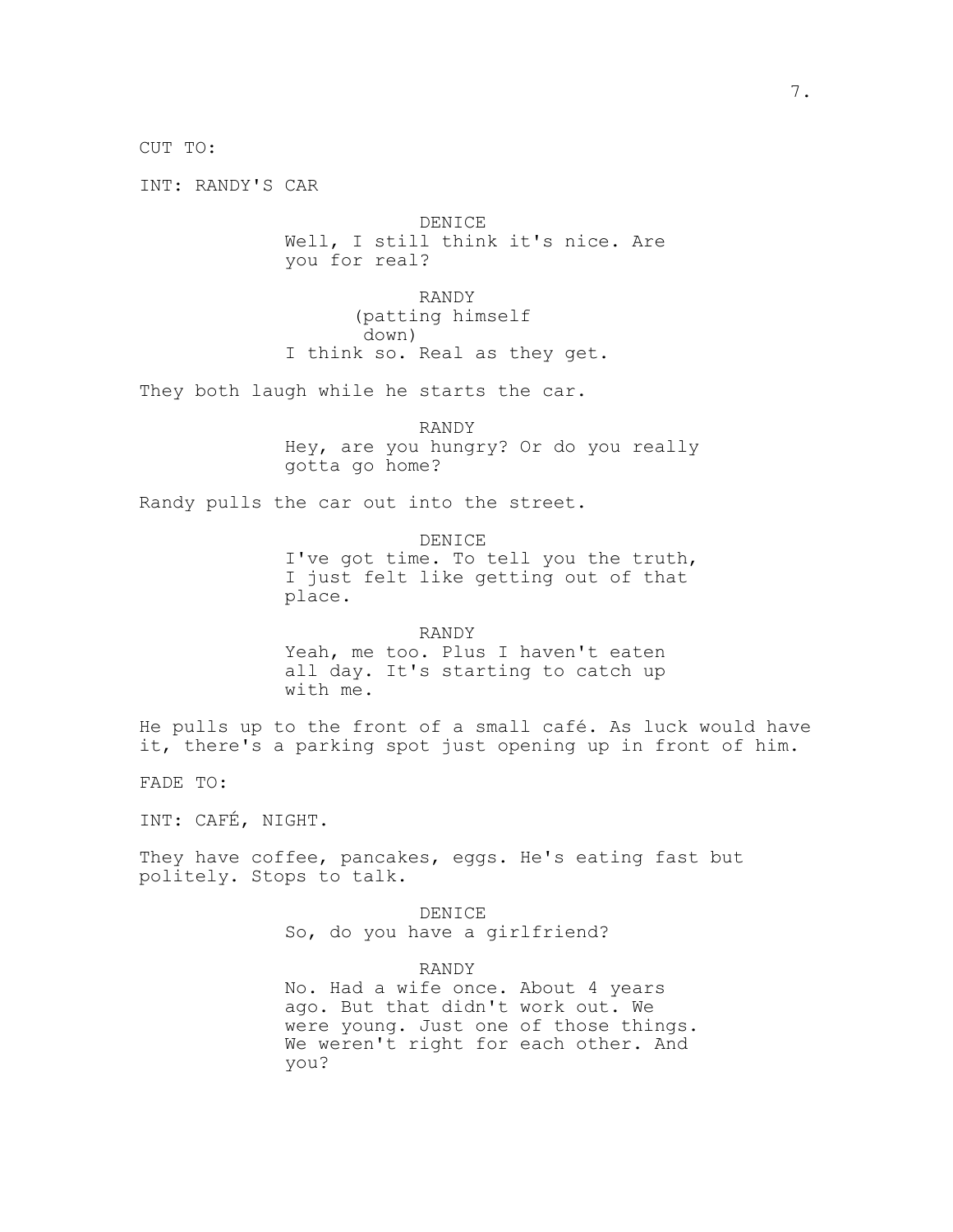CUT TO:

INT: RANDY'S CAR

DENICE Well, I still think it's nice. Are you for real?

RANDY (patting himself down) I think so. Real as they get.

They both laugh while he starts the car.

RANDY

Hey, are you hungry? Or do you really gotta go home?

Randy pulls the car out into the street.

DENICE

I've got time. To tell you the truth, I just felt like getting out of that place.

RANDY Yeah, me too. Plus I haven't eaten all day. It's starting to catch up with me.

He pulls up to the front of a small café. As luck would have it, there's a parking spot just opening up in front of him.

FADE TO:

INT: CAFÉ, NIGHT.

They have coffee, pancakes, eggs. He's eating fast but politely. Stops to talk.

> DENICE So, do you have a girlfriend?

> > RANDY

No. Had a wife once. About 4 years ago. But that didn't work out. We were young. Just one of those things. We weren't right for each other. And you?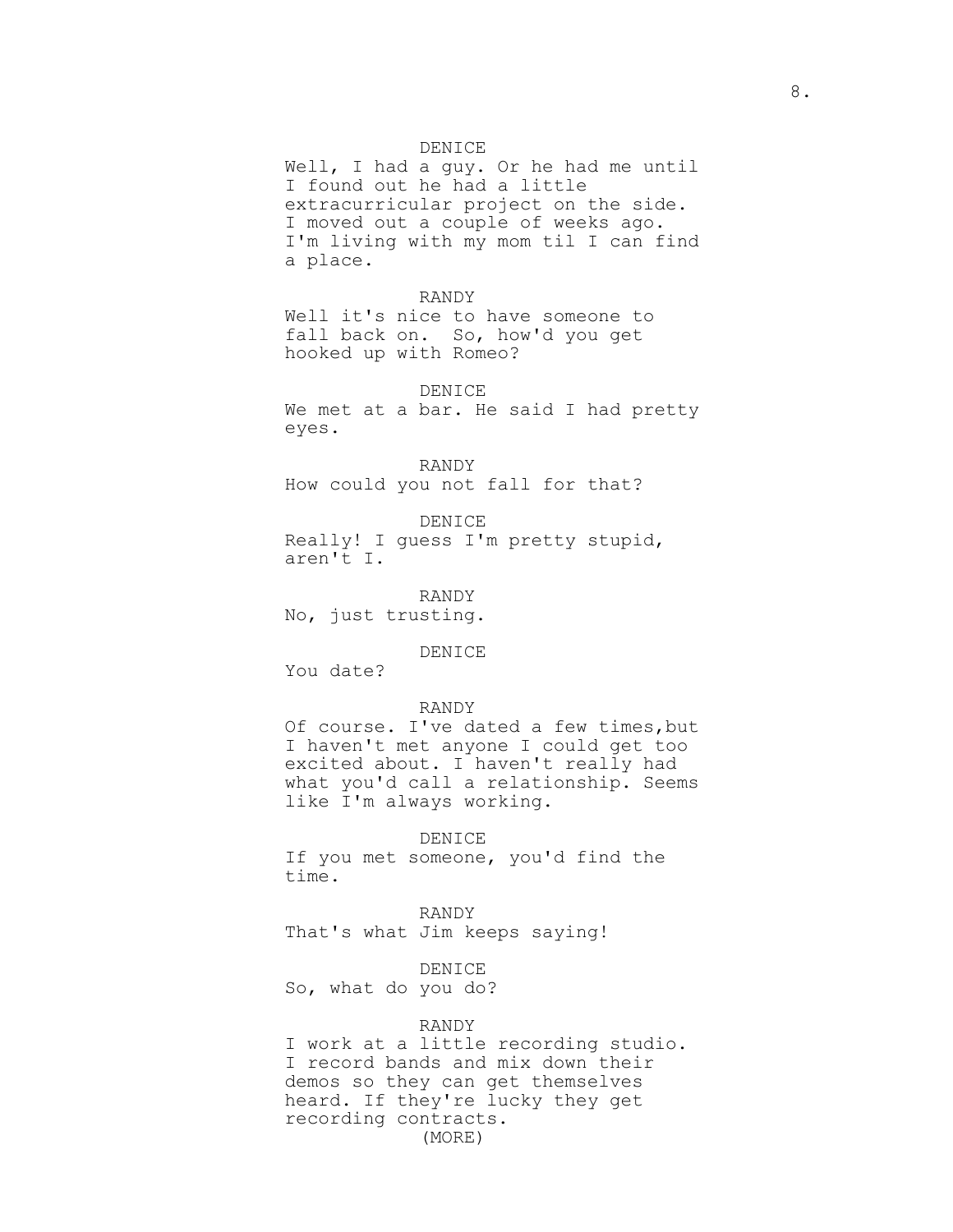### DENICE

Well, I had a guy. Or he had me until I found out he had a little extracurricular project on the side. I moved out a couple of weeks ago. I'm living with my mom til I can find a place.

# RANDY

Well it's nice to have someone to fall back on. So, how'd you get hooked up with Romeo?

### DENICE

We met at a bar. He said I had pretty eyes.

RANDY How could you not fall for that?

DENICE Really! I guess I'm pretty stupid, aren't I.

RANDY No, just trusting.

#### DENICE

You date?

### RANDY

Of course. I've dated a few times, but I haven't met anyone I could get too excited about. I haven't really had what you'd call a relationship. Seems like I'm always working.

### DENICE

If you met someone, you'd find the time.

RANDY That's what Jim keeps saying!

DENICE

So, what do you do?

### RANDY

I work at a little recording studio. I record bands and mix down their demos so they can get themselves heard. If they're lucky they get recording contracts. (MORE)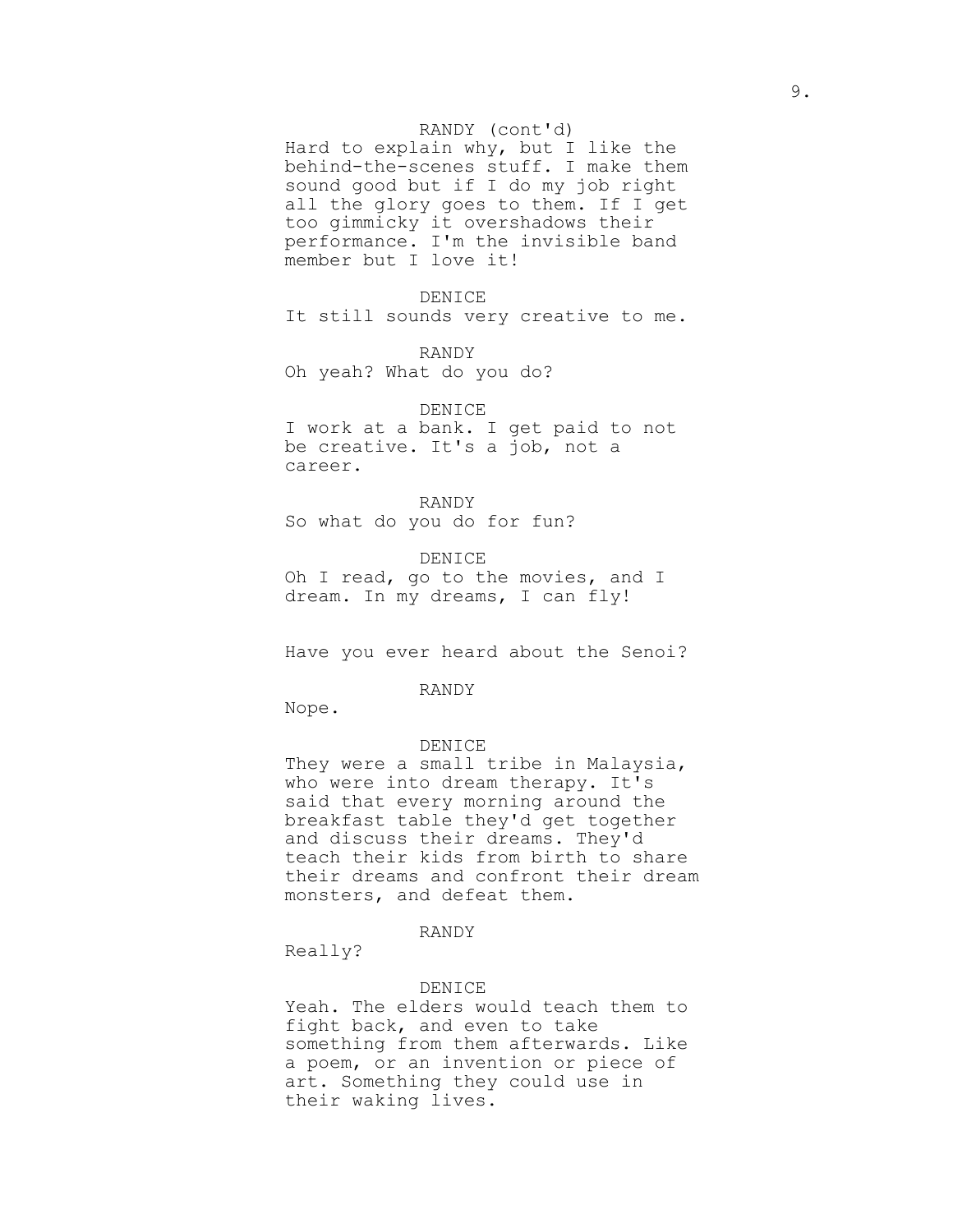### RANDY (cont'd)

Hard to explain why, but I like the behind-the-scenes stuff. I make them sound good but if I do my job right all the glory goes to them. If I get too gimmicky it overshadows their performance. I'm the invisible band member but I love it!

### DENICE

It still sounds very creative to me.

RANDY

Oh yeah? What do you do?

#### DENICE

I work at a bank. I get paid to not be creative. It's a job, not a career.

### RANDY

So what do you do for fun?

DENICE Oh I read, go to the movies, and I dream. In my dreams, I can fly!

Have you ever heard about the Senoi?

RANDY

Nope.

#### DENICE

They were a small tribe in Malaysia, who were into dream therapy. It's said that every morning around the breakfast table they'd get together and discuss their dreams. They'd teach their kids from birth to share their dreams and confront their dream monsters, and defeat them.

## RANDY

Really?

#### DENICE

Yeah. The elders would teach them to fight back, and even to take something from them afterwards. Like a poem, or an invention or piece of art. Something they could use in their waking lives.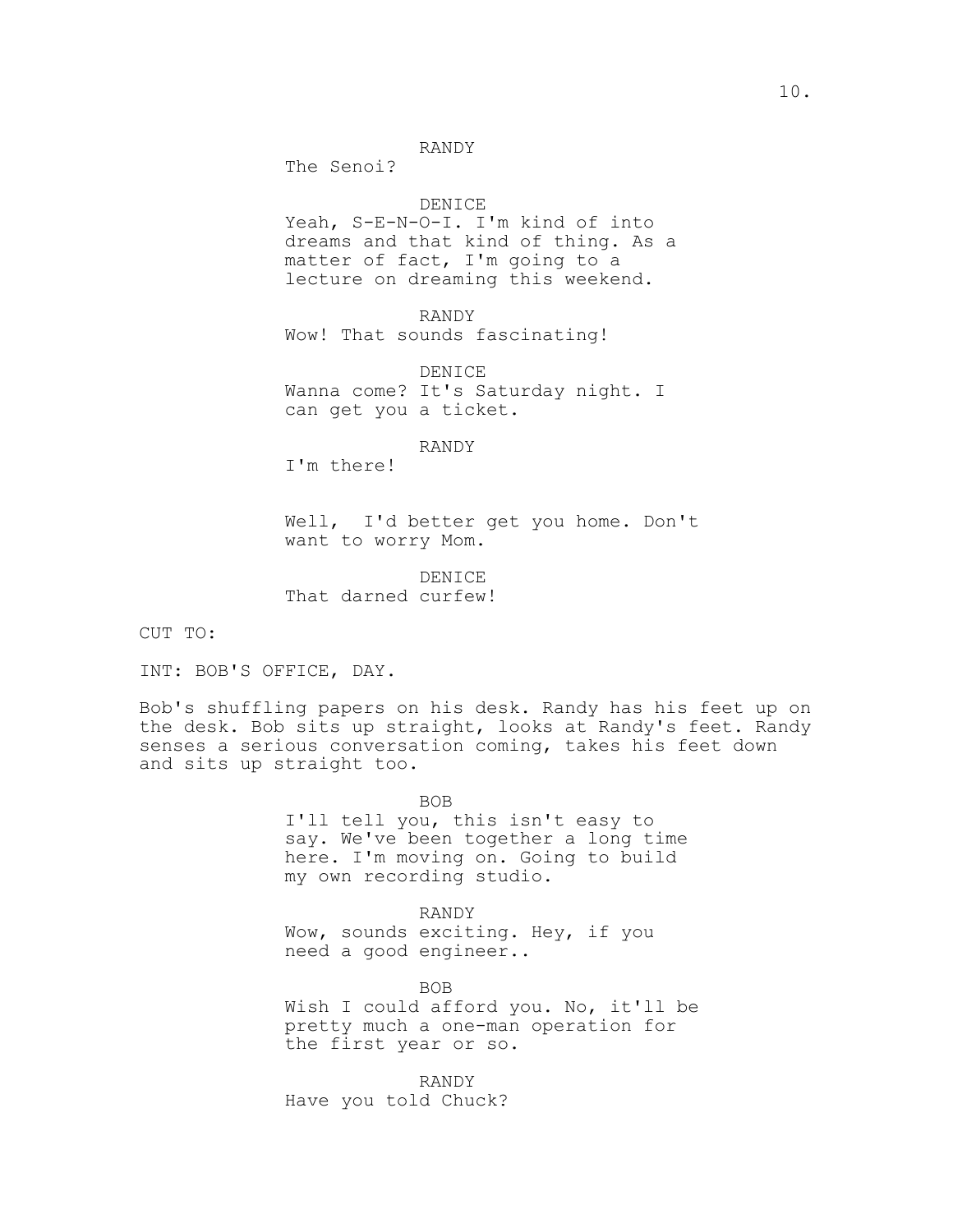## RANDY

The Senoi?

### DENICE

Yeah, S-E-N-O-I. I'm kind of into dreams and that kind of thing. As a matter of fact, I'm going to a lecture on dreaming this weekend.

RANDY Wow! That sounds fascinating!

DENICE Wanna come? It's Saturday night. I can get you a ticket.

RANDY

I'm there!

Well, I'd better get you home. Don't want to worry Mom.

DENICE That darned curfew!

CUT TO:

INT: BOB'S OFFICE, DAY.

Bob's shuffling papers on his desk. Randy has his feet up on the desk. Bob sits up straight, looks at Randy's feet. Randy senses a serious conversation coming, takes his feet down and sits up straight too.

> BOB I'll tell you, this isn't easy to say. We've been together a long time here. I'm moving on. Going to build my own recording studio.

RANDY Wow, sounds exciting. Hey, if you need a good engineer..

BOB Wish I could afford you. No, it'll be pretty much a one-man operation for the first year or so.

RANDY Have you told Chuck?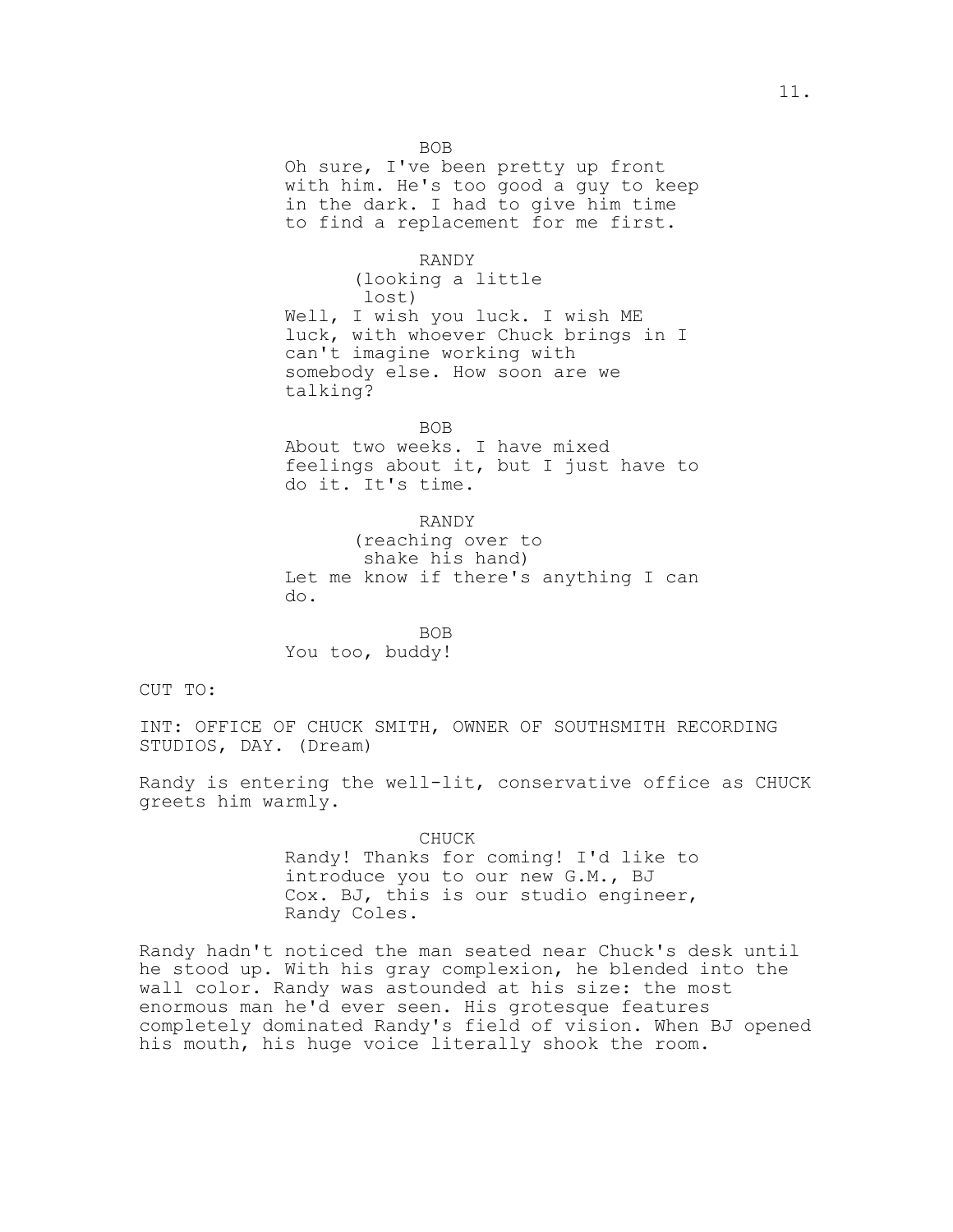BOB

Oh sure, I've been pretty up front with him. He's too good a guy to keep in the dark. I had to give him time to find a replacement for me first.

RANDY (looking a little lost) Well, I wish you luck. I wish ME luck, with whoever Chuck brings in I can't imagine working with somebody else. How soon are we talking?

BOB

About two weeks. I have mixed feelings about it, but I just have to do it. It's time.

RANDY (reaching over to shake his hand) Let me know if there's anything I can do.

BOB You too, buddy!

CUT TO:

INT: OFFICE OF CHUCK SMITH, OWNER OF SOUTHSMITH RECORDING STUDIOS, DAY. (Dream)

Randy is entering the well-lit, conservative office as CHUCK greets him warmly.

> CHUCK Randy! Thanks for coming! I'd like to introduce you to our new G.M., BJ Cox. BJ, this is our studio engineer, Randy Coles.

Randy hadn't noticed the man seated near Chuck's desk until he stood up. With his gray complexion, he blended into the wall color. Randy was astounded at his size: the most enormous man he'd ever seen. His grotesque features completely dominated Randy's field of vision. When BJ opened his mouth, his huge voice literally shook the room.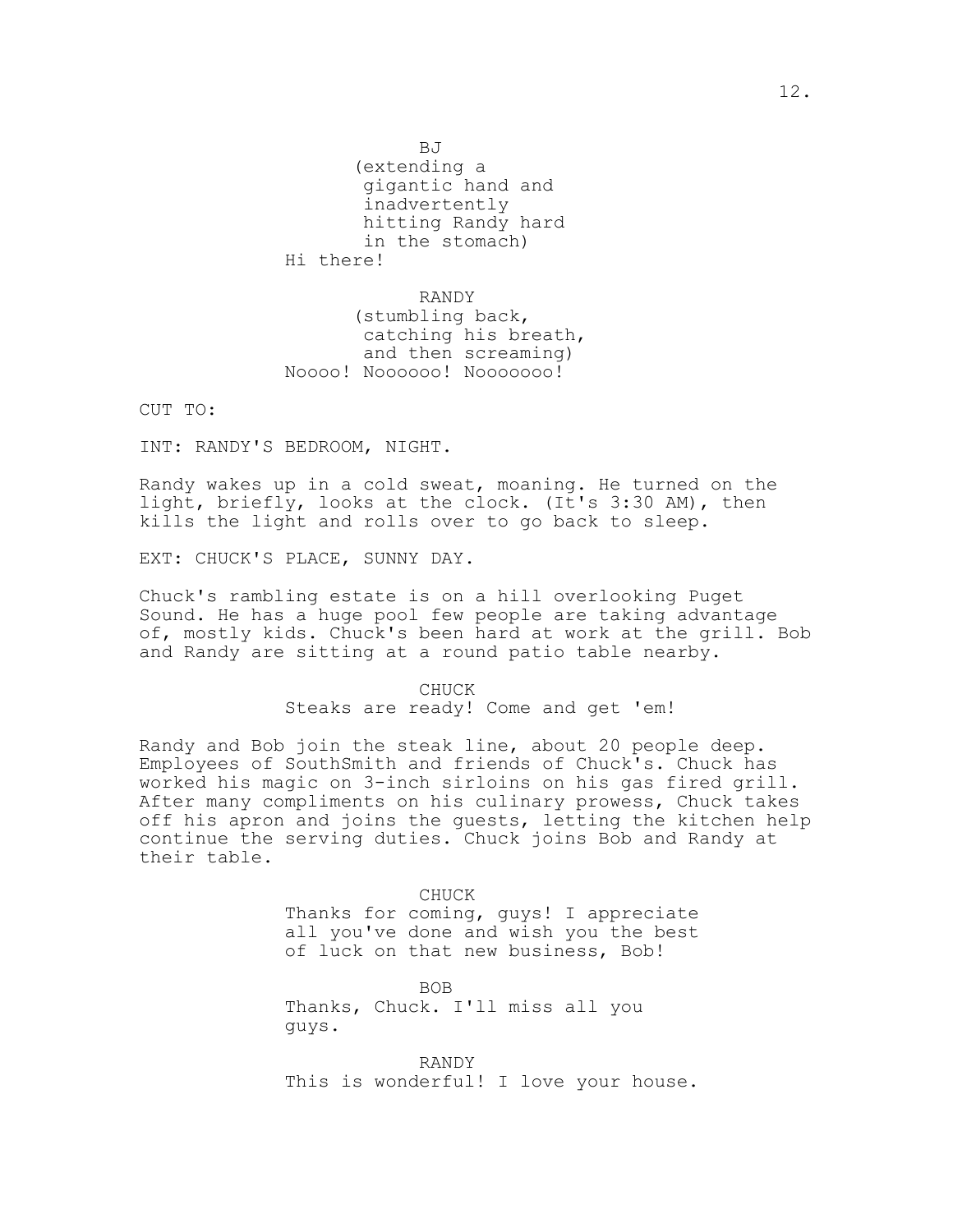BJ

(extending a gigantic hand and inadvertently hitting Randy hard in the stomach) Hi there!

RANDY (stumbling back, catching his breath, and then screaming) Noooo! Noooooo! Nooooooo!

CUT TO:

INT: RANDY'S BEDROOM, NIGHT.

Randy wakes up in a cold sweat, moaning. He turned on the light, briefly, looks at the clock. (It's 3:30 AM), then kills the light and rolls over to go back to sleep.

EXT: CHUCK'S PLACE, SUNNY DAY.

Chuck's rambling estate is on a hill overlooking Puget Sound. He has a huge pool few people are taking advantage of, mostly kids. Chuck's been hard at work at the grill. Bob and Randy are sitting at a round patio table nearby.

> CHUCK Steaks are ready! Come and get 'em!

Randy and Bob join the steak line, about 20 people deep. Employees of SouthSmith and friends of Chuck's. Chuck has worked his magic on 3-inch sirloins on his gas fired grill. After many compliments on his culinary prowess, Chuck takes off his apron and joins the guests, letting the kitchen help continue the serving duties. Chuck joins Bob and Randy at their table.

> CHUCK Thanks for coming, guys! I appreciate all you've done and wish you the best of luck on that new business, Bob!

> > BOB

Thanks, Chuck. I'll miss all you guys.

RANDY This is wonderful! I love your house.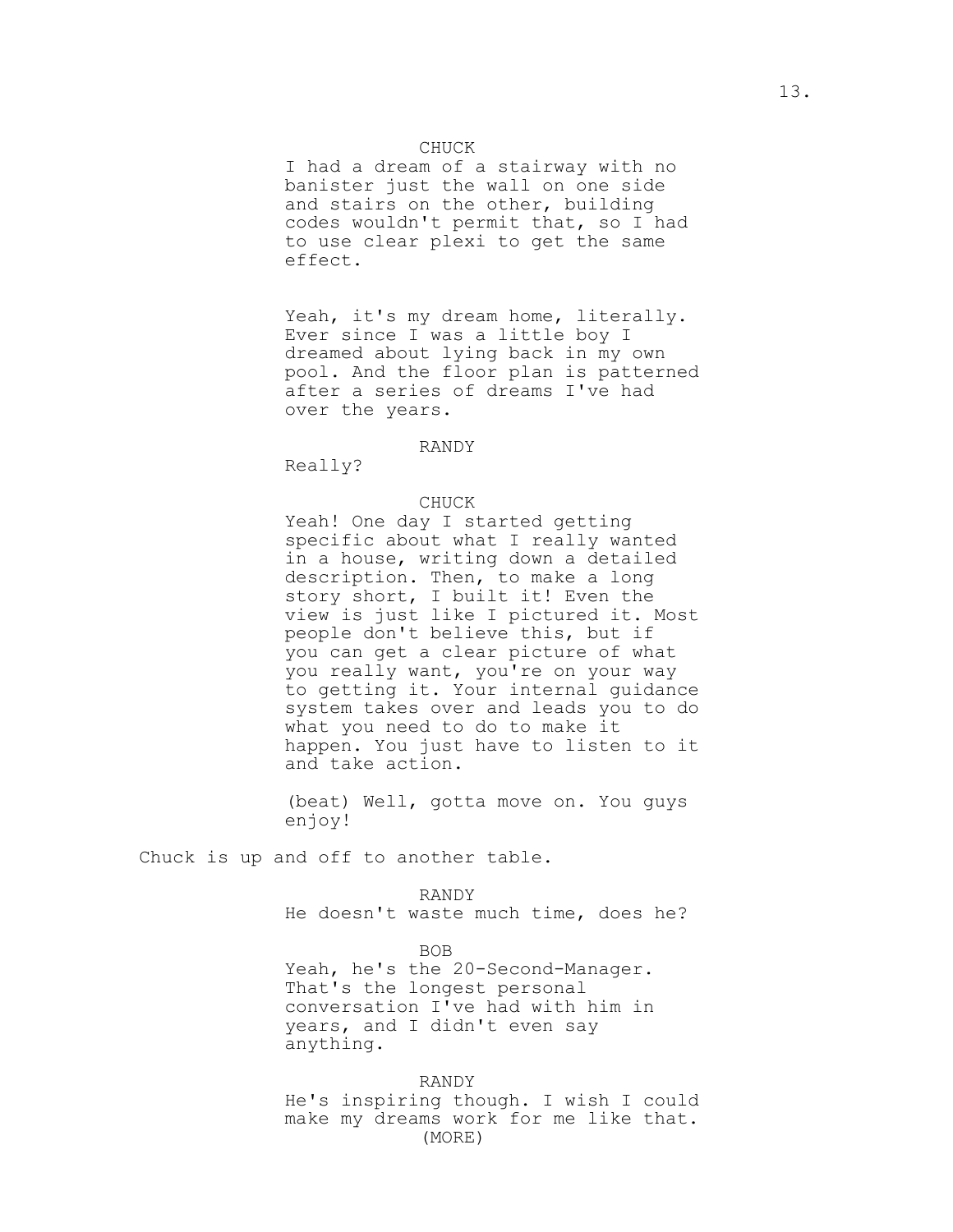### CHUCK

I had a dream of a stairway with no banister just the wall on one side and stairs on the other, building codes wouldn't permit that, so I had to use clear plexi to get the same effect.

Yeah, it's my dream home, literally. Ever since I was a little boy I dreamed about lying back in my own pool. And the floor plan is patterned after a series of dreams I've had over the years.

#### RANDY

Really?

#### CHUCK

Yeah! One day I started getting specific about what I really wanted in a house, writing down a detailed description. Then, to make a long story short, I built it! Even the view is just like I pictured it. Most people don't believe this, but if you can get a clear picture of what you really want, you're on your way to getting it. Your internal guidance system takes over and leads you to do what you need to do to make it happen. You just have to listen to it and take action.

(beat) Well, gotta move on. You guys enjoy!

Chuck is up and off to another table.

RANDY

He doesn't waste much time, does he?

BOB

Yeah, he's the 20-Second-Manager. That's the longest personal conversation I've had with him in years, and I didn't even say anything.

RANDY He's inspiring though. I wish I could make my dreams work for me like that. (MORE)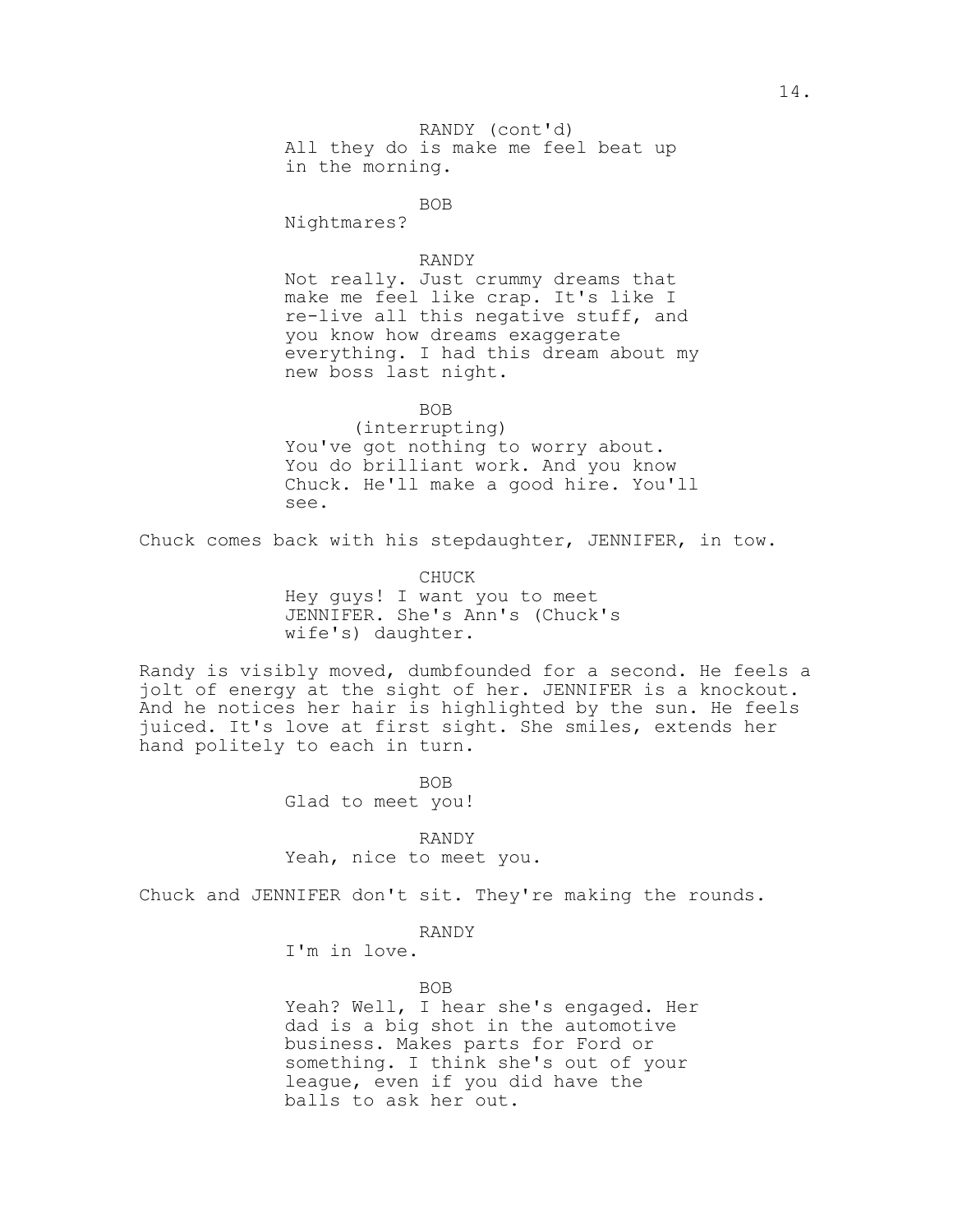All they do is make me feel beat up RANDY (cont'd) in the morning.

# BOB

Nightmares?

#### RANDY

Not really. Just crummy dreams that make me feel like crap. It's like I re-live all this negative stuff, and you know how dreams exaggerate everything. I had this dream about my new boss last night.

BOB

(interrupting) You've got nothing to worry about. You do brilliant work. And you know Chuck. He'll make a good hire. You'll see.

Chuck comes back with his stepdaughter, JENNIFER, in tow.

CHUCK Hey guys! I want you to meet JENNIFER. She's Ann's (Chuck's wife's) daughter.

Randy is visibly moved, dumbfounded for a second. He feels a jolt of energy at the sight of her. JENNIFER is a knockout. And he notices her hair is highlighted by the sun. He feels juiced. It's love at first sight. She smiles, extends her hand politely to each in turn.

BOB

Glad to meet you!

RANDY

Yeah, nice to meet you.

Chuck and JENNIFER don't sit. They're making the rounds.

RANDY

I'm in love.

#### BOB

Yeah? Well, I hear she's engaged. Her dad is a big shot in the automotive business. Makes parts for Ford or something. I think she's out of your league, even if you did have the balls to ask her out.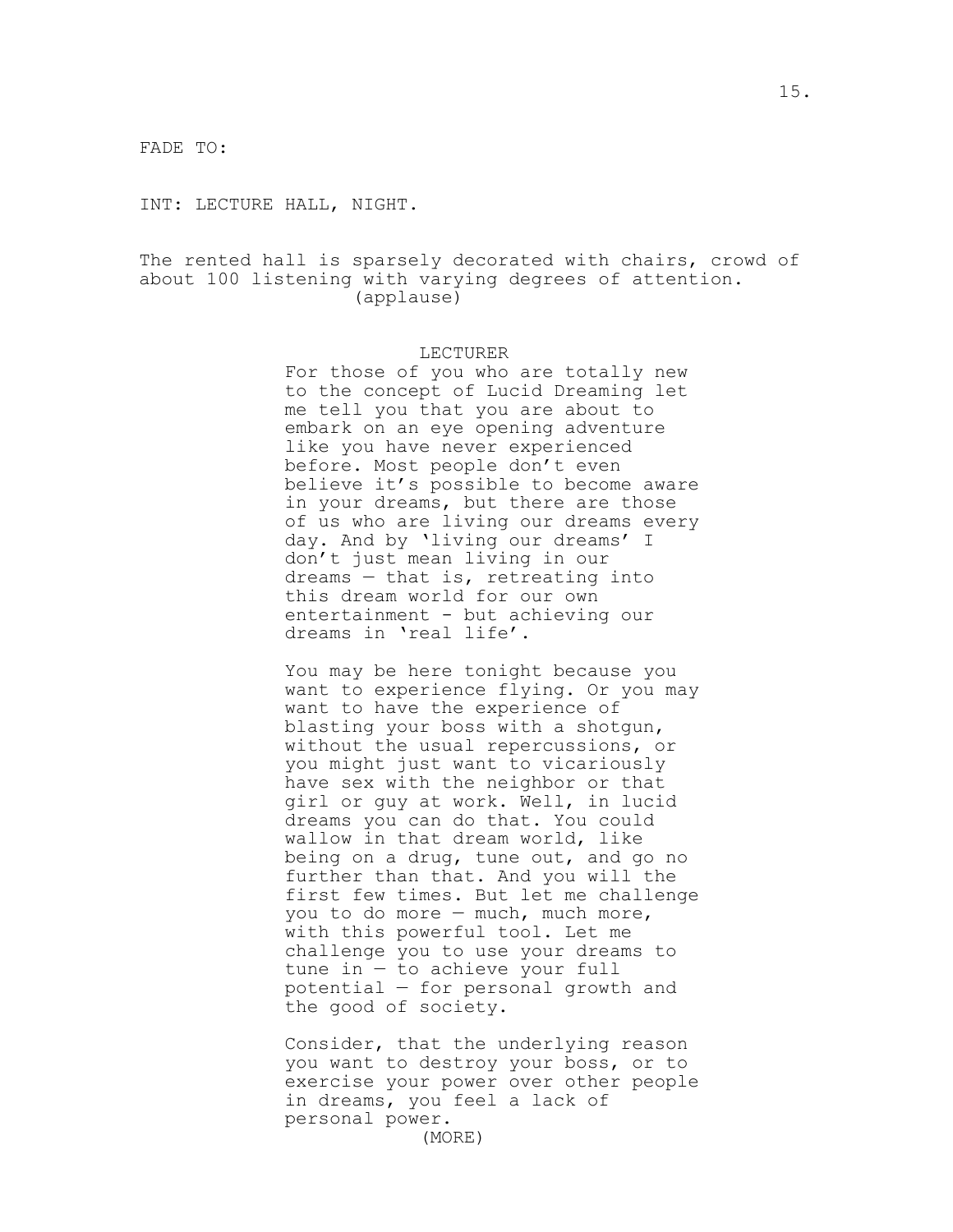FADE TO:

INT: LECTURE HALL, NIGHT.

The rented hall is sparsely decorated with chairs, crowd of about 100 listening with varying degrees of attention. (applause)

#### LECTURER

For those of you who are totally new to the concept of Lucid Dreaming let me tell you that you are about to embark on an eye opening adventure like you have never experienced before. Most people don't even believe it's possible to become aware in your dreams, but there are those of us who are living our dreams every day. And by 'living our dreams' I don't just mean living in our dreams — that is, retreating into this dream world for our own entertainment - but achieving our dreams in 'real life'.

You may be here tonight because you want to experience flying. Or you may want to have the experience of blasting your boss with a shotgun, without the usual repercussions, or you might just want to vicariously have sex with the neighbor or that girl or guy at work. Well, in lucid dreams you can do that. You could wallow in that dream world, like being on a drug, tune out, and go no further than that. And you will the first few times. But let me challenge you to do more — much, much more, with this powerful tool. Let me challenge you to use your dreams to tune in — to achieve your full potential — for personal growth and the good of society.

Consider, that the underlying reason you want to destroy your boss, or to exercise your power over other people in dreams, you feel a lack of personal power. (MORE)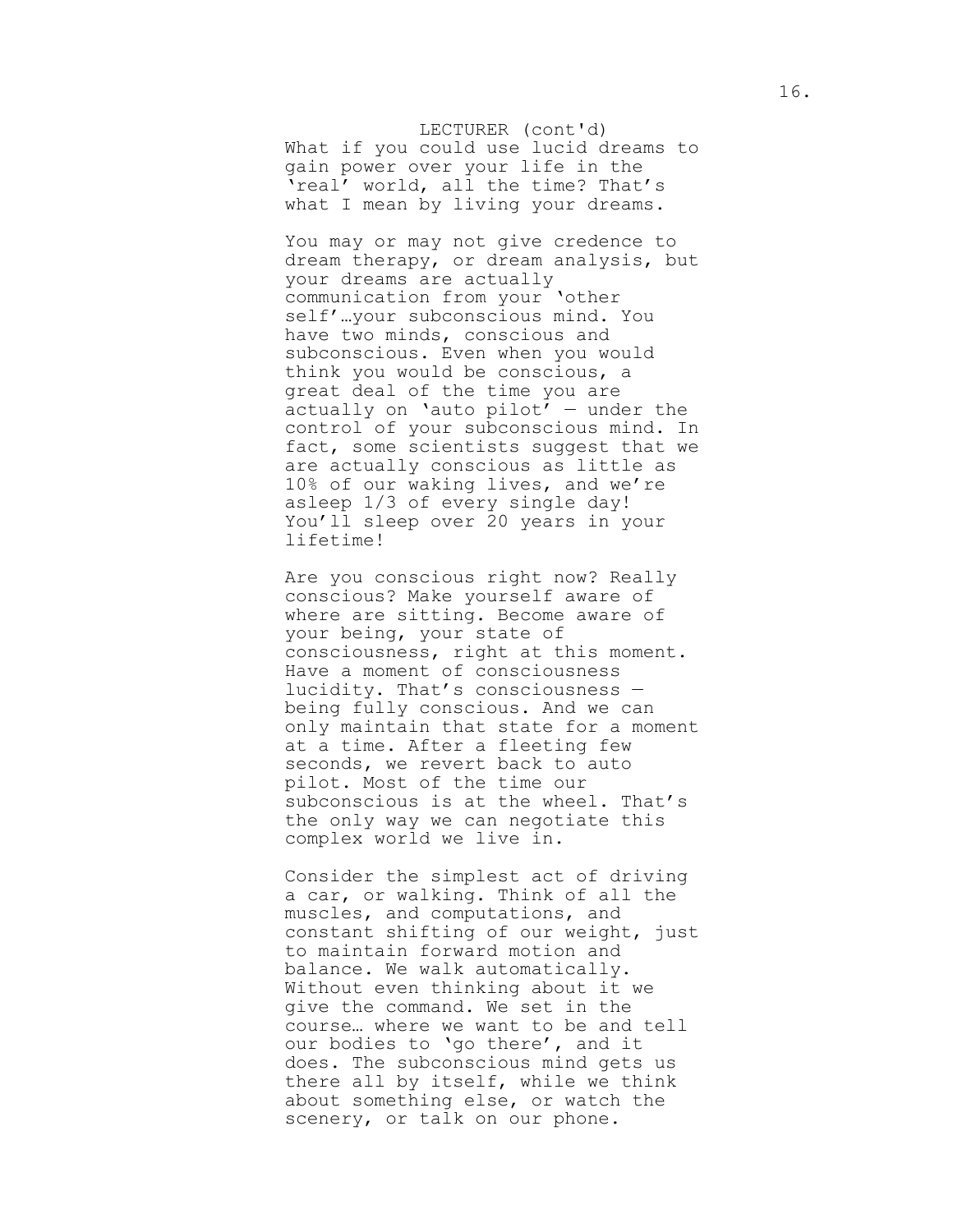What if you could use lucid dreams to LECTURER (cont'd) gain power over your life in the 'real' world, all the time? That's what I mean by living your dreams.

You may or may not give credence to dream therapy, or dream analysis, but your dreams are actually communication from your 'other self'…your subconscious mind. You have two minds, conscious and subconscious. Even when you would think you would be conscious, a great deal of the time you are actually on 'auto  $pilot'$  – under the control of your subconscious mind. In fact, some scientists suggest that we are actually conscious as little as 10% of our waking lives, and we're asleep 1/3 of every single day! You'll sleep over 20 years in your lifetime!

Are you conscious right now? Really conscious? Make yourself aware of where are sitting. Become aware of your being, your state of consciousness, right at this moment. Have a moment of consciousness lucidity. That's consciousness being fully conscious. And we can only maintain that state for a moment at a time. After a fleeting few seconds, we revert back to auto pilot. Most of the time our subconscious is at the wheel. That's the only way we can negotiate this complex world we live in.

Consider the simplest act of driving a car, or walking. Think of all the muscles, and computations, and constant shifting of our weight, just to maintain forward motion and balance. We walk automatically. Without even thinking about it we give the command. We set in the course… where we want to be and tell our bodies to 'go there', and it does. The subconscious mind gets us there all by itself, while we think about something else, or watch the scenery, or talk on our phone.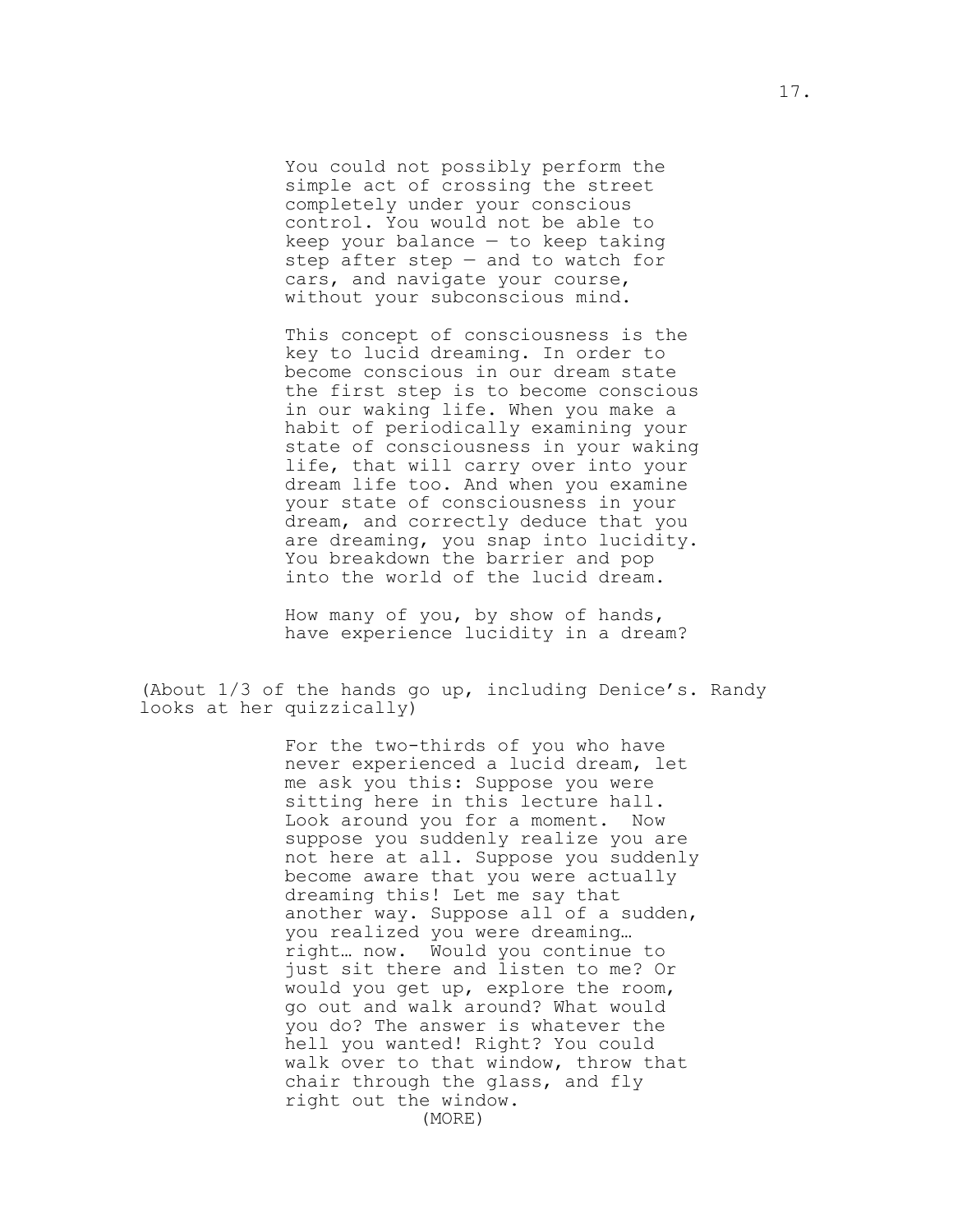You could not possibly perform the simple act of crossing the street completely under your conscious control. You would not be able to keep your balance  $-$  to keep taking step after step — and to watch for cars, and navigate your course, without your subconscious mind.

This concept of consciousness is the key to lucid dreaming. In order to become conscious in our dream state the first step is to become conscious in our waking life. When you make a habit of periodically examining your state of consciousness in your waking life, that will carry over into your dream life too. And when you examine your state of consciousness in your dream, and correctly deduce that you are dreaming, you snap into lucidity. You breakdown the barrier and pop into the world of the lucid dream.

How many of you, by show of hands, have experience lucidity in a dream?

(About 1/3 of the hands go up, including Denice's. Randy looks at her quizzically)

> For the two-thirds of you who have never experienced a lucid dream, let me ask you this: Suppose you were sitting here in this lecture hall. Look around you for a moment. Now suppose you suddenly realize you are not here at all. Suppose you suddenly become aware that you were actually dreaming this! Let me say that another way. Suppose all of a sudden, you realized you were dreaming… right… now. Would you continue to just sit there and listen to me? Or would you get up, explore the room, go out and walk around? What would you do? The answer is whatever the hell you wanted! Right? You could walk over to that window, throw that chair through the glass, and fly right out the window. (MORE)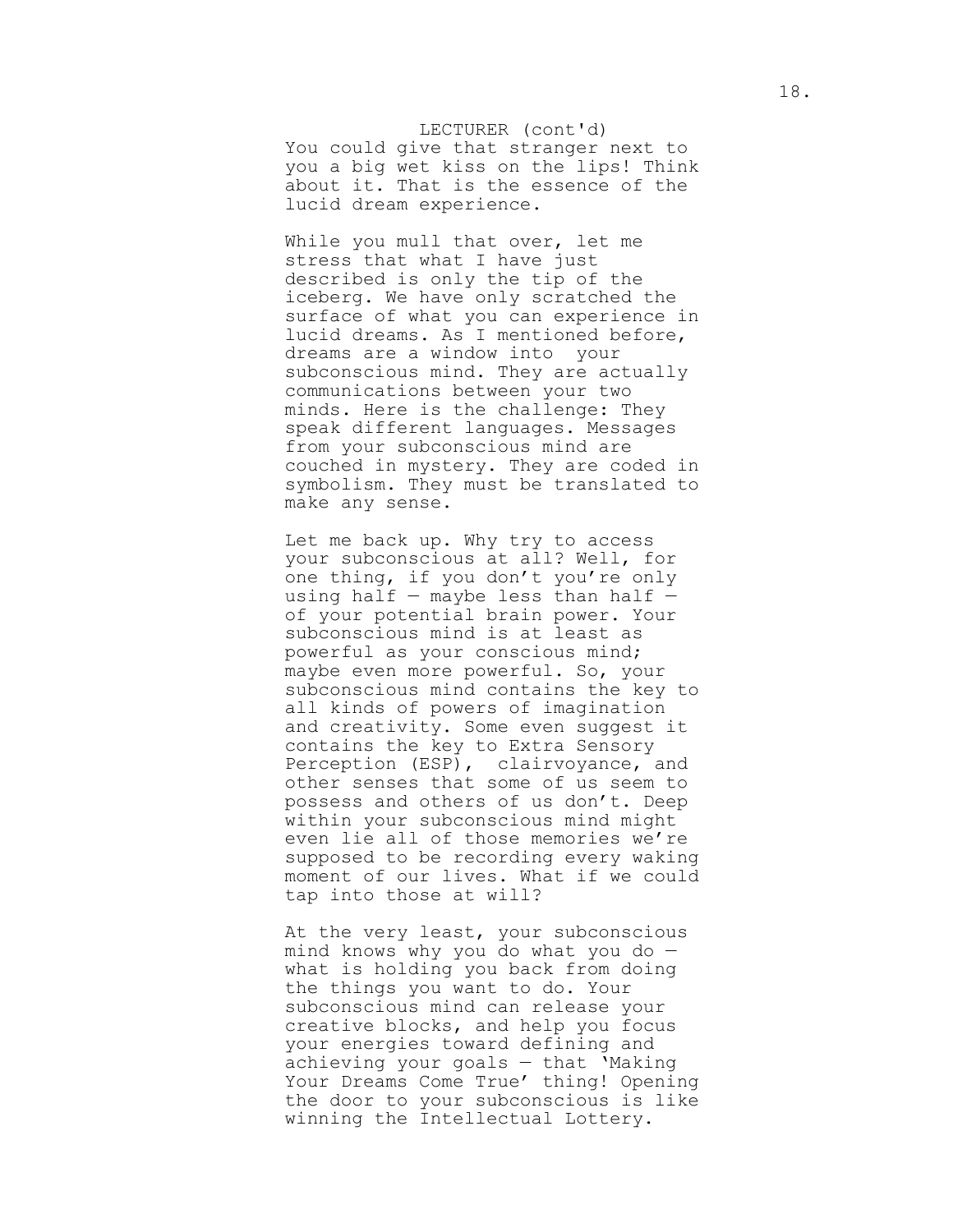## You could give that stranger next to LECTURER (cont'd) you a big wet kiss on the lips! Think about it. That is the essence of the lucid dream experience.

While you mull that over, let me stress that what I have just described is only the tip of the iceberg. We have only scratched the surface of what you can experience in lucid dreams. As I mentioned before, dreams are a window into your subconscious mind. They are actually communications between your two minds. Here is the challenge: They speak different languages. Messages from your subconscious mind are couched in mystery. They are coded in symbolism. They must be translated to make any sense.

Let me back up. Why try to access your subconscious at all? Well, for one thing, if you don't you're only using half  $-$  maybe less than half  $$ of your potential brain power. Your subconscious mind is at least as powerful as your conscious mind; maybe even more powerful. So, your subconscious mind contains the key to all kinds of powers of imagination and creativity. Some even suggest it contains the key to Extra Sensory Perception (ESP), clairvoyance, and other senses that some of us seem to possess and others of us don't. Deep within your subconscious mind might even lie all of those memories we're supposed to be recording every waking moment of our lives. What if we could tap into those at will?

At the very least, your subconscious mind knows why you do what you do what is holding you back from doing the things you want to do. Your subconscious mind can release your creative blocks, and help you focus your energies toward defining and achieving your goals — that 'Making Your Dreams Come True' thing! Opening the door to your subconscious is like winning the Intellectual Lottery.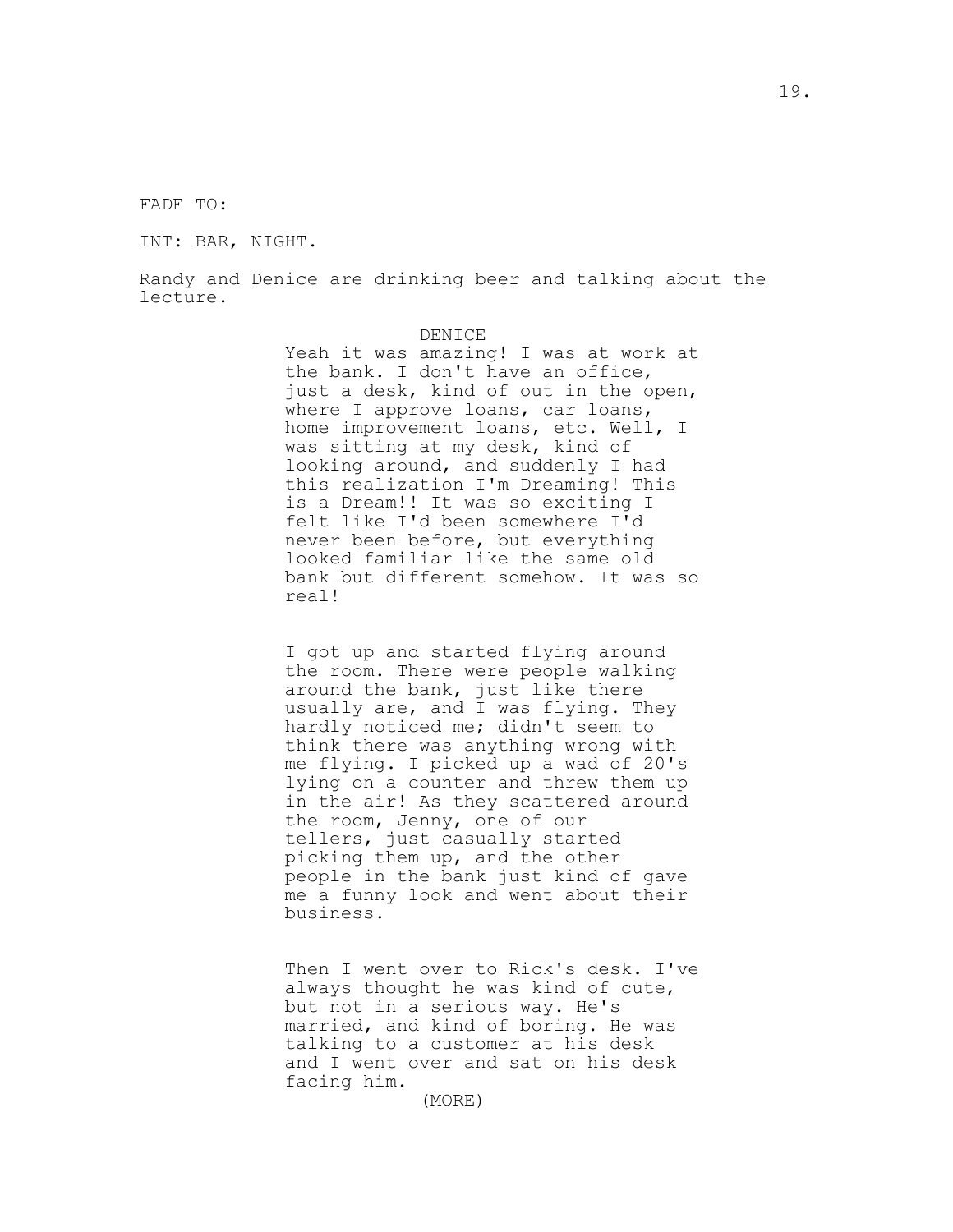FADE TO:

INT: BAR, NIGHT.

Randy and Denice are drinking beer and talking about the lecture.

### DENICE

Yeah it was amazing! I was at work at the bank. I don't have an office, just a desk, kind of out in the open, where I approve loans, car loans, home improvement loans, etc. Well, I was sitting at my desk, kind of looking around, and suddenly I had this realization I'm Dreaming! This is a Dream!! It was so exciting I felt like I'd been somewhere I'd never been before, but everything looked familiar like the same old bank but different somehow. It was so real!

I got up and started flying around the room. There were people walking around the bank, just like there usually are, and I was flying. They hardly noticed me; didn't seem to think there was anything wrong with me flying. I picked up a wad of 20's lying on a counter and threw them up in the air! As they scattered around the room, Jenny, one of our tellers, just casually started picking them up, and the other people in the bank just kind of gave me a funny look and went about their business.

Then I went over to Rick's desk. I've always thought he was kind of cute, but not in a serious way. He's married, and kind of boring. He was talking to a customer at his desk and I went over and sat on his desk facing him.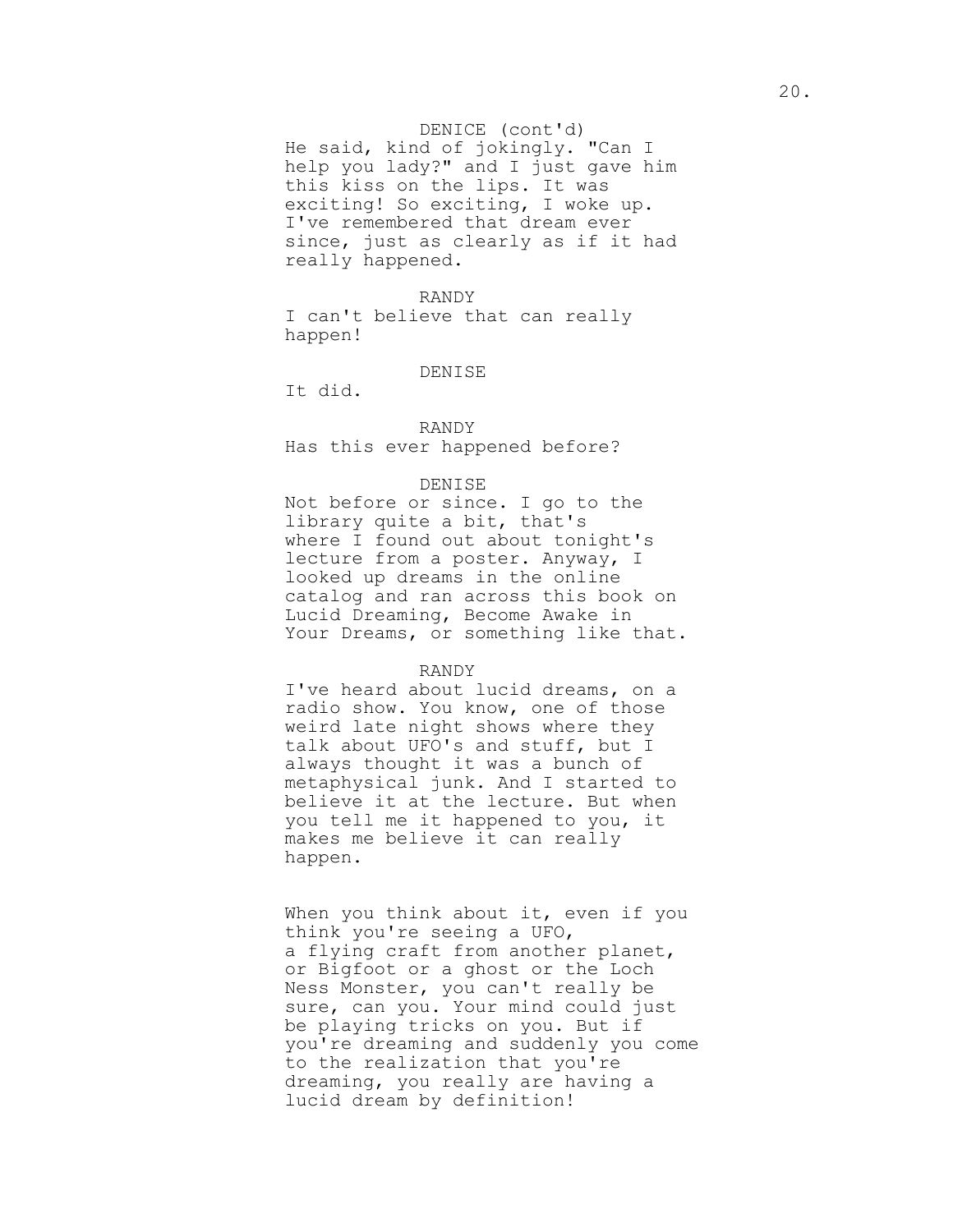#### DENICE (cont'd)

He said, kind of jokingly. "Can I help you lady?" and I just gave him this kiss on the lips. It was exciting! So exciting, I woke up. I've remembered that dream ever since, just as clearly as if it had really happened.

#### RANDY

I can't believe that can really happen!

#### DENISE

It did.

## RANDY

Has this ever happened before?

#### DENISE

Not before or since. I go to the library quite a bit, that's where I found out about tonight's lecture from a poster. Anyway, I looked up dreams in the online catalog and ran across this book on Lucid Dreaming, Become Awake in Your Dreams, or something like that.

#### RANDY

I've heard about lucid dreams, on a radio show. You know, one of those weird late night shows where they talk about UFO's and stuff, but I always thought it was a bunch of metaphysical junk. And I started to believe it at the lecture. But when you tell me it happened to you, it makes me believe it can really happen.

When you think about it, even if you think you're seeing a UFO, a flying craft from another planet, or Bigfoot or a ghost or the Loch Ness Monster, you can't really be sure, can you. Your mind could just be playing tricks on you. But if you're dreaming and suddenly you come to the realization that you're dreaming, you really are having a lucid dream by definition!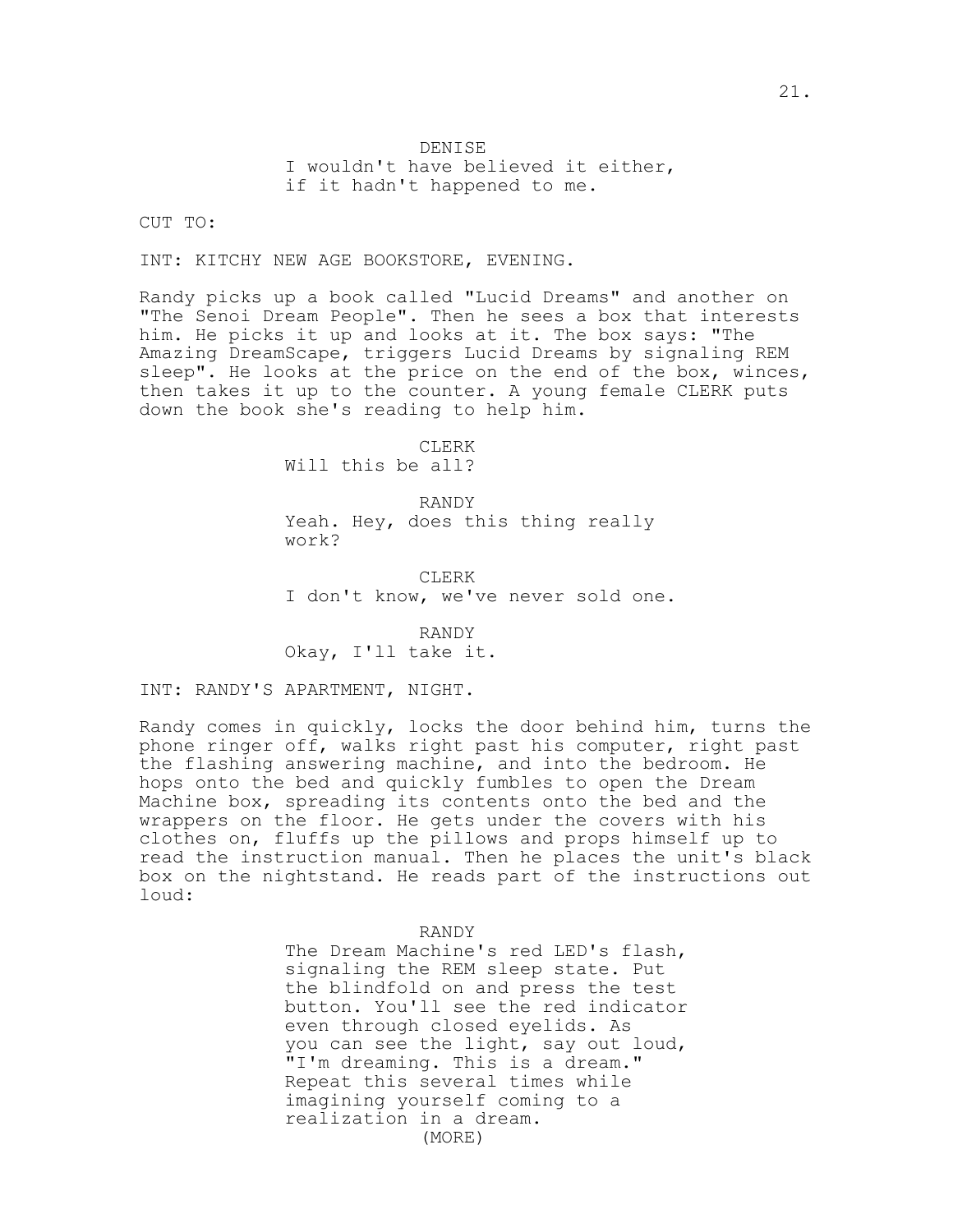#### DENISE

I wouldn't have believed it either, if it hadn't happened to me.

CUT TO:

INT: KITCHY NEW AGE BOOKSTORE, EVENING.

Randy picks up a book called "Lucid Dreams" and another on "The Senoi Dream People". Then he sees a box that interests him. He picks it up and looks at it. The box says: "The Amazing DreamScape, triggers Lucid Dreams by signaling REM sleep". He looks at the price on the end of the box, winces, then takes it up to the counter. A young female CLERK puts down the book she's reading to help him.

> CLERK Will this be all?

RANDY Yeah. Hey, does this thing really work?

CLERK I don't know, we've never sold one.

RANDY Okay, I'll take it.

INT: RANDY'S APARTMENT, NIGHT.

Randy comes in quickly, locks the door behind him, turns the phone ringer off, walks right past his computer, right past the flashing answering machine, and into the bedroom. He hops onto the bed and quickly fumbles to open the Dream Machine box, spreading its contents onto the bed and the wrappers on the floor. He gets under the covers with his clothes on, fluffs up the pillows and props himself up to read the instruction manual. Then he places the unit's black box on the nightstand. He reads part of the instructions out loud:

RANDY

The Dream Machine's red LED's flash, signaling the REM sleep state. Put the blindfold on and press the test button. You'll see the red indicator even through closed eyelids. As you can see the light, say out loud, "I'm dreaming. This is a dream." Repeat this several times while imagining yourself coming to a realization in a dream. (MORE)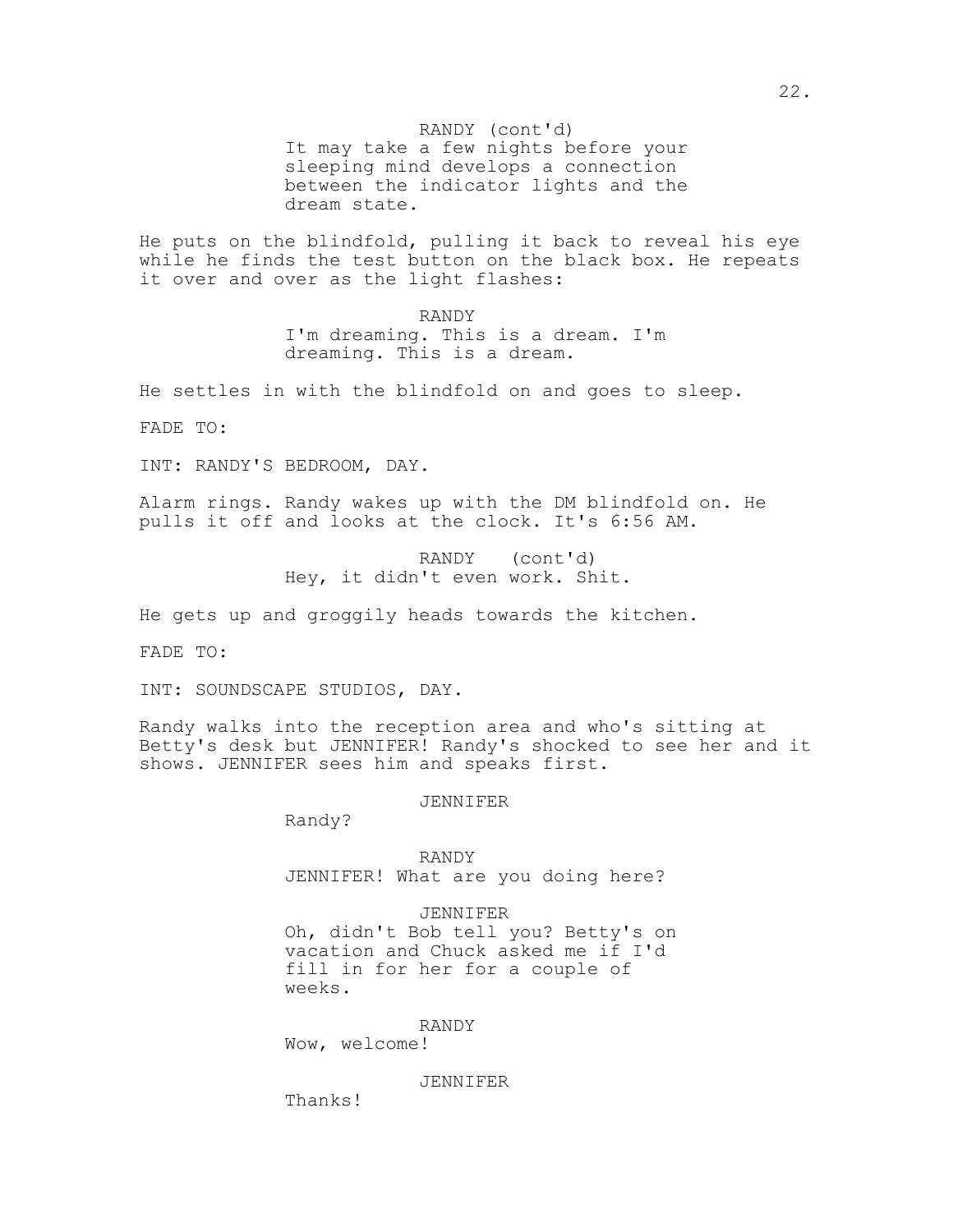RANDY (cont'd)

It may take a few nights before your sleeping mind develops a connection between the indicator lights and the dream state.

He puts on the blindfold, pulling it back to reveal his eye while he finds the test button on the black box. He repeats it over and over as the light flashes:

> RANDY I'm dreaming. This is a dream. I'm dreaming. This is a dream.

He settles in with the blindfold on and goes to sleep.

FADE TO:

INT: RANDY'S BEDROOM, DAY.

Alarm rings. Randy wakes up with the DM blindfold on. He pulls it off and looks at the clock. It's 6:56 AM.

> RANDY (cont'd) Hey, it didn't even work. Shit.

He gets up and groggily heads towards the kitchen.

FADE TO:

INT: SOUNDSCAPE STUDIOS, DAY.

Randy walks into the reception area and who's sitting at Betty's desk but JENNIFER! Randy's shocked to see her and it shows. JENNIFER sees him and speaks first.

JENNIFER

Randy?

RANDY JENNIFER! What are you doing here?

JENNIFER Oh, didn't Bob tell you? Betty's on vacation and Chuck asked me if I'd fill in for her for a couple of weeks.

RANDY

Wow, welcome!

JENNIFER

Thanks!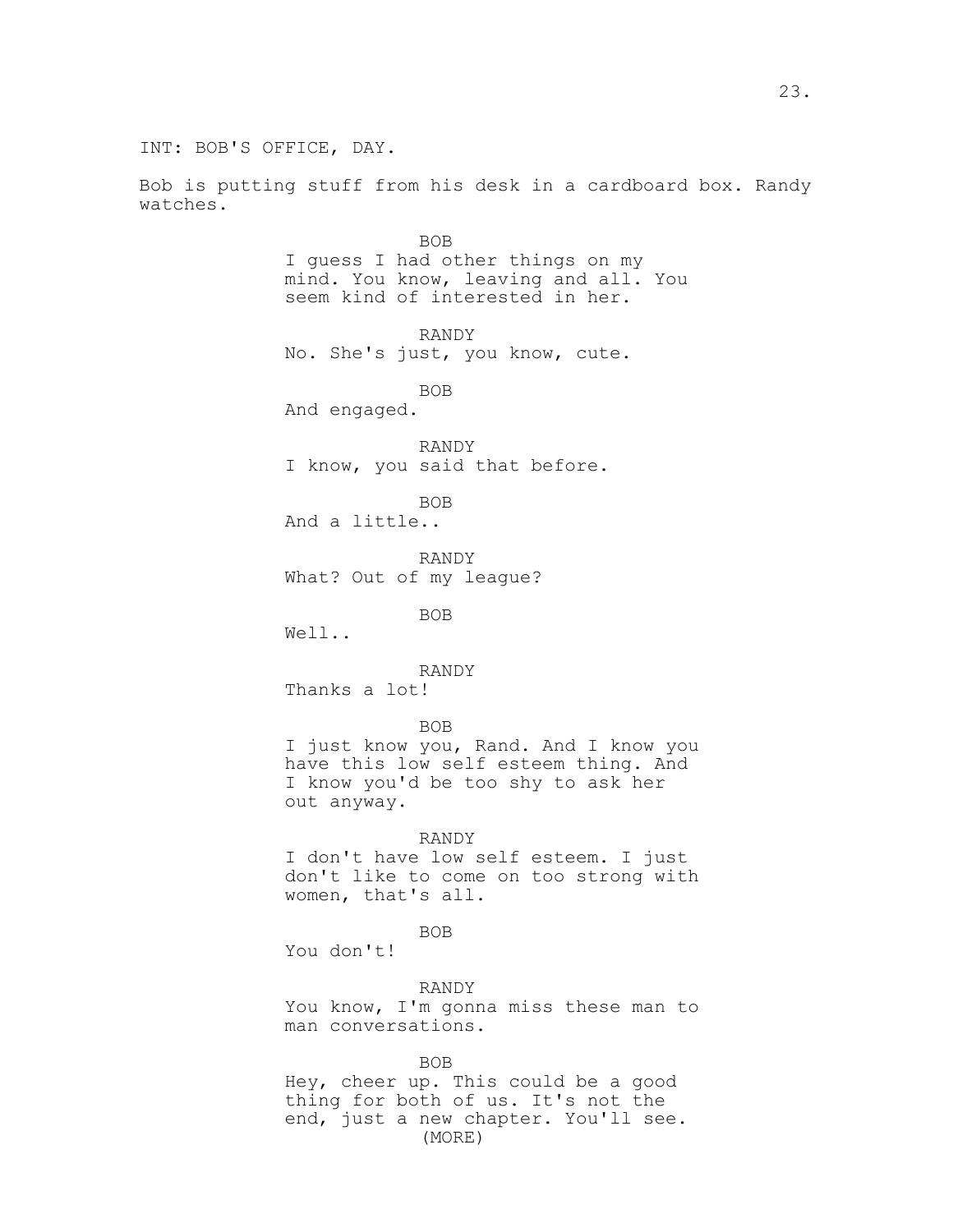INT: BOB'S OFFICE, DAY.

Bob is putting stuff from his desk in a cardboard box. Randy watches.

> BOB I guess I had other things on my mind. You know, leaving and all. You seem kind of interested in her. RANDY No. She's just, you know, cute. BOB And engaged. RANDY I know, you said that before. BOB And a little.. RANDY What? Out of my league? BOB Well.. RANDY Thanks a lot! BOB I just know you, Rand. And I know you have this low self esteem thing. And I know you'd be too shy to ask her out anyway. RANDY I don't have low self esteem. I just don't like to come on too strong with women, that's all. BOB You don't! RANDY You know, I'm gonna miss these man to man conversations.

BOB Hey, cheer up. This could be a good thing for both of us. It's not the end, just a new chapter. You'll see. (MORE)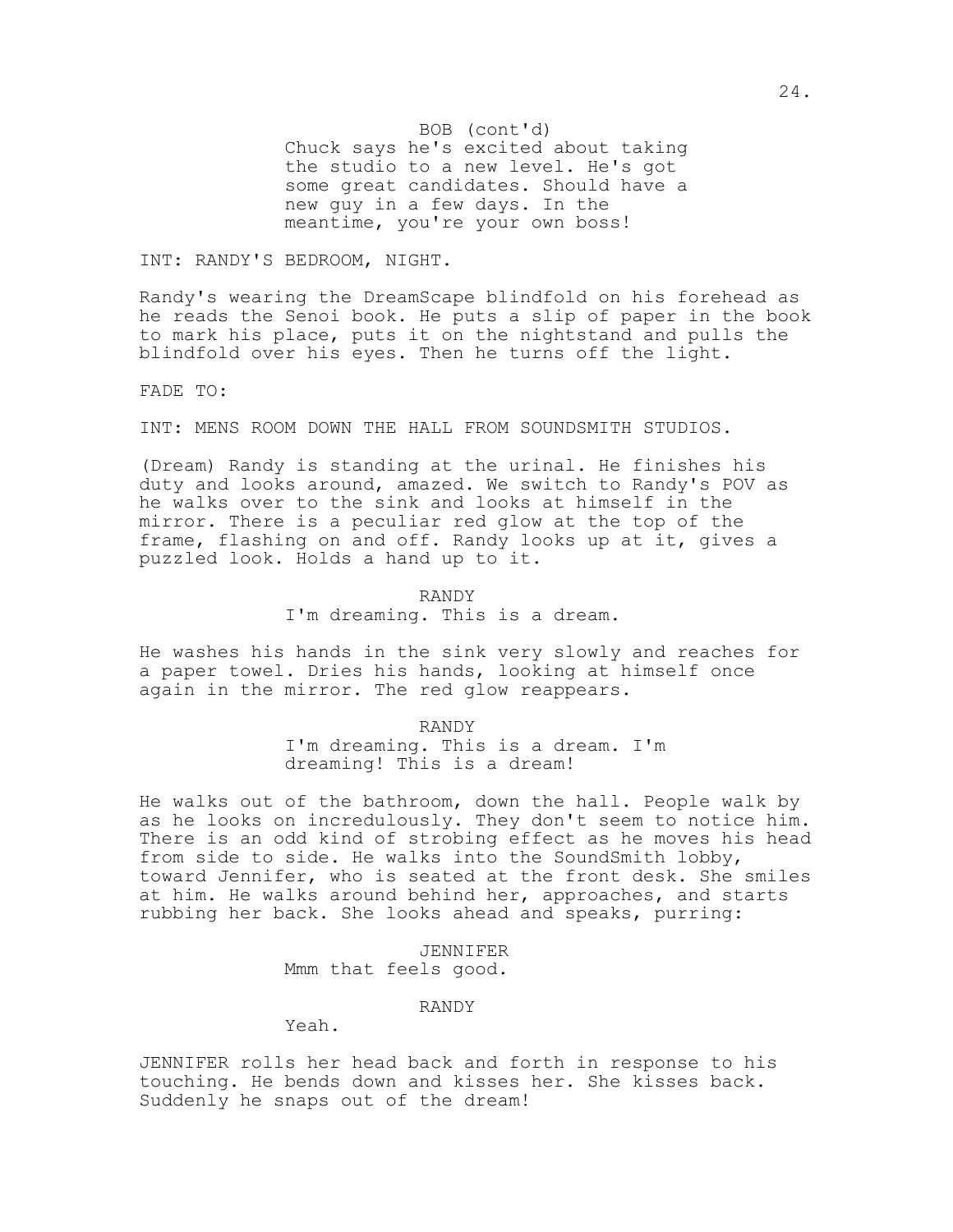Chuck says he's excited about taking BOB (cont'd) the studio to a new level. He's got some great candidates. Should have a new guy in a few days. In the meantime, you're your own boss!

INT: RANDY'S BEDROOM, NIGHT.

Randy's wearing the DreamScape blindfold on his forehead as he reads the Senoi book. He puts a slip of paper in the book to mark his place, puts it on the nightstand and pulls the blindfold over his eyes. Then he turns off the light.

FADE TO:

INT: MENS ROOM DOWN THE HALL FROM SOUNDSMITH STUDIOS.

(Dream) Randy is standing at the urinal. He finishes his duty and looks around, amazed. We switch to Randy's POV as he walks over to the sink and looks at himself in the mirror. There is a peculiar red glow at the top of the frame, flashing on and off. Randy looks up at it, gives a puzzled look. Holds a hand up to it.

## RANDY I'm dreaming. This is a dream.

He washes his hands in the sink very slowly and reaches for a paper towel. Dries his hands, looking at himself once again in the mirror. The red glow reappears.

> RANDY I'm dreaming. This is a dream. I'm dreaming! This is a dream!

He walks out of the bathroom, down the hall. People walk by as he looks on incredulously. They don't seem to notice him. There is an odd kind of strobing effect as he moves his head from side to side. He walks into the SoundSmith lobby, toward Jennifer, who is seated at the front desk. She smiles at him. He walks around behind her, approaches, and starts rubbing her back. She looks ahead and speaks, purring:

> JENNIFER Mmm that feels good.

> > RANDY

Yeah.

JENNIFER rolls her head back and forth in response to his touching. He bends down and kisses her. She kisses back. Suddenly he snaps out of the dream!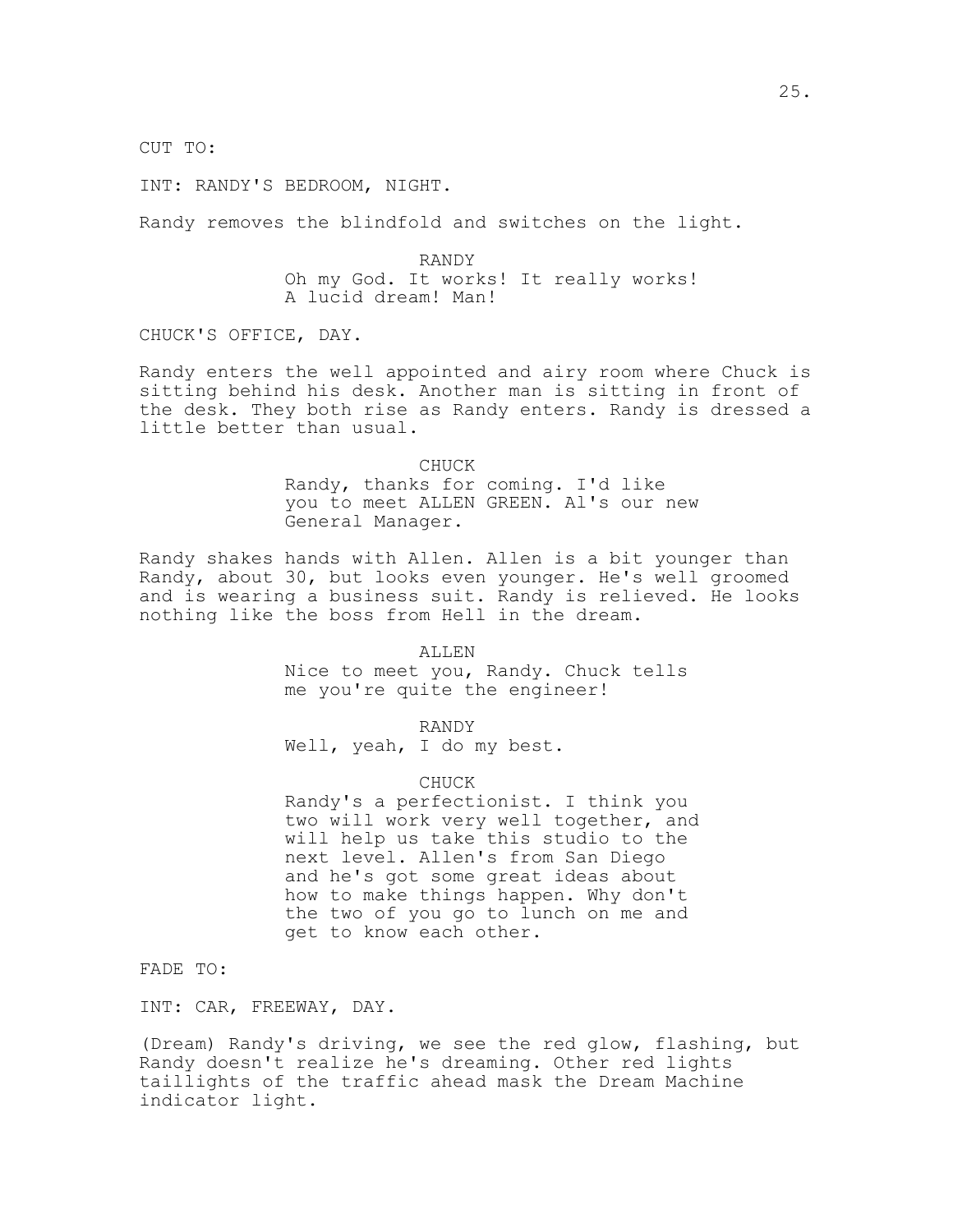CUT TO:

INT: RANDY'S BEDROOM, NIGHT.

Randy removes the blindfold and switches on the light.

RANDY Oh my God. It works! It really works! A lucid dream! Man!

CHUCK'S OFFICE, DAY.

Randy enters the well appointed and airy room where Chuck is sitting behind his desk. Another man is sitting in front of the desk. They both rise as Randy enters. Randy is dressed a little better than usual.

> CHUCK Randy, thanks for coming. I'd like you to meet ALLEN GREEN. Al's our new General Manager.

Randy shakes hands with Allen. Allen is a bit younger than Randy, about 30, but looks even younger. He's well groomed and is wearing a business suit. Randy is relieved. He looks nothing like the boss from Hell in the dream.

#### ALLEN

Nice to meet you, Randy. Chuck tells me you're quite the engineer!

RANDY Well, yeah, I do my best.

#### CHUCK

Randy's a perfectionist. I think you two will work very well together, and will help us take this studio to the next level. Allen's from San Diego and he's got some great ideas about how to make things happen. Why don't the two of you go to lunch on me and get to know each other.

FADE TO:

INT: CAR, FREEWAY, DAY.

(Dream) Randy's driving, we see the red glow, flashing, but Randy doesn't realize he's dreaming. Other red lights taillights of the traffic ahead mask the Dream Machine indicator light.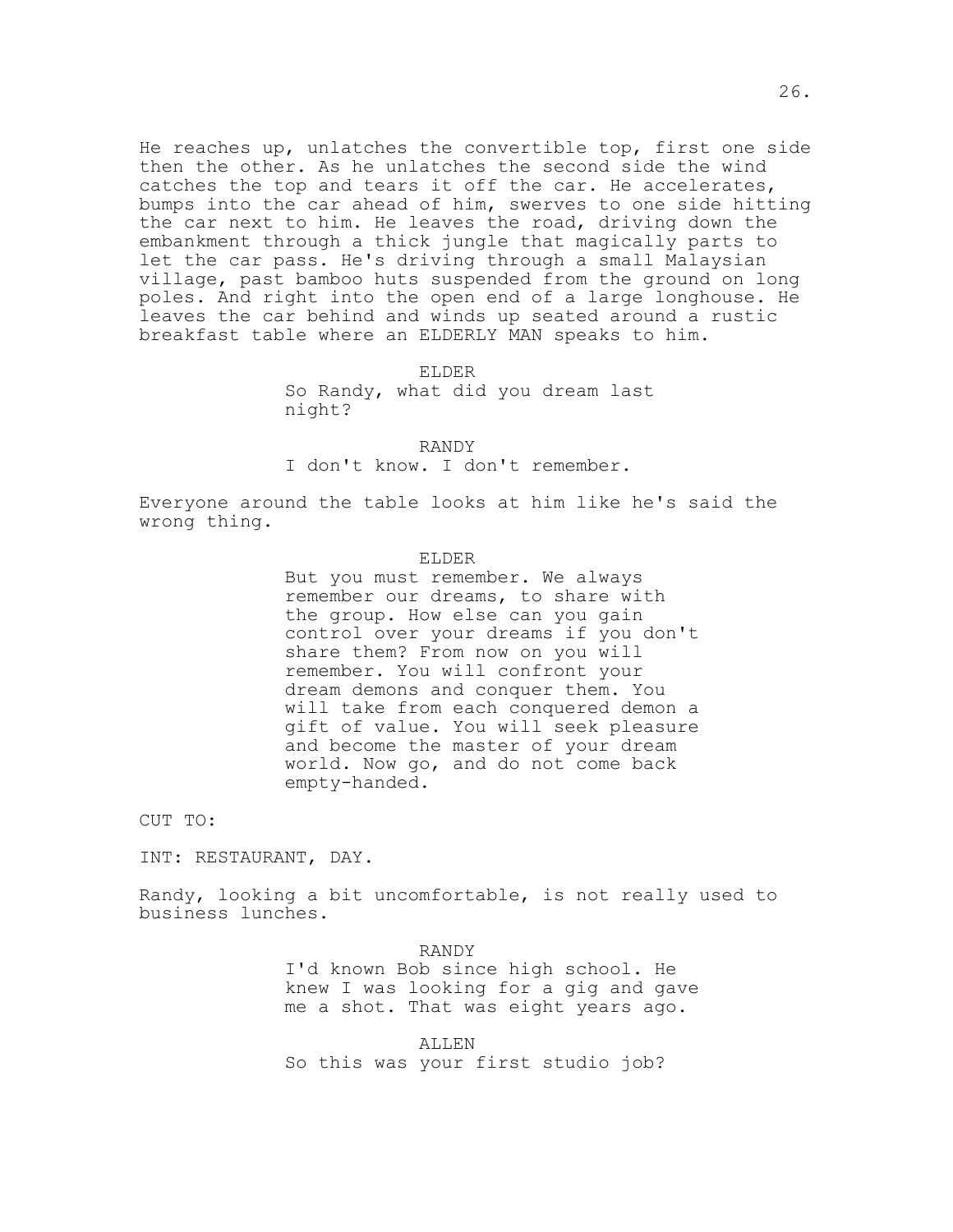He reaches up, unlatches the convertible top, first one side then the other. As he unlatches the second side the wind catches the top and tears it off the car. He accelerates, bumps into the car ahead of him, swerves to one side hitting the car next to him. He leaves the road, driving down the embankment through a thick jungle that magically parts to let the car pass. He's driving through a small Malaysian village, past bamboo huts suspended from the ground on long poles. And right into the open end of a large longhouse. He leaves the car behind and winds up seated around a rustic breakfast table where an ELDERLY MAN speaks to him.

#### ELDER

So Randy, what did you dream last night?

RANDY

I don't know. I don't remember.

Everyone around the table looks at him like he's said the wrong thing.

#### ELDER

But you must remember. We always remember our dreams, to share with the group. How else can you gain control over your dreams if you don't share them? From now on you will remember. You will confront your dream demons and conquer them. You will take from each conquered demon a gift of value. You will seek pleasure and become the master of your dream world. Now go, and do not come back empty-handed.

CUT TO:

INT: RESTAURANT, DAY.

Randy, looking a bit uncomfortable, is not really used to business lunches.

> RANDY I'd known Bob since high school. He knew I was looking for a gig and gave me a shot. That was eight years ago.

ALLEN So this was your first studio job?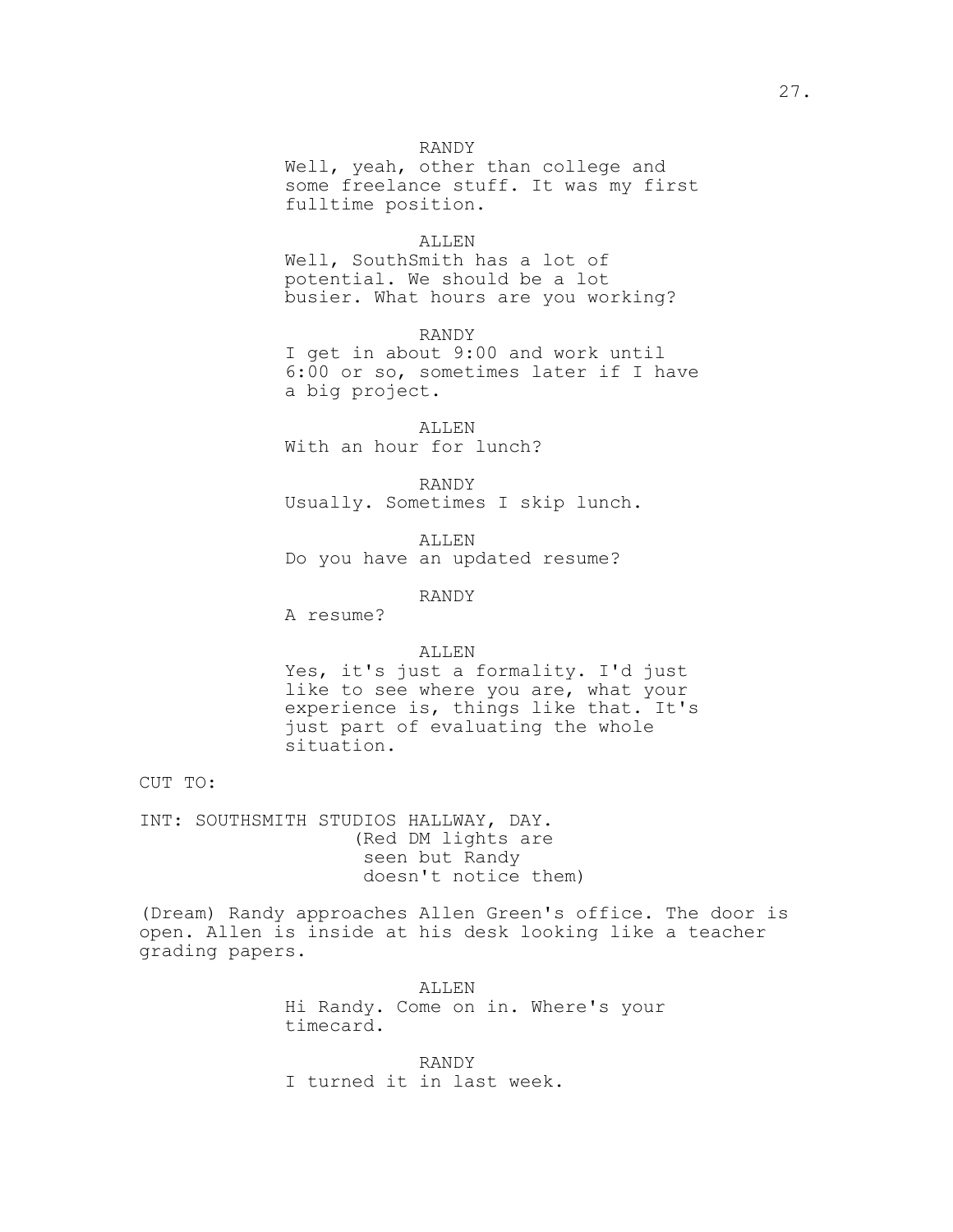### RANDY

Well, yeah, other than college and some freelance stuff. It was my first fulltime position.

#### ALLEN

Well, SouthSmith has a lot of potential. We should be a lot busier. What hours are you working?

RANDY

I get in about 9:00 and work until 6:00 or so, sometimes later if I have a big project.

ALLEN With an hour for lunch?

RANDY Usually. Sometimes I skip lunch.

ALLEN Do you have an updated resume?

RANDY

A resume?

### ALLEN

Yes, it's just a formality. I'd just like to see where you are, what your experience is, things like that. It's just part of evaluating the whole situation.

CUT TO:

INT: SOUTHSMITH STUDIOS HALLWAY, DAY. (Red DM lights are seen but Randy doesn't notice them)

(Dream) Randy approaches Allen Green's office. The door is open. Allen is inside at his desk looking like a teacher grading papers.

> ALLEN Hi Randy. Come on in. Where's your timecard.

RANDY I turned it in last week.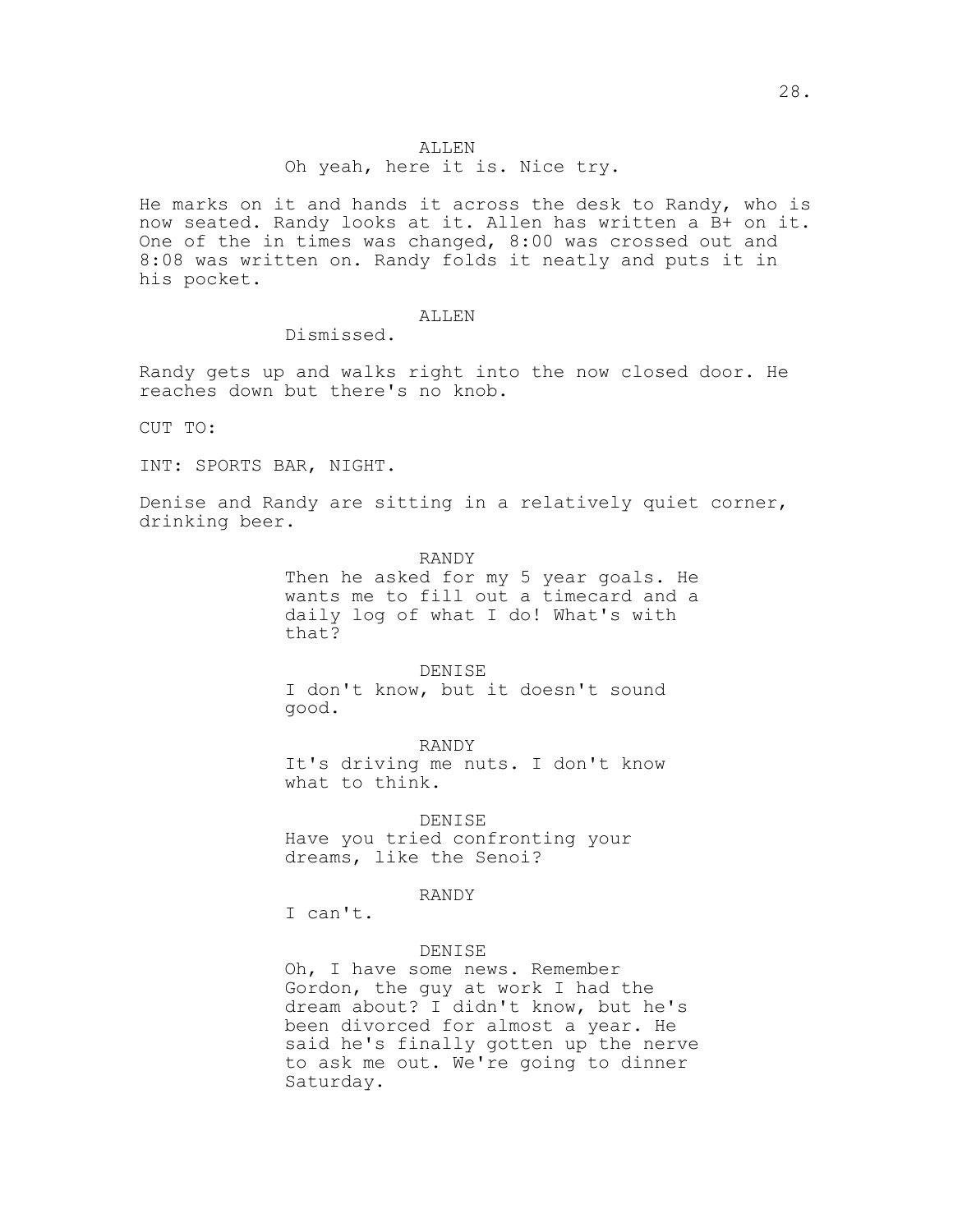## ALLEN

### Oh yeah, here it is. Nice try.

He marks on it and hands it across the desk to Randy, who is now seated. Randy looks at it. Allen has written a B+ on it. One of the in times was changed, 8:00 was crossed out and 8:08 was written on. Randy folds it neatly and puts it in his pocket.

## ALLEN

Dismissed.

Randy gets up and walks right into the now closed door. He reaches down but there's no knob.

CUT TO:

INT: SPORTS BAR, NIGHT.

Denise and Randy are sitting in a relatively quiet corner, drinking beer.

RANDY

Then he asked for my 5 year goals. He wants me to fill out a timecard and a daily log of what I do! What's with that?

DENISE I don't know, but it doesn't sound good.

RANDY

It's driving me nuts. I don't know what to think.

#### DENISE

Have you tried confronting your dreams, like the Senoi?

RANDY

I can't.

### DENISE

Oh, I have some news. Remember Gordon, the guy at work I had the dream about? I didn't know, but he's been divorced for almost a year. He said he's finally gotten up the nerve to ask me out. We're going to dinner Saturday.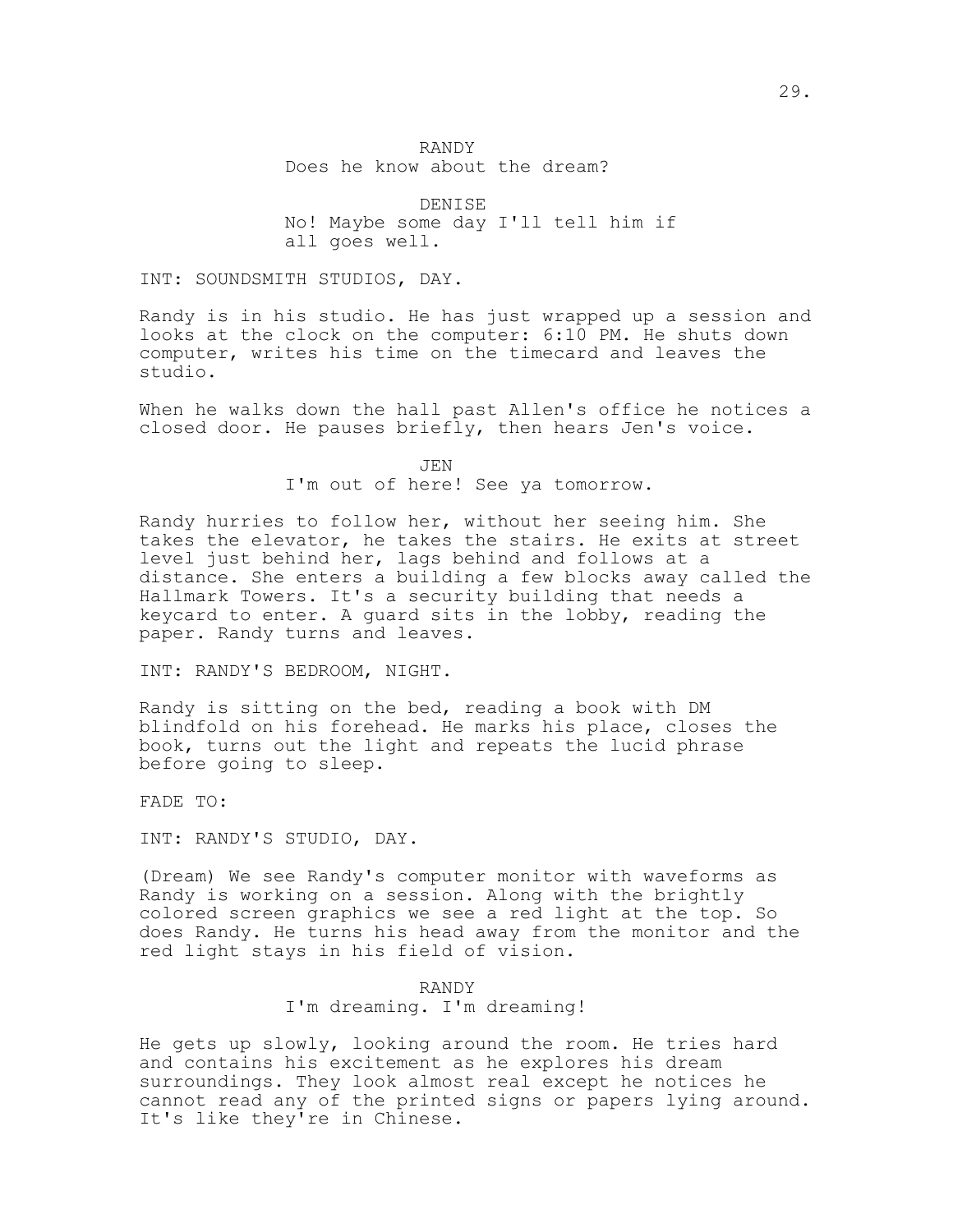## RANDY Does he know about the dream?

DENISE No! Maybe some day I'll tell him if all goes well.

INT: SOUNDSMITH STUDIOS, DAY.

Randy is in his studio. He has just wrapped up a session and looks at the clock on the computer: 6:10 PM. He shuts down computer, writes his time on the timecard and leaves the studio.

When he walks down the hall past Allen's office he notices a closed door. He pauses briefly, then hears Jen's voice.

> JEN I'm out of here! See ya tomorrow.

Randy hurries to follow her, without her seeing him. She takes the elevator, he takes the stairs. He exits at street level just behind her, lags behind and follows at a distance. She enters a building a few blocks away called the Hallmark Towers. It's a security building that needs a keycard to enter. A guard sits in the lobby, reading the paper. Randy turns and leaves.

INT: RANDY'S BEDROOM, NIGHT.

Randy is sitting on the bed, reading a book with DM blindfold on his forehead. He marks his place, closes the book, turns out the light and repeats the lucid phrase before going to sleep.

FADE TO:

INT: RANDY'S STUDIO, DAY.

(Dream) We see Randy's computer monitor with waveforms as Randy is working on a session. Along with the brightly colored screen graphics we see a red light at the top. So does Randy. He turns his head away from the monitor and the red light stays in his field of vision.

#### RANDY

I'm dreaming. I'm dreaming!

He gets up slowly, looking around the room. He tries hard and contains his excitement as he explores his dream surroundings. They look almost real except he notices he cannot read any of the printed signs or papers lying around. It's like they're in Chinese.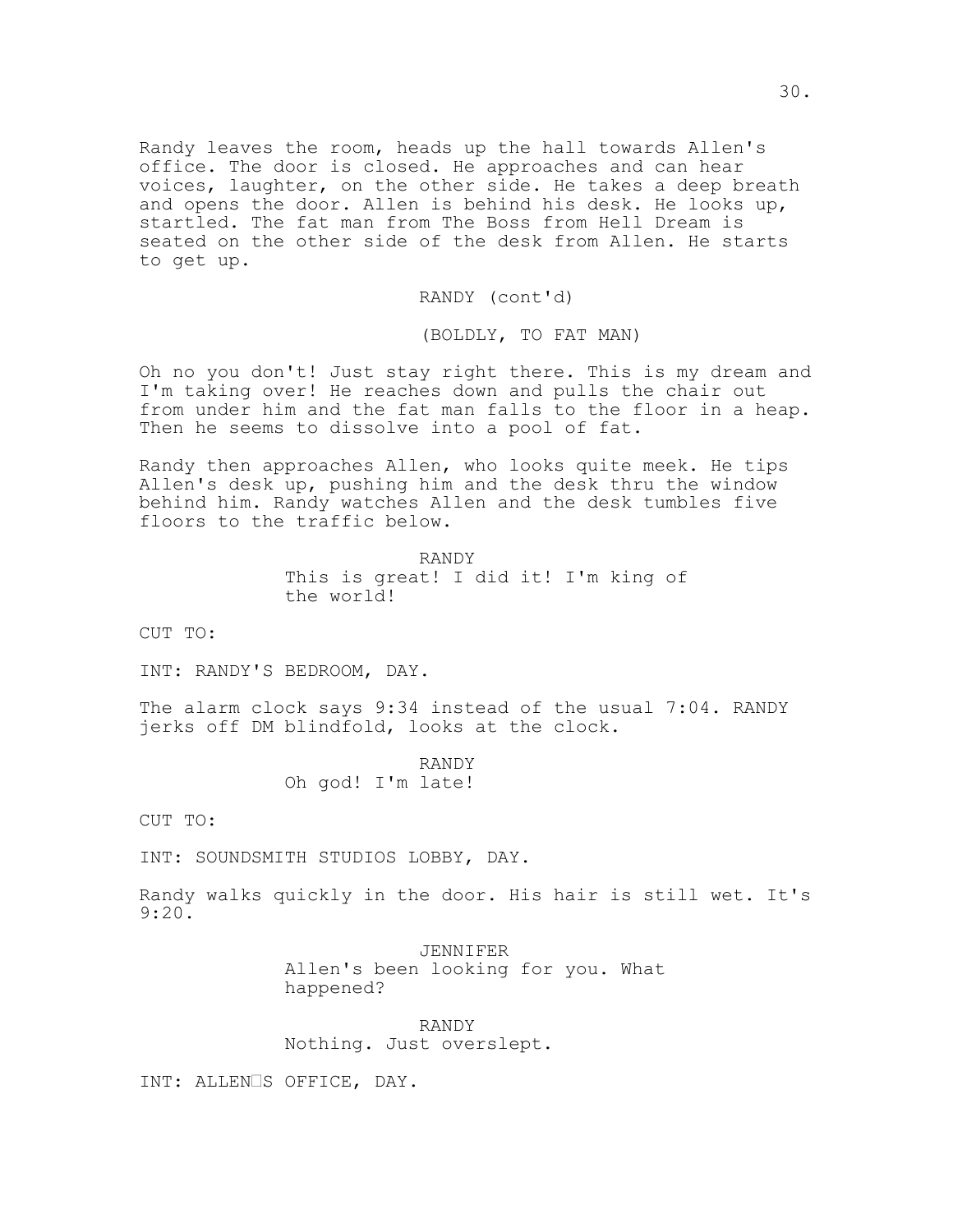Randy leaves the room, heads up the hall towards Allen's office. The door is closed. He approaches and can hear voices, laughter, on the other side. He takes a deep breath and opens the door. Allen is behind his desk. He looks up, startled. The fat man from The Boss from Hell Dream is seated on the other side of the desk from Allen. He starts to get up.

RANDY (cont'd)

(BOLDLY, TO FAT MAN)

Oh no you don't! Just stay right there. This is my dream and I'm taking over! He reaches down and pulls the chair out from under him and the fat man falls to the floor in a heap. Then he seems to dissolve into a pool of fat.

Randy then approaches Allen, who looks quite meek. He tips Allen's desk up, pushing him and the desk thru the window behind him. Randy watches Allen and the desk tumbles five floors to the traffic below.

> RANDY This is great! I did it! I'm king of the world!

CUT TO:

INT: RANDY'S BEDROOM, DAY.

The alarm clock says 9:34 instead of the usual 7:04. RANDY jerks off DM blindfold, looks at the clock.

> RANDY Oh god! I'm late!

CUT TO:

INT: SOUNDSMITH STUDIOS LOBBY, DAY.

Randy walks quickly in the door. His hair is still wet. It's 9:20.

> JENNIFER Allen's been looking for you. What happened?

RANDY Nothing. Just overslept.

INT: ALLENOS OFFICE, DAY.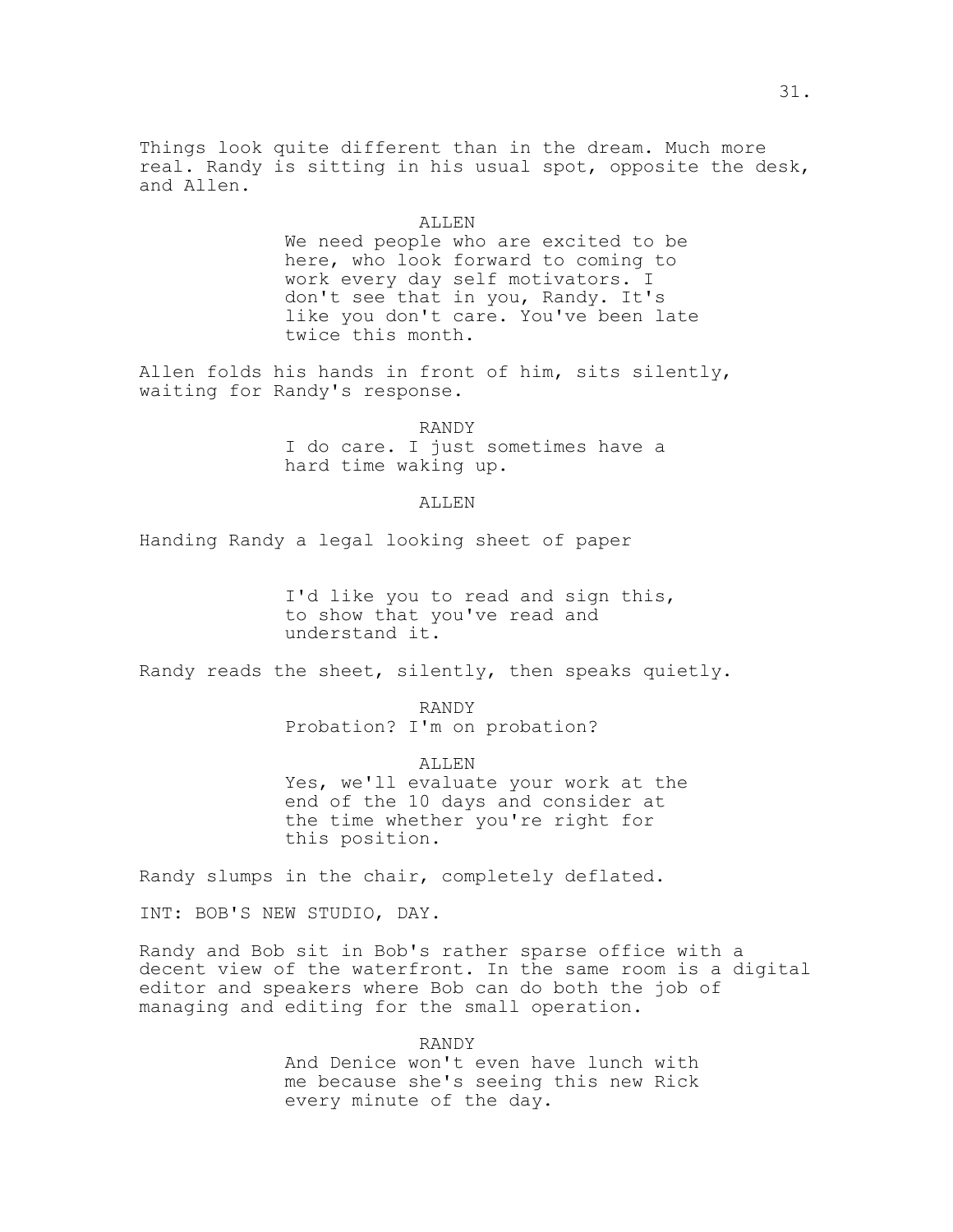Things look quite different than in the dream. Much more real. Randy is sitting in his usual spot, opposite the desk, and Allen.

#### ALLEN

We need people who are excited to be here, who look forward to coming to work every day self motivators. I don't see that in you, Randy. It's like you don't care. You've been late twice this month.

Allen folds his hands in front of him, sits silently, waiting for Randy's response.

> RANDY I do care. I just sometimes have a hard time waking up.

### ALLEN

Handing Randy a legal looking sheet of paper

I'd like you to read and sign this, to show that you've read and understand it.

Randy reads the sheet, silently, then speaks quietly.

RANDY Probation? I'm on probation?

ALLEN

Yes, we'll evaluate your work at the end of the 10 days and consider at the time whether you're right for this position.

Randy slumps in the chair, completely deflated.

INT: BOB'S NEW STUDIO, DAY.

Randy and Bob sit in Bob's rather sparse office with a decent view of the waterfront. In the same room is a digital editor and speakers where Bob can do both the job of managing and editing for the small operation.

> RANDY And Denice won't even have lunch with me because she's seeing this new Rick every minute of the day.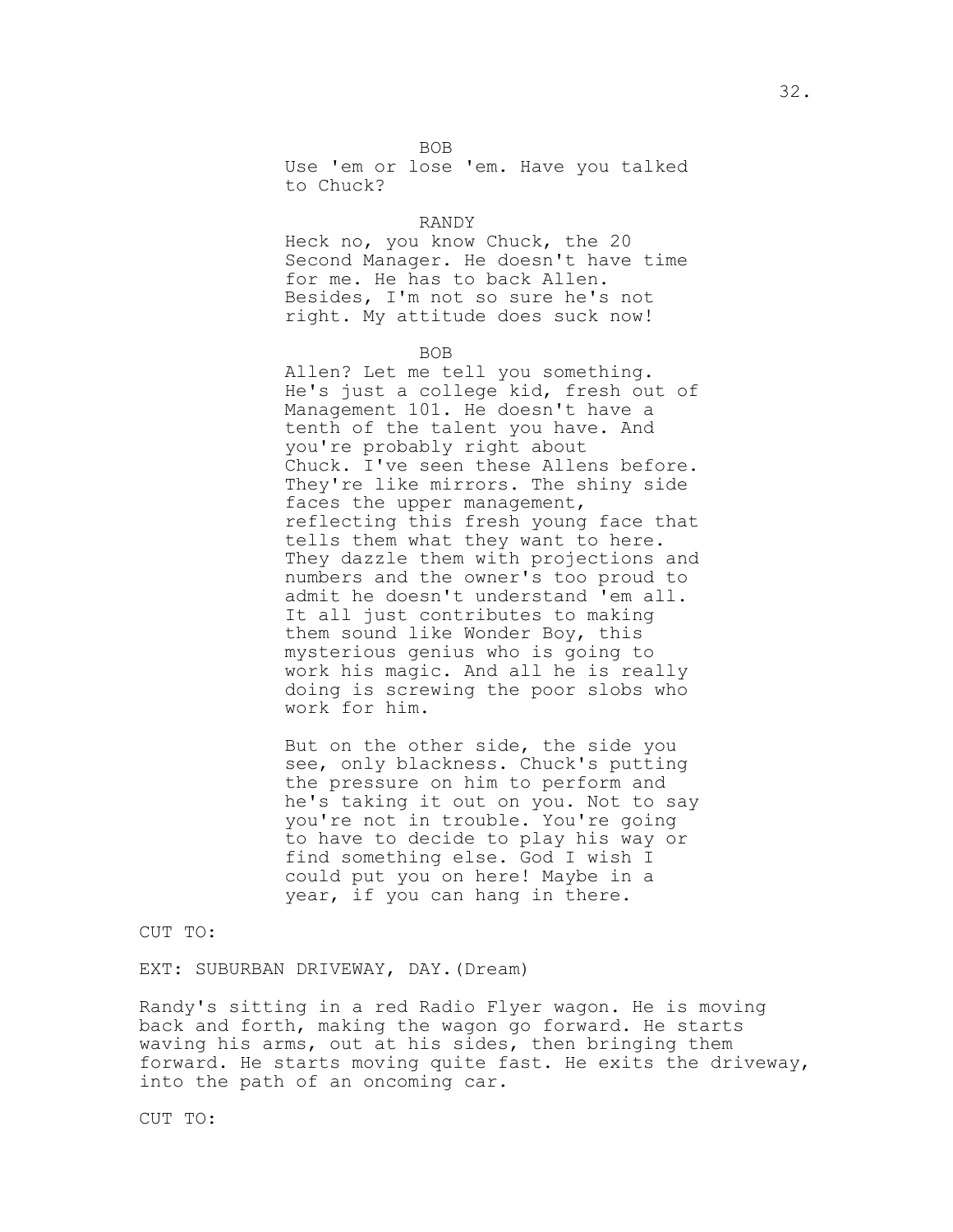BOB

Use 'em or lose 'em. Have you talked to Chuck?

## RANDY

Heck no, you know Chuck, the 20 Second Manager. He doesn't have time for me. He has to back Allen. Besides, I'm not so sure he's not right. My attitude does suck now!

### BOB

Allen? Let me tell you something. He's just a college kid, fresh out of Management 101. He doesn't have a tenth of the talent you have. And you're probably right about Chuck. I've seen these Allens before. They're like mirrors. The shiny side faces the upper management, reflecting this fresh young face that tells them what they want to here. They dazzle them with projections and numbers and the owner's too proud to admit he doesn't understand 'em all. It all just contributes to making them sound like Wonder Boy, this mysterious genius who is going to work his magic. And all he is really doing is screwing the poor slobs who work for him.

But on the other side, the side you see, only blackness. Chuck's putting the pressure on him to perform and he's taking it out on you. Not to say you're not in trouble. You're going to have to decide to play his way or find something else. God I wish I could put you on here! Maybe in a year, if you can hang in there.

CUT TO:

EXT: SUBURBAN DRIVEWAY, DAY.(Dream)

Randy's sitting in a red Radio Flyer wagon. He is moving back and forth, making the wagon go forward. He starts waving his arms, out at his sides, then bringing them forward. He starts moving quite fast. He exits the driveway, into the path of an oncoming car.

CUT TO: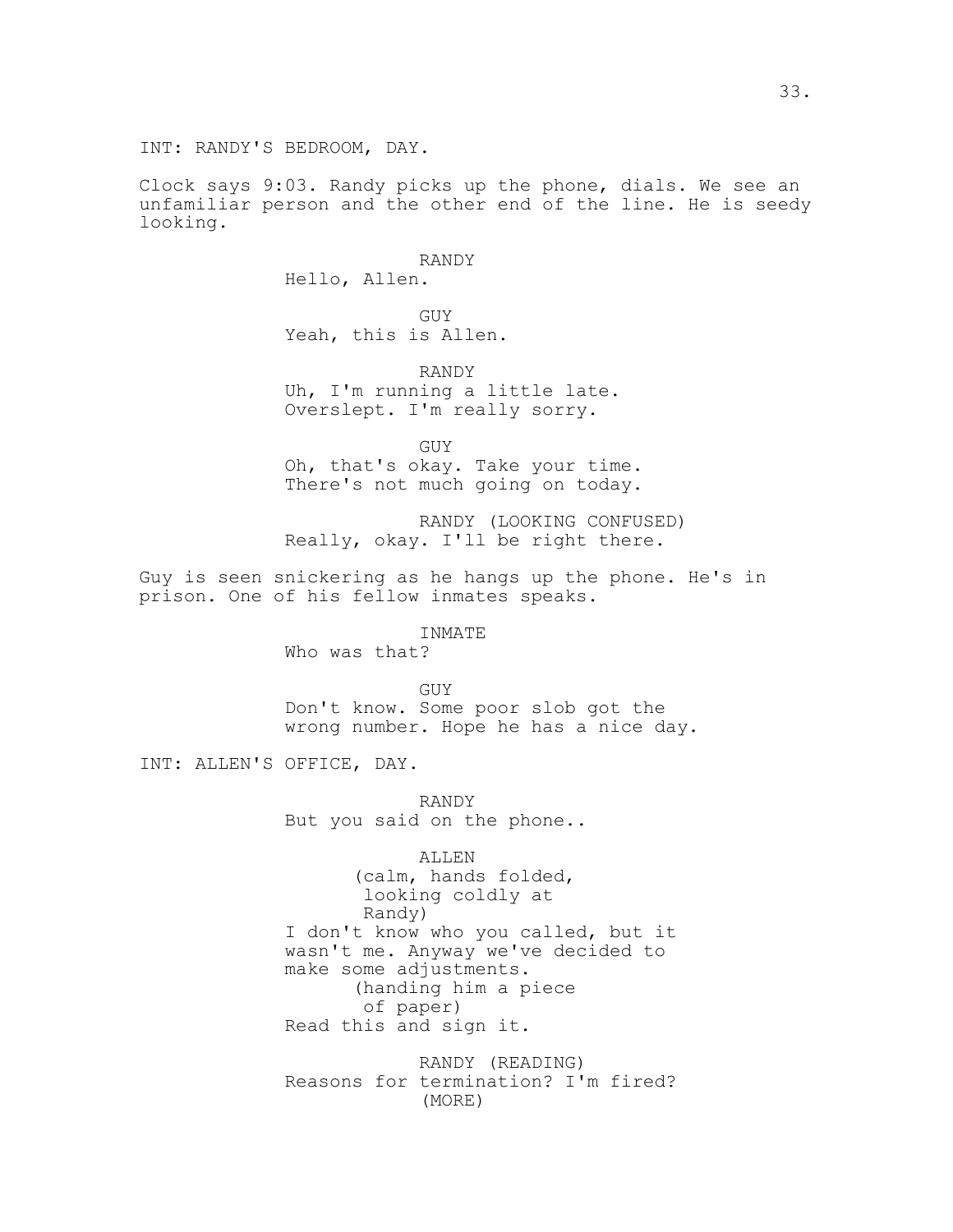INT: RANDY'S BEDROOM, DAY.

Clock says 9:03. Randy picks up the phone, dials. We see an unfamiliar person and the other end of the line. He is seedy looking.

> RANDY Hello, Allen.

GUY Yeah, this is Allen.

RANDY Uh, I'm running a little late. Overslept. I'm really sorry.

GUY Oh, that's okay. Take your time. There's not much going on today.

RANDY (LOOKING CONFUSED) Really, okay. I'll be right there.

Guy is seen snickering as he hangs up the phone. He's in prison. One of his fellow inmates speaks.

INMATE

Who was that?

GUY

Don't know. Some poor slob got the wrong number. Hope he has a nice day.

INT: ALLEN'S OFFICE, DAY.

RANDY But you said on the phone..

ALLEN (calm, hands folded, looking coldly at Randy) I don't know who you called, but it wasn't me. Anyway we've decided to make some adjustments. (handing him a piece of paper) Read this and sign it.

RANDY (READING) Reasons for termination? I'm fired? (MORE)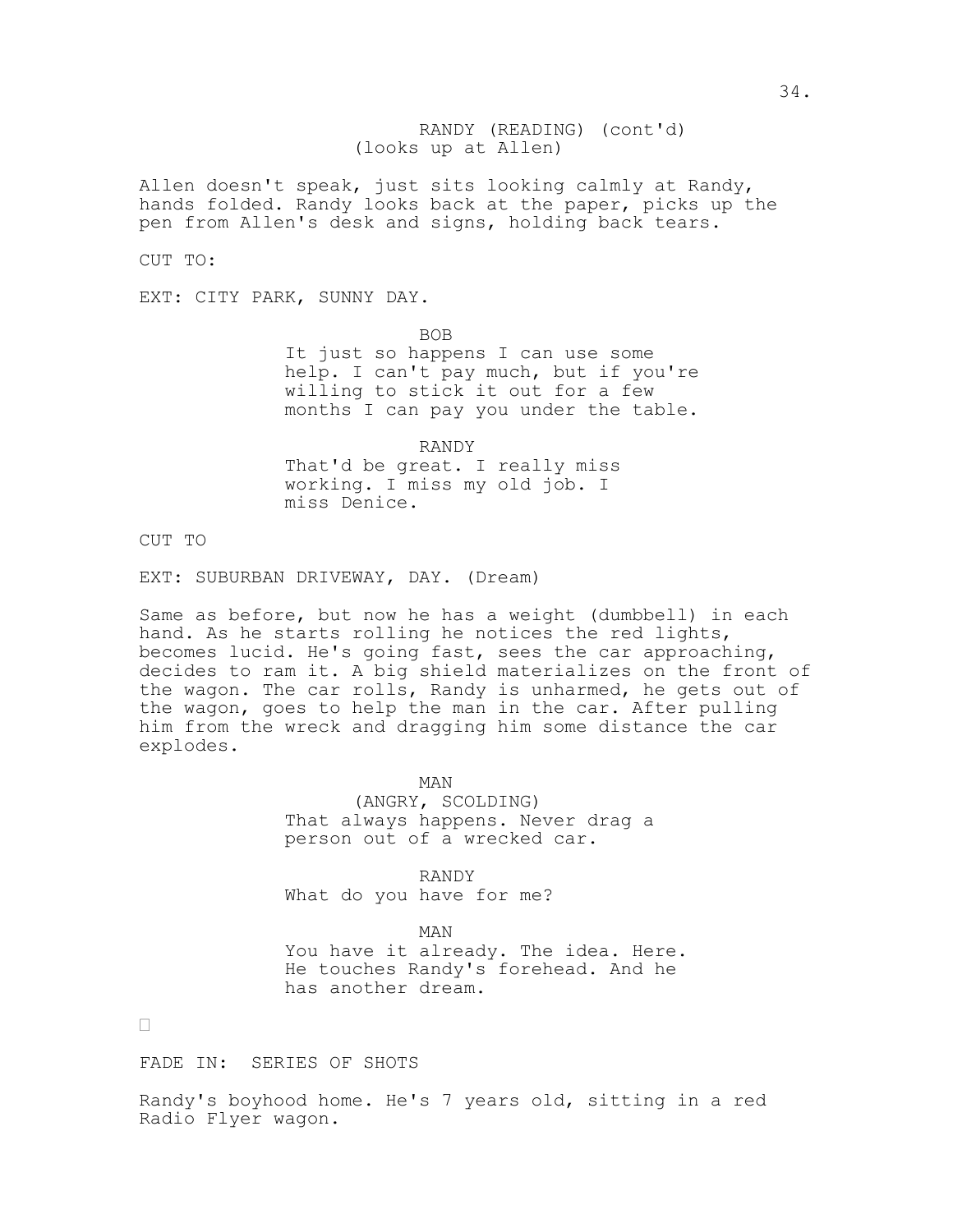(looks up at Allen) RANDY (READING) (cont'd)

Allen doesn't speak, just sits looking calmly at Randy, hands folded. Randy looks back at the paper, picks up the pen from Allen's desk and signs, holding back tears.

CUT TO:

EXT: CITY PARK, SUNNY DAY.

BOB

It just so happens I can use some help. I can't pay much, but if you're willing to stick it out for a few months I can pay you under the table.

RANDY That'd be great. I really miss working. I miss my old job. I miss Denice.

CUT TO

EXT: SUBURBAN DRIVEWAY, DAY. (Dream)

Same as before, but now he has a weight (dumbbell) in each hand. As he starts rolling he notices the red lights, becomes lucid. He's going fast, sees the car approaching, decides to ram it. A big shield materializes on the front of the wagon. The car rolls, Randy is unharmed, he gets out of the wagon, goes to help the man in the car. After pulling him from the wreck and dragging him some distance the car explodes.

> MAN (ANGRY, SCOLDING) That always happens. Never drag a person out of a wrecked car.

RANDY What do you have for me?

MAN You have it already. The idea. Here. He touches Randy's forehead. And he has another dream.

 $\Box$ 

FADE IN: SERIES OF SHOTS

Randy's boyhood home. He's 7 years old, sitting in a red Radio Flyer wagon.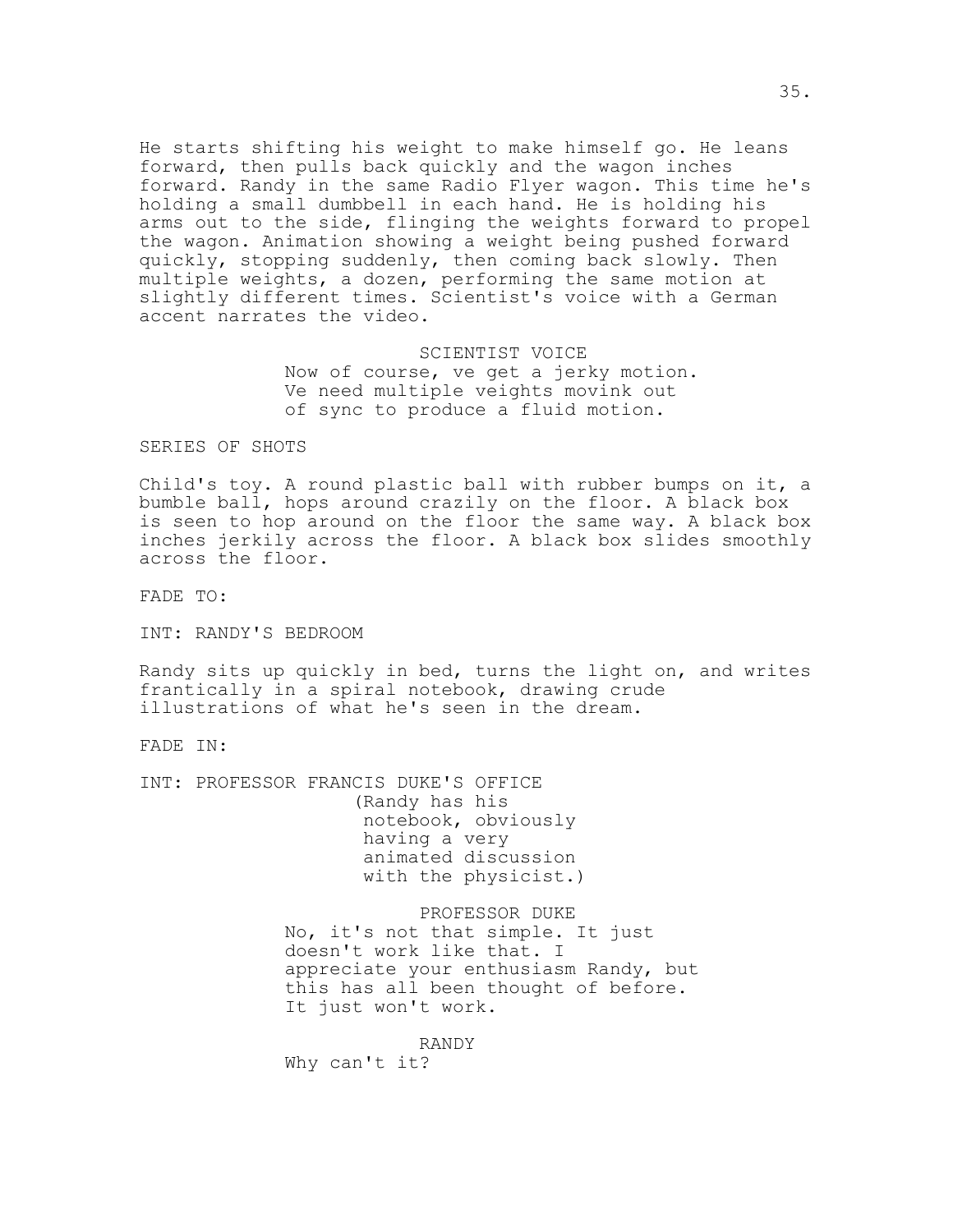He starts shifting his weight to make himself go. He leans forward, then pulls back quickly and the wagon inches forward. Randy in the same Radio Flyer wagon. This time he's holding a small dumbbell in each hand. He is holding his arms out to the side, flinging the weights forward to propel the wagon. Animation showing a weight being pushed forward quickly, stopping suddenly, then coming back slowly. Then multiple weights, a dozen, performing the same motion at slightly different times. Scientist's voice with a German accent narrates the video.

> SCIENTIST VOICE Now of course, ve get a jerky motion. Ve need multiple veights movink out of sync to produce a fluid motion.

SERIES OF SHOTS

Child's toy. A round plastic ball with rubber bumps on it, a bumble ball, hops around crazily on the floor. A black box is seen to hop around on the floor the same way. A black box inches jerkily across the floor. A black box slides smoothly across the floor.

FADE TO:

INT: RANDY'S BEDROOM

Randy sits up quickly in bed, turns the light on, and writes frantically in a spiral notebook, drawing crude illustrations of what he's seen in the dream.

FADE IN:

INT: PROFESSOR FRANCIS DUKE'S OFFICE (Randy has his notebook, obviously having a very animated discussion with the physicist.)

> PROFESSOR DUKE No, it's not that simple. It just doesn't work like that. I appreciate your enthusiasm Randy, but this has all been thought of before. It just won't work.

RANDY Why can't it?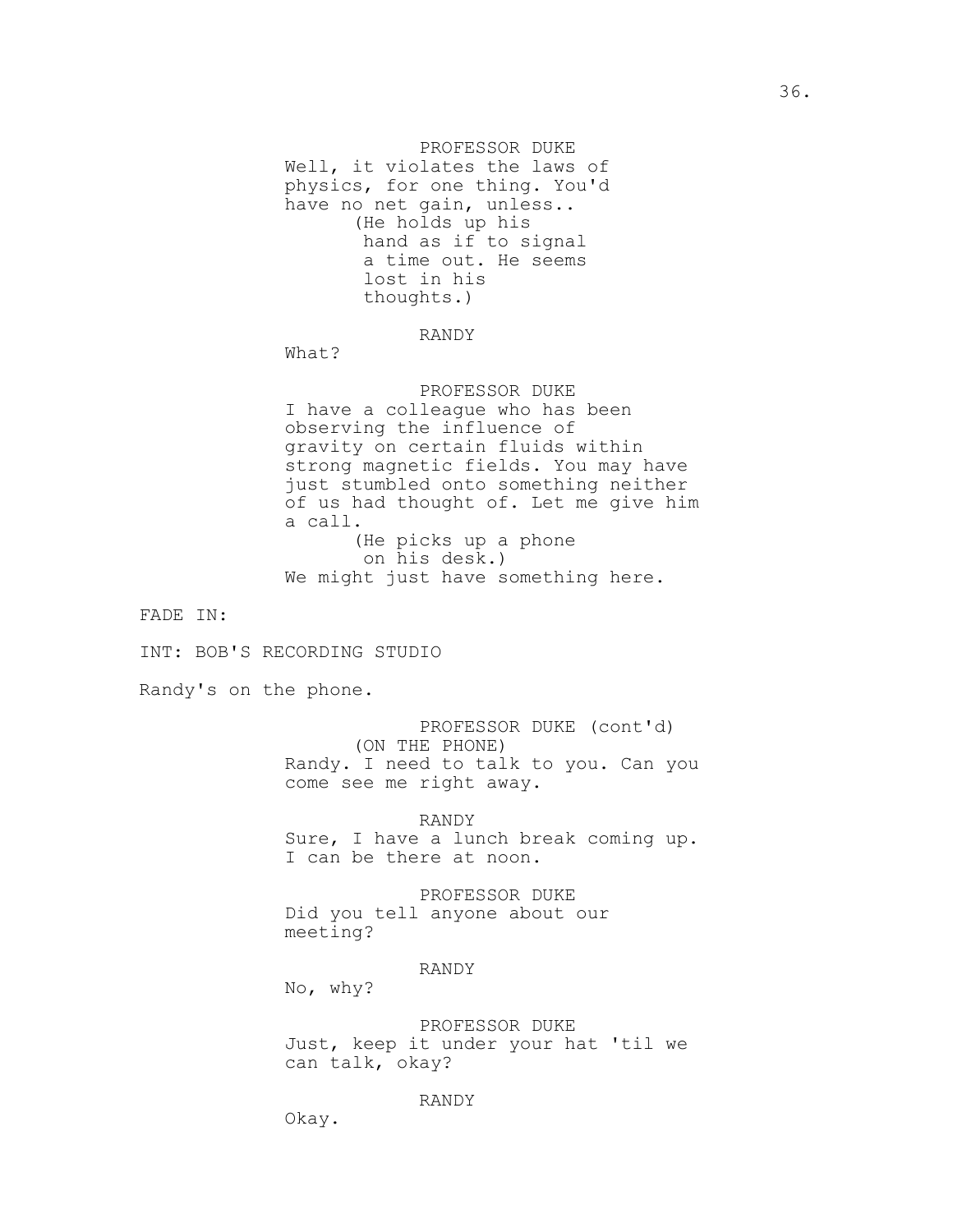PROFESSOR DUKE Well, it violates the laws of physics, for one thing. You'd have no net gain, unless.. (He holds up his hand as if to signal a time out. He seems lost in his thoughts.)

## RANDY

What?

PROFESSOR DUKE I have a colleague who has been observing the influence of gravity on certain fluids within strong magnetic fields. You may have just stumbled onto something neither of us had thought of. Let me give him a call. (He picks up a phone on his desk.) We might just have something here.

FADE IN:

INT: BOB'S RECORDING STUDIO

Randy's on the phone.

PROFESSOR DUKE (cont'd) (ON THE PHONE) Randy. I need to talk to you. Can you come see me right away.

RANDY Sure, I have a lunch break coming up. I can be there at noon.

PROFESSOR DUKE Did you tell anyone about our meeting?

### RANDY

No, why?

PROFESSOR DUKE Just, keep it under your hat 'til we can talk, okay?

RANDY

Okay.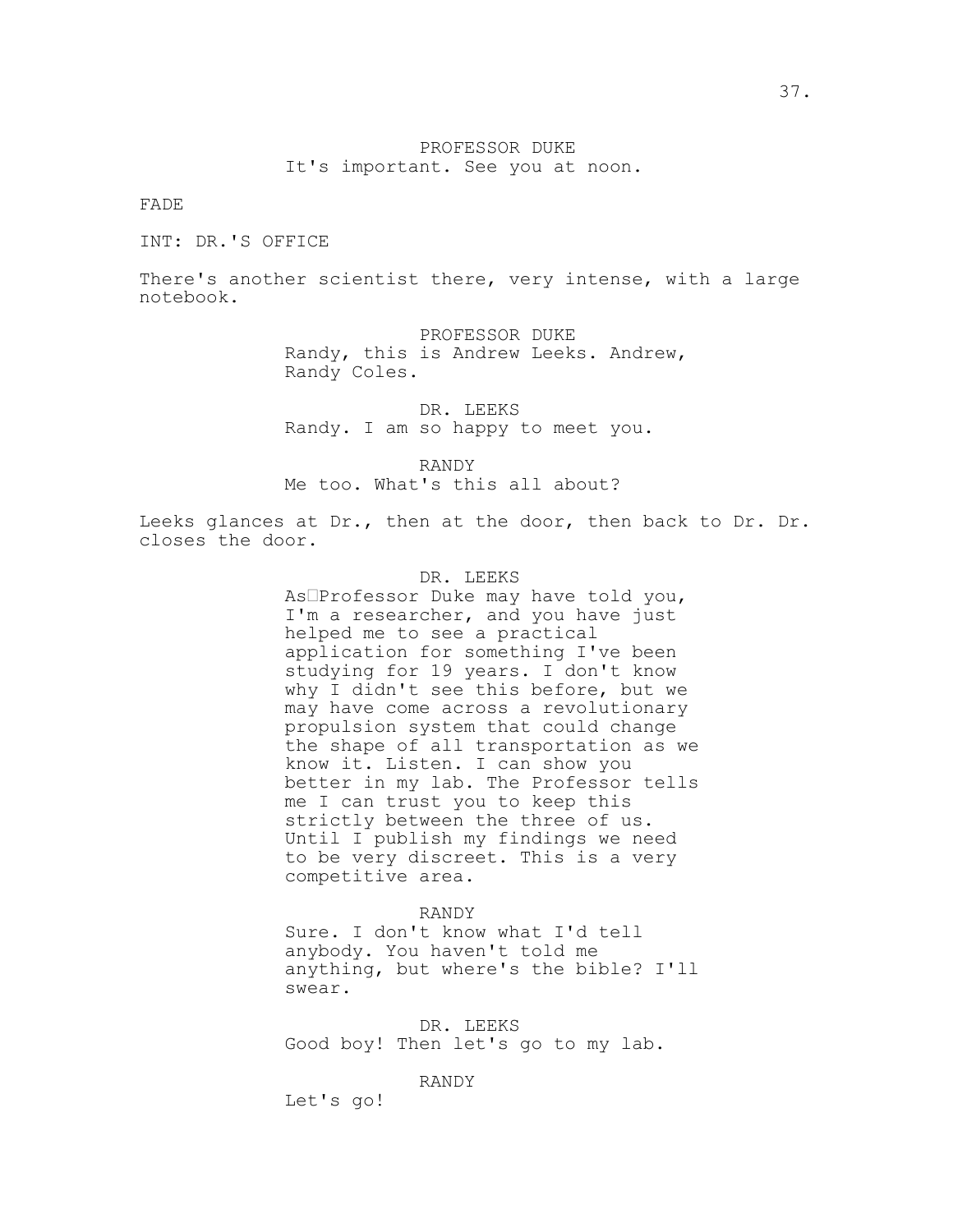## PROFESSOR DUKE It's important. See you at noon.

FADE

INT: DR.'S OFFICE

There's another scientist there, very intense, with a large notebook.

> PROFESSOR DUKE Randy, this is Andrew Leeks. Andrew, Randy Coles.

DR. LEEKS Randy. I am so happy to meet you.

RANDY Me too. What's this all about?

Leeks glances at Dr., then at the door, then back to Dr. Dr. closes the door.

### DR. LEEKS

As<sup>D</sup>Professor Duke may have told you, I'm a researcher, and you have just helped me to see a practical application for something I've been studying for 19 years. I don't know why I didn't see this before, but we may have come across a revolutionary propulsion system that could change the shape of all transportation as we know it. Listen. I can show you better in my lab. The Professor tells me I can trust you to keep this strictly between the three of us. Until I publish my findings we need to be very discreet. This is a very competitive area.

### RANDY

Sure. I don't know what I'd tell anybody. You haven't told me anything, but where's the bible? I'll swear.

DR. LEEKS Good boy! Then let's go to my lab.

## RANDY

Let's go!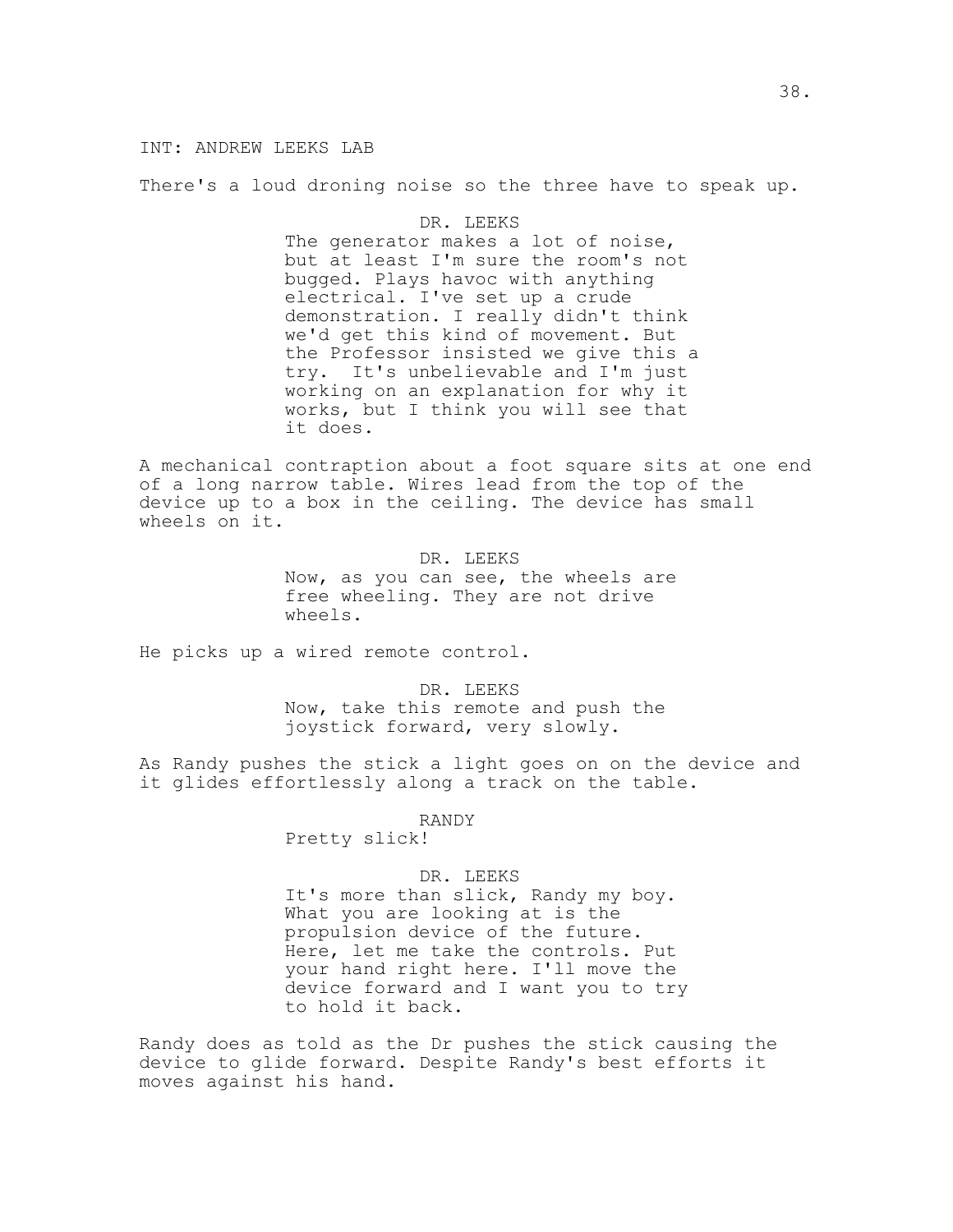## INT: ANDREW LEEKS LAB

There's a loud droning noise so the three have to speak up.

### DR. LEEKS

The generator makes a lot of noise, but at least I'm sure the room's not bugged. Plays havoc with anything electrical. I've set up a crude demonstration. I really didn't think we'd get this kind of movement. But the Professor insisted we give this a try. It's unbelievable and I'm just working on an explanation for why it works, but I think you will see that it does.

A mechanical contraption about a foot square sits at one end of a long narrow table. Wires lead from the top of the device up to a box in the ceiling. The device has small wheels on it.

> DR. LEEKS Now, as you can see, the wheels are free wheeling. They are not drive wheels.

He picks up a wired remote control.

DR. LEEKS Now, take this remote and push the joystick forward, very slowly.

As Randy pushes the stick a light goes on on the device and it glides effortlessly along a track on the table.

#### RANDY

Pretty slick!

#### DR. LEEKS

It's more than slick, Randy my boy. What you are looking at is the propulsion device of the future. Here, let me take the controls. Put your hand right here. I'll move the device forward and I want you to try to hold it back.

Randy does as told as the Dr pushes the stick causing the device to glide forward. Despite Randy's best efforts it moves against his hand.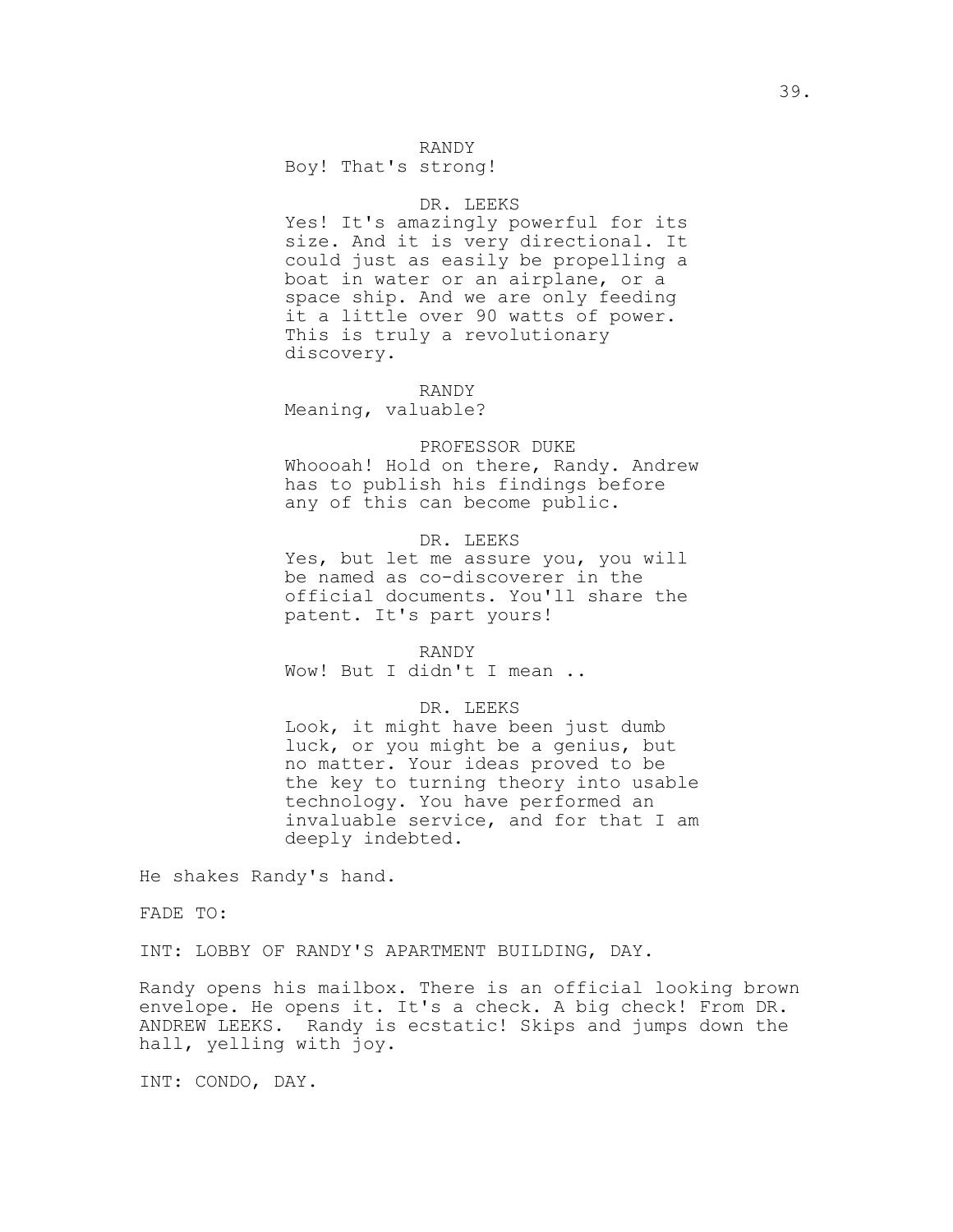### RANDY

Boy! That's strong!

## DR. LEEKS

Yes! It's amazingly powerful for its size. And it is very directional. It could just as easily be propelling a boat in water or an airplane, or a space ship. And we are only feeding it a little over 90 watts of power. This is truly a revolutionary discovery.

#### RANDY

Meaning, valuable?

#### PROFESSOR DUKE

Whoooah! Hold on there, Randy. Andrew has to publish his findings before any of this can become public.

### DR. LEEKS

Yes, but let me assure you, you will be named as co-discoverer in the official documents. You'll share the patent. It's part yours!

### RANDY Wow! But I didn't I mean ..

#### DR. LEEKS

Look, it might have been just dumb luck, or you might be a genius, but no matter. Your ideas proved to be the key to turning theory into usable technology. You have performed an invaluable service, and for that I am deeply indebted.

He shakes Randy's hand.

FADE TO:

INT: LOBBY OF RANDY'S APARTMENT BUILDING, DAY.

Randy opens his mailbox. There is an official looking brown envelope. He opens it. It's a check. A big check! From DR. ANDREW LEEKS. Randy is ecstatic! Skips and jumps down the hall, yelling with joy.

INT: CONDO, DAY.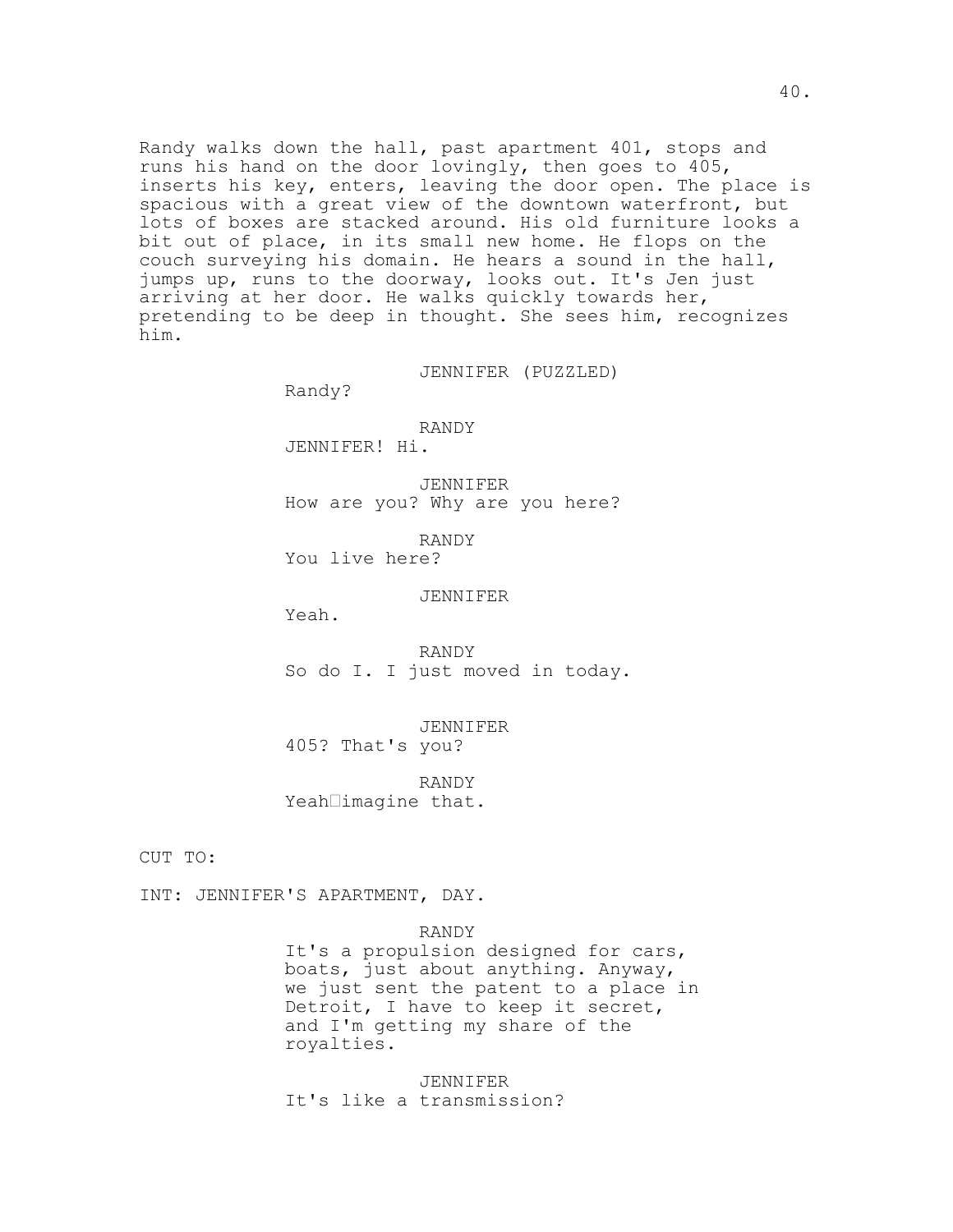Randy walks down the hall, past apartment 401, stops and runs his hand on the door lovingly, then goes to 405, inserts his key, enters, leaving the door open. The place is spacious with a great view of the downtown waterfront, but lots of boxes are stacked around. His old furniture looks a bit out of place, in its small new home. He flops on the couch surveying his domain. He hears a sound in the hall, jumps up, runs to the doorway, looks out. It's Jen just arriving at her door. He walks quickly towards her, pretending to be deep in thought. She sees him, recognizes him.

JENNIFER (PUZZLED)

Randy?

RANDY JENNIFER! Hi.

JENNIFER How are you? Why are you here?

RANDY You live here?

JENNIFER

Yeah.

RANDY So do I. I just moved in today.

JENNIFER 405? That's you?

RANDY Yeah $\Box$ imagine that.

CUT TO:

INT: JENNIFER'S APARTMENT, DAY.

RANDY

It's a propulsion designed for cars, boats, just about anything. Anyway, we just sent the patent to a place in Detroit, I have to keep it secret, and I'm getting my share of the royalties.

JENNIFER It's like a transmission?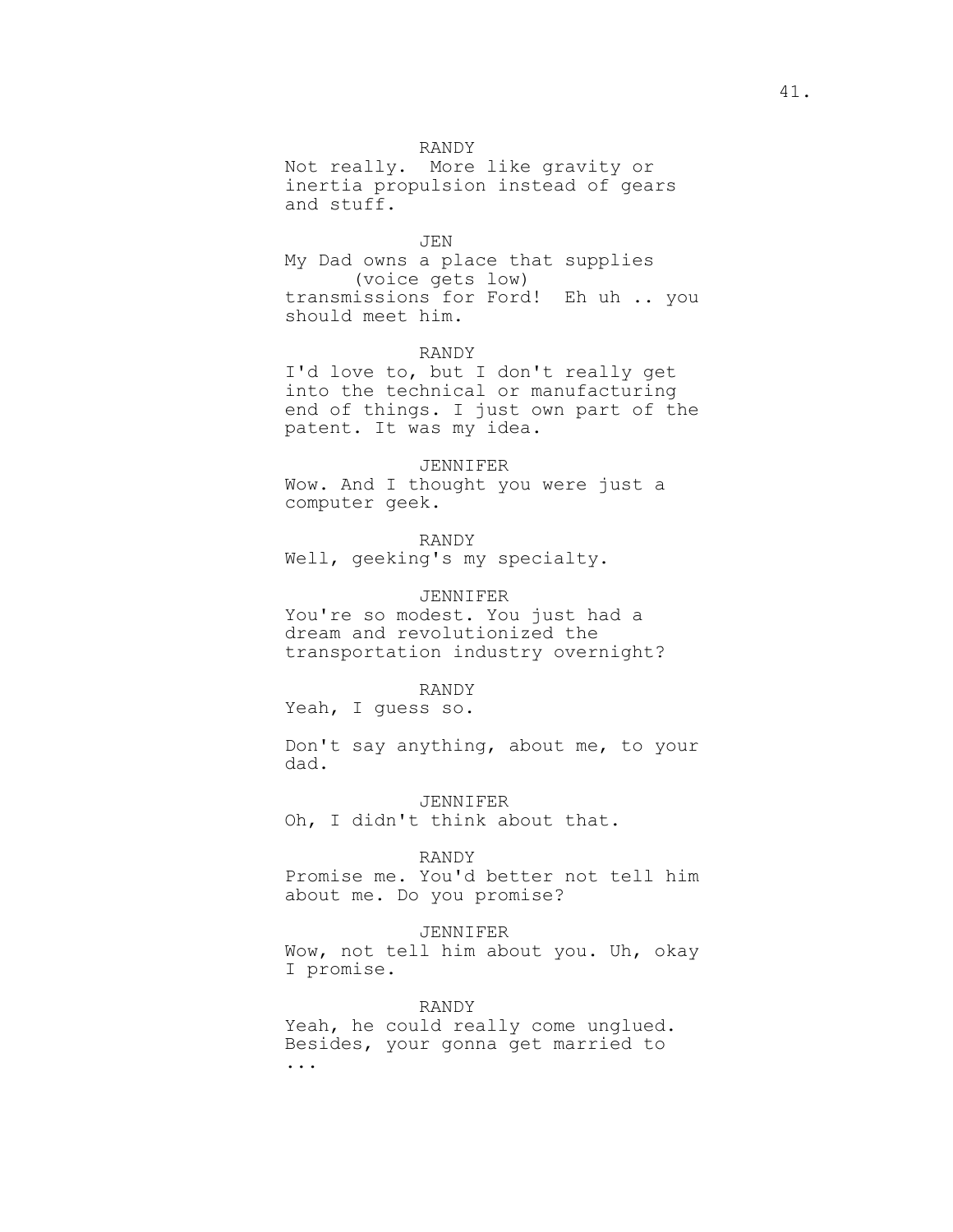## RANDY

Not really. More like gravity or inertia propulsion instead of gears and stuff.

#### JEN

My Dad owns a place that supplies (voice gets low) transmissions for Ford! Eh uh .. you should meet him.

#### RANDY

I'd love to, but I don't really get into the technical or manufacturing end of things. I just own part of the patent. It was my idea.

#### JENNIFER

Wow. And I thought you were just a computer geek.

## RANDY Well, geeking's my specialty.

JENNIFER

You're so modest. You just had a dream and revolutionized the transportation industry overnight?

#### RANDY

Yeah, I guess so.

Don't say anything, about me, to your dad.

JENNIFER Oh, I didn't think about that.

#### RANDY

Promise me. You'd better not tell him about me. Do you promise?

### JENNIFER

Wow, not tell him about you. Uh, okay I promise.

RANDY

Yeah, he could really come unglued. Besides, your gonna get married to ...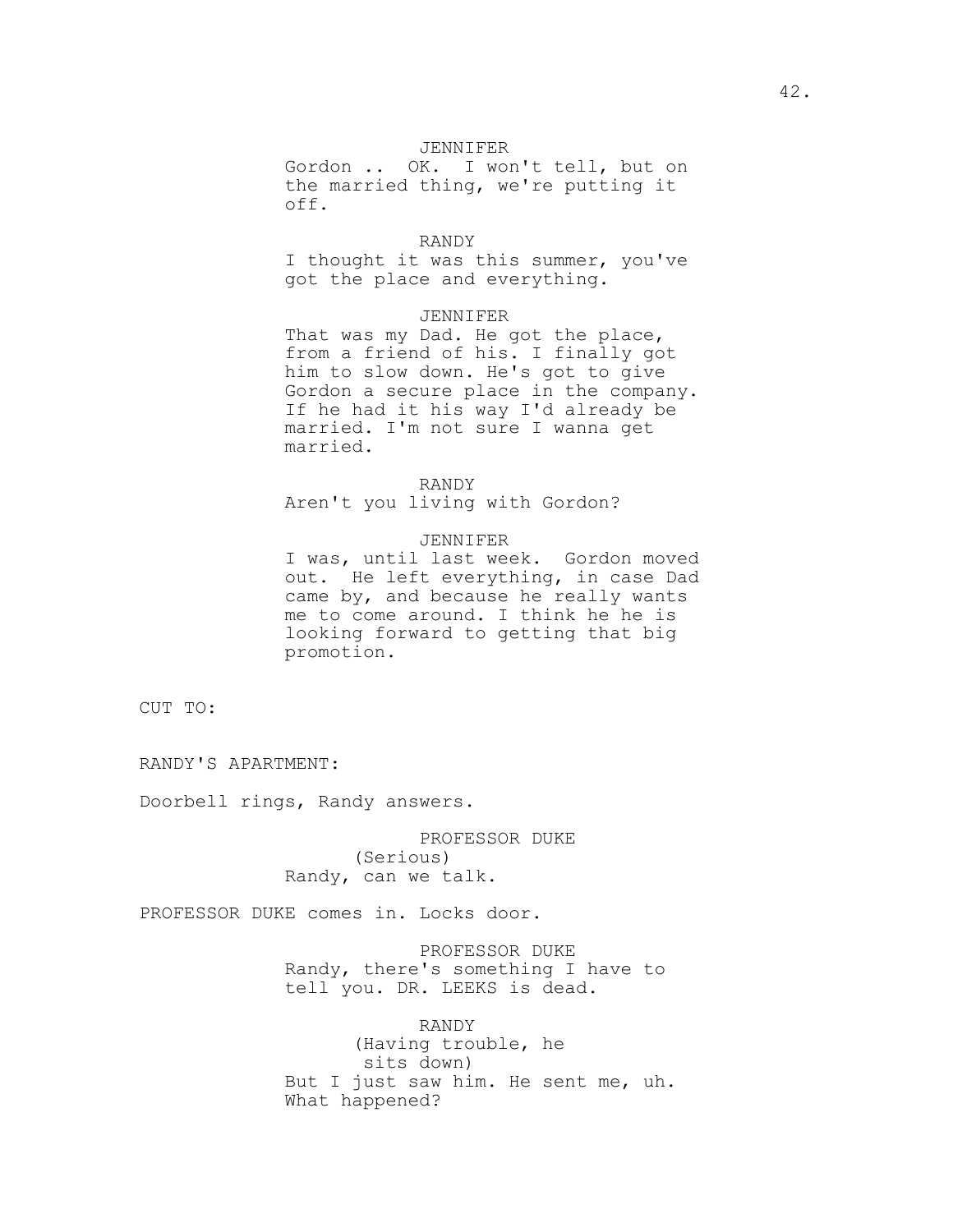## JENNIFER

Gordon .. OK. I won't tell, but on the married thing, we're putting it off.

### RANDY

I thought it was this summer, you've got the place and everything.

## JENNIFER

That was my Dad. He got the place, from a friend of his. I finally got him to slow down. He's got to give Gordon a secure place in the company. If he had it his way I'd already be married. I'm not sure I wanna get married.

#### RANDY

Aren't you living with Gordon?

### JENNIFER

I was, until last week. Gordon moved out. He left everything, in case Dad came by, and because he really wants me to come around. I think he he is looking forward to getting that big promotion.

CUT TO:

RANDY'S APARTMENT:

Doorbell rings, Randy answers.

PROFESSOR DUKE (Serious) Randy, can we talk.

PROFESSOR DUKE comes in. Locks door.

PROFESSOR DUKE Randy, there's something I have to tell you. DR. LEEKS is dead.

RANDY (Having trouble, he sits down) But I just saw him. He sent me, uh. What happened?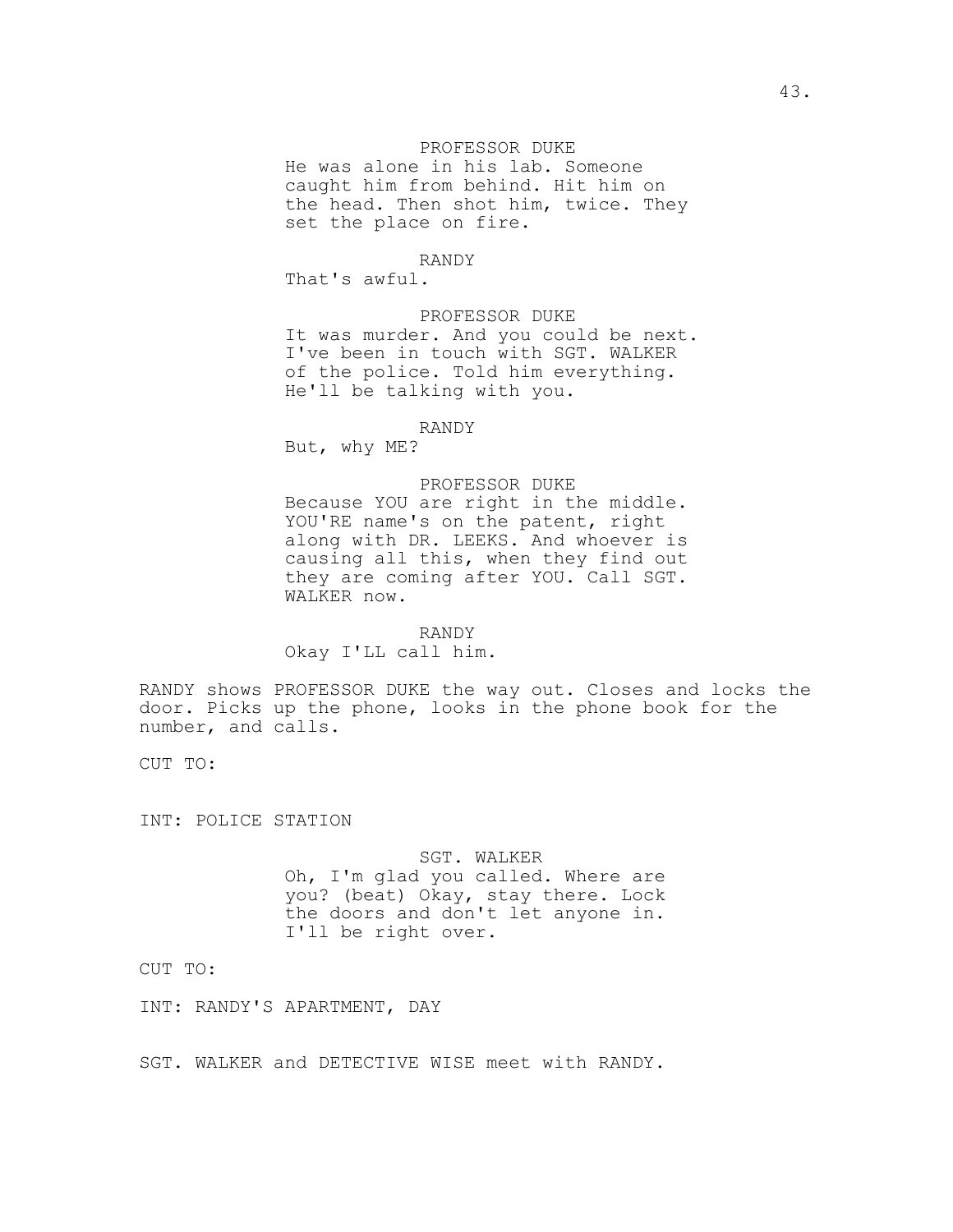### PROFESSOR DUKE

He was alone in his lab. Someone caught him from behind. Hit him on the head. Then shot him, twice. They set the place on fire.

## RANDY

That's awful.

PROFESSOR DUKE It was murder. And you could be next. I've been in touch with SGT. WALKER of the police. Told him everything. He'll be talking with you.

### RANDY

But, why ME?

#### PROFESSOR DUKE

Because YOU are right in the middle. YOU'RE name's on the patent, right along with DR. LEEKS. And whoever is causing all this, when they find out they are coming after YOU. Call SGT. WALKER now.

### RANDY

Okay I'LL call him.

RANDY shows PROFESSOR DUKE the way out. Closes and locks the door. Picks up the phone, looks in the phone book for the number, and calls.

CUT TO:

INT: POLICE STATION

#### SGT. WALKER

Oh, I'm glad you called. Where are you? (beat) Okay, stay there. Lock the doors and don't let anyone in. I'll be right over.

CUT TO:

INT: RANDY'S APARTMENT, DAY

SGT. WALKER and DETECTIVE WISE meet with RANDY.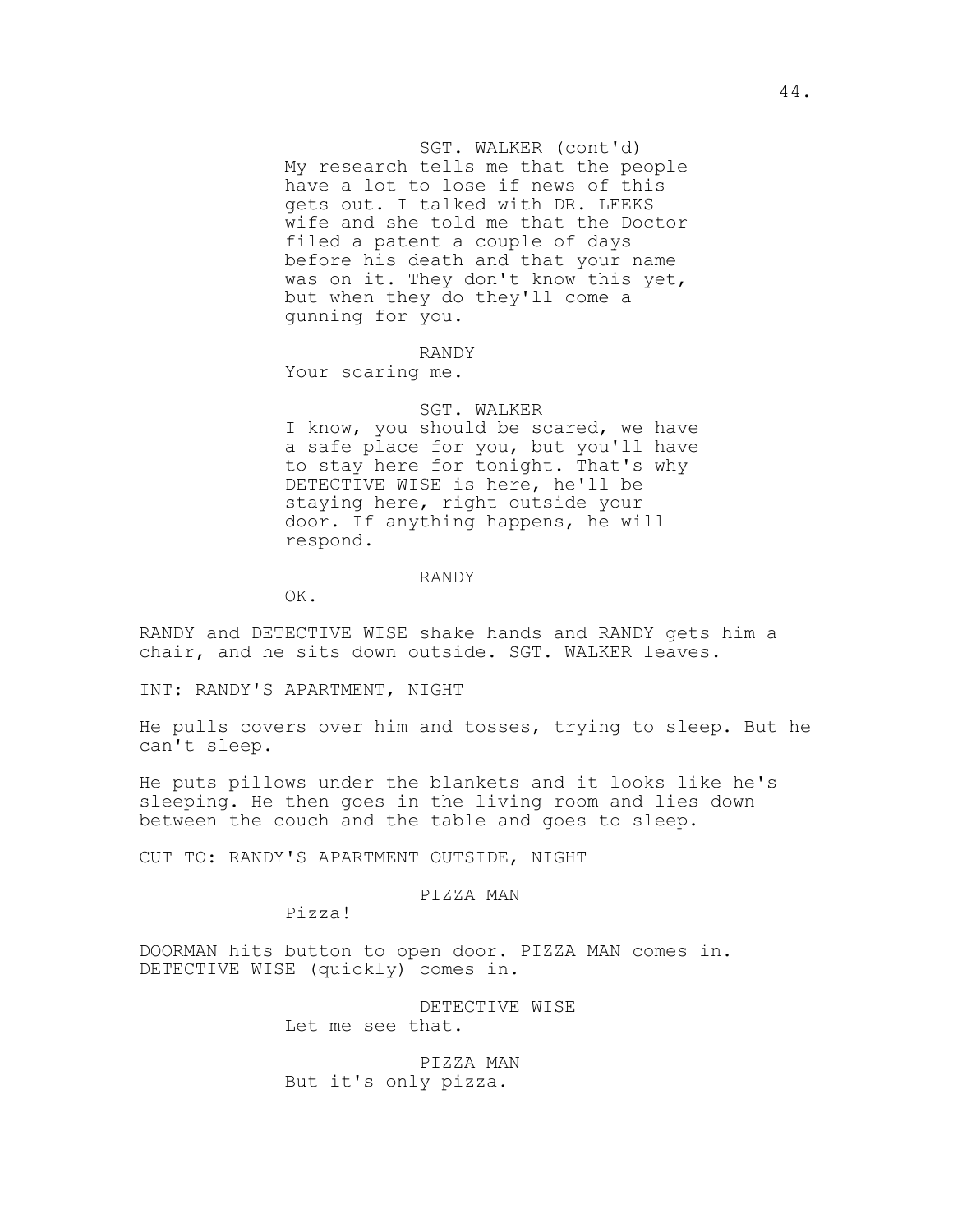SGT. WALKER (cont'd) My research tells me that the people have a lot to lose if news of this gets out. I talked with DR. LEEKS wife and she told me that the Doctor filed a patent a couple of days before his death and that your name was on it. They don't know this yet, but when they do they'll come a gunning for you.

#### RANDY

Your scaring me.

## SGT. WALKER

I know, you should be scared, we have a safe place for you, but you'll have to stay here for tonight. That's why DETECTIVE WISE is here, he'll be staying here, right outside your door. If anything happens, he will respond.

#### RANDY

OK.

RANDY and DETECTIVE WISE shake hands and RANDY gets him a chair, and he sits down outside. SGT. WALKER leaves.

INT: RANDY'S APARTMENT, NIGHT

He pulls covers over him and tosses, trying to sleep. But he can't sleep.

He puts pillows under the blankets and it looks like he's sleeping. He then goes in the living room and lies down between the couch and the table and goes to sleep.

CUT TO: RANDY'S APARTMENT OUTSIDE, NIGHT

## PIZZA MAN

Pizza!

DOORMAN hits button to open door. PIZZA MAN comes in. DETECTIVE WISE (quickly) comes in.

> DETECTIVE WISE Let me see that.

PIZZA MAN But it's only pizza.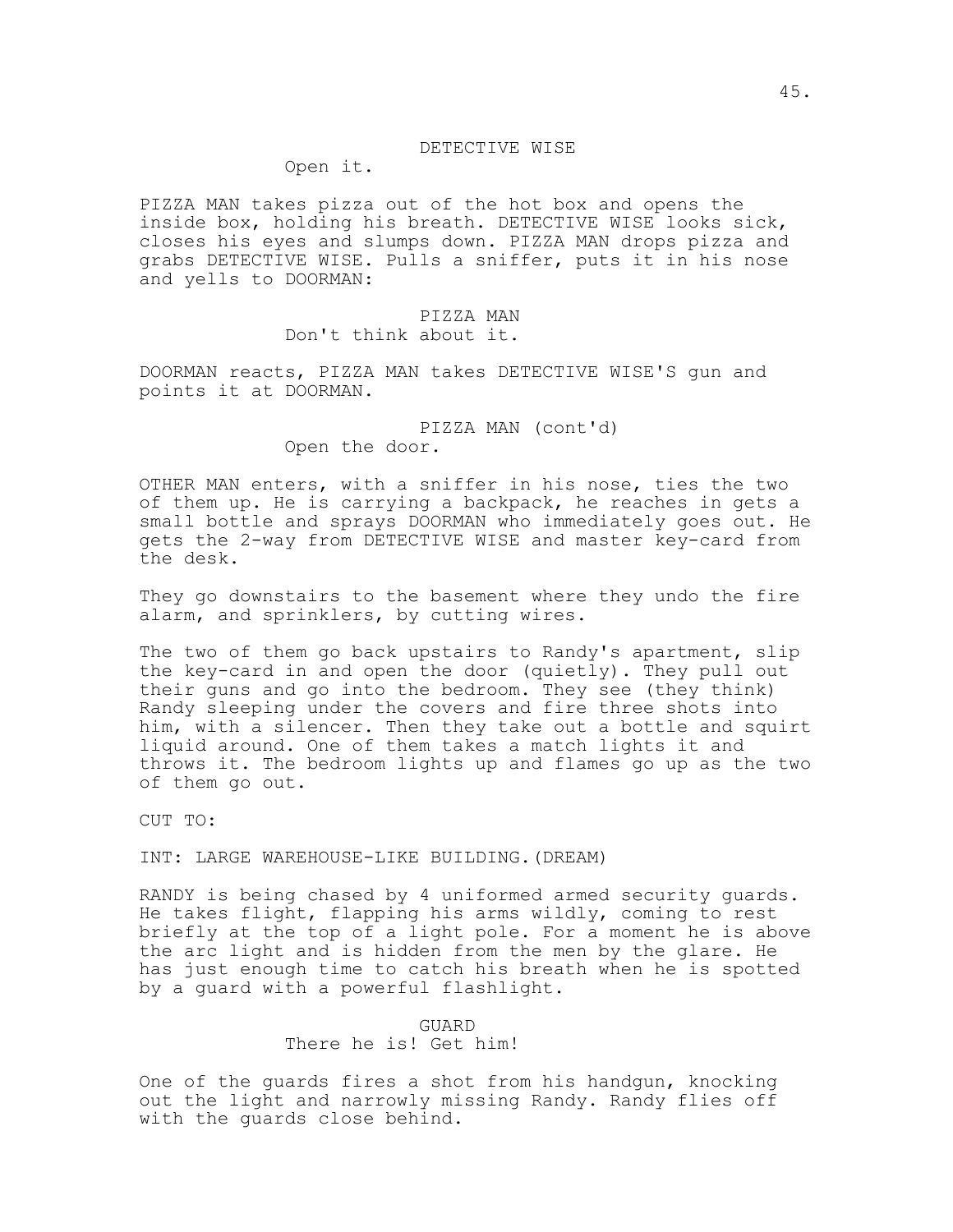#### DETECTIVE WISE

Open it.

PIZZA MAN takes pizza out of the hot box and opens the inside box, holding his breath. DETECTIVE WISE looks sick, closes his eyes and slumps down. PIZZA MAN drops pizza and grabs DETECTIVE WISE. Pulls a sniffer, puts it in his nose and yells to DOORMAN:

## PIZZA MAN

Don't think about it.

DOORMAN reacts, PIZZA MAN takes DETECTIVE WISE'S gun and points it at DOORMAN.

> PIZZA MAN (cont'd) Open the door.

OTHER MAN enters, with a sniffer in his nose, ties the two of them up. He is carrying a backpack, he reaches in gets a small bottle and sprays DOORMAN who immediately goes out. He gets the 2-way from DETECTIVE WISE and master key-card from the desk.

They go downstairs to the basement where they undo the fire alarm, and sprinklers, by cutting wires.

The two of them go back upstairs to Randy's apartment, slip the key-card in and open the door (quietly). They pull out their guns and go into the bedroom. They see (they think) Randy sleeping under the covers and fire three shots into him, with a silencer. Then they take out a bottle and squirt liquid around. One of them takes a match lights it and throws it. The bedroom lights up and flames go up as the two of them go out.

CUT TO:

INT: LARGE WAREHOUSE-LIKE BUILDING.(DREAM)

RANDY is being chased by 4 uniformed armed security guards. He takes flight, flapping his arms wildly, coming to rest briefly at the top of a light pole. For a moment he is above the arc light and is hidden from the men by the glare. He has just enough time to catch his breath when he is spotted by a guard with a powerful flashlight.

> GUARD There he is! Get him!

One of the guards fires a shot from his handgun, knocking out the light and narrowly missing Randy. Randy flies off with the guards close behind.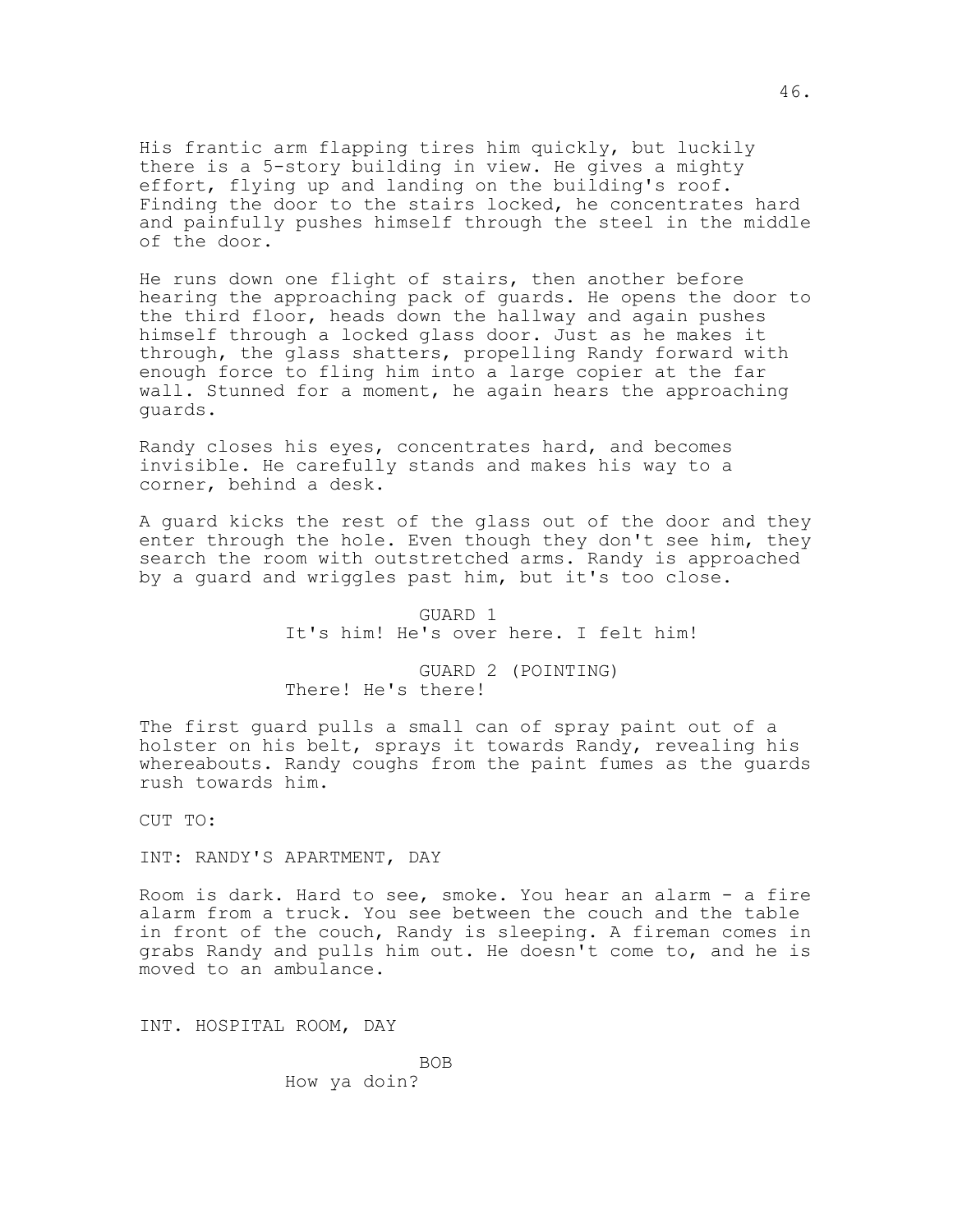His frantic arm flapping tires him quickly, but luckily there is a 5-story building in view. He gives a mighty effort, flying up and landing on the building's roof. Finding the door to the stairs locked, he concentrates hard and painfully pushes himself through the steel in the middle of the door.

He runs down one flight of stairs, then another before hearing the approaching pack of guards. He opens the door to the third floor, heads down the hallway and again pushes himself through a locked glass door. Just as he makes it through, the glass shatters, propelling Randy forward with enough force to fling him into a large copier at the far wall. Stunned for a moment, he again hears the approaching guards.

Randy closes his eyes, concentrates hard, and becomes invisible. He carefully stands and makes his way to a corner, behind a desk.

A guard kicks the rest of the glass out of the door and they enter through the hole. Even though they don't see him, they search the room with outstretched arms. Randy is approached by a guard and wriggles past him, but it's too close.

> GUARD 1 It's him! He's over here. I felt him!

GUARD 2 (POINTING) There! He's there!

The first guard pulls a small can of spray paint out of a holster on his belt, sprays it towards Randy, revealing his whereabouts. Randy coughs from the paint fumes as the guards rush towards him.

CUT TO:

INT: RANDY'S APARTMENT, DAY

Room is dark. Hard to see, smoke. You hear an alarm - a fire alarm from a truck. You see between the couch and the table in front of the couch, Randy is sleeping. A fireman comes in grabs Randy and pulls him out. He doesn't come to, and he is moved to an ambulance.

INT. HOSPITAL ROOM, DAY

BOB How ya doin?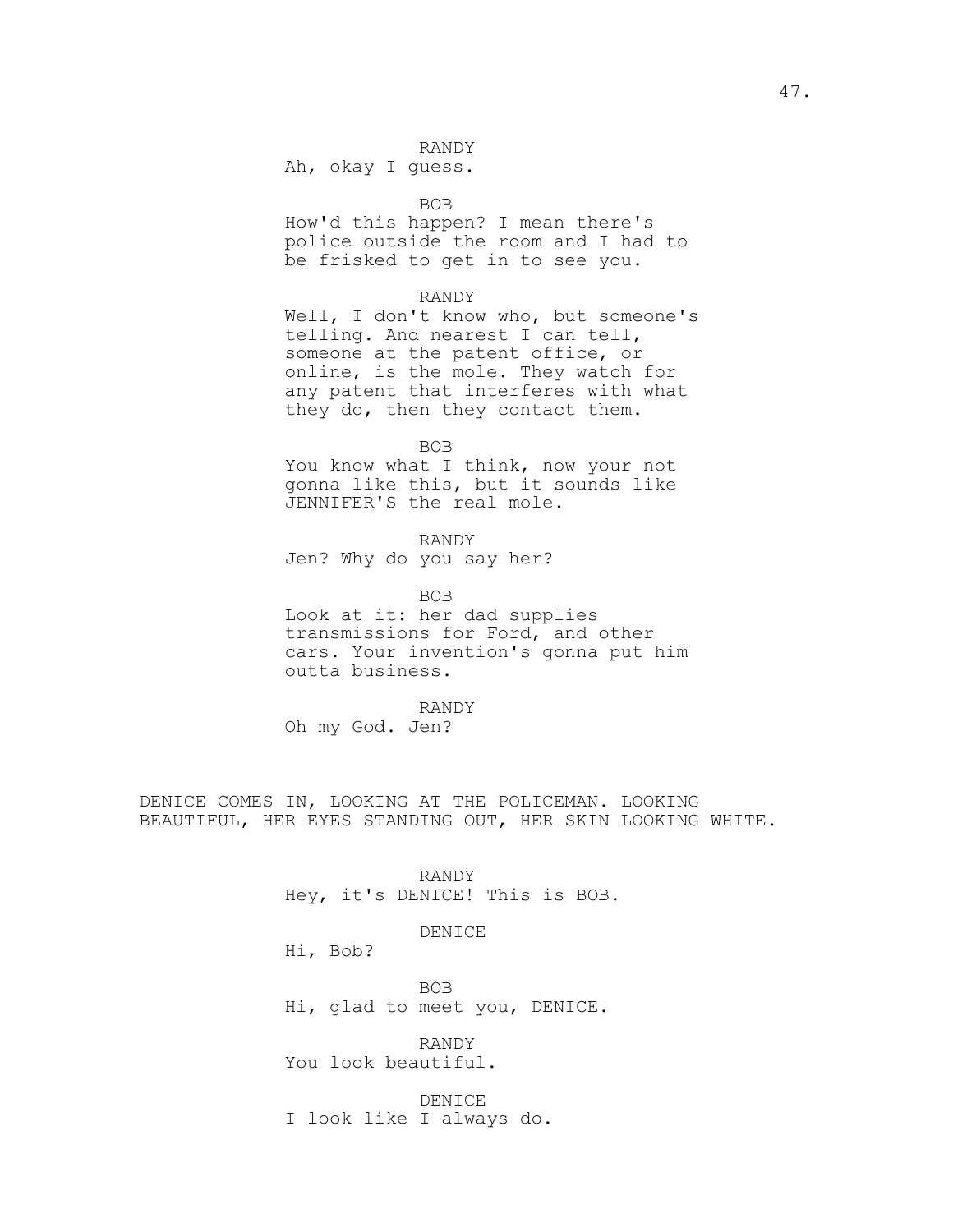Ah, okay I guess.

BOB

How'd this happen? I mean there's police outside the room and I had to be frisked to get in to see you.

### RANDY

Well, I don't know who, but someone's telling. And nearest I can tell, someone at the patent office, or online, is the mole. They watch for any patent that interferes with what they do, then they contact them.

BOB

You know what I think, now your not gonna like this, but it sounds like JENNIFER'S the real mole.

RANDY Jen? Why do you say her?

BOB Look at it: her dad supplies transmissions for Ford, and other cars. Your invention's gonna put him outta business.

RANDY

Oh my God. Jen?

DENICE COMES IN, LOOKING AT THE POLICEMAN. LOOKING BEAUTIFUL, HER EYES STANDING OUT, HER SKIN LOOKING WHITE.

> RANDY Hey, it's DENICE! This is BOB.

> > DENICE

Hi, Bob?

BOB Hi, glad to meet you, DENICE.

RANDY You look beautiful.

DENICE I look like I always do.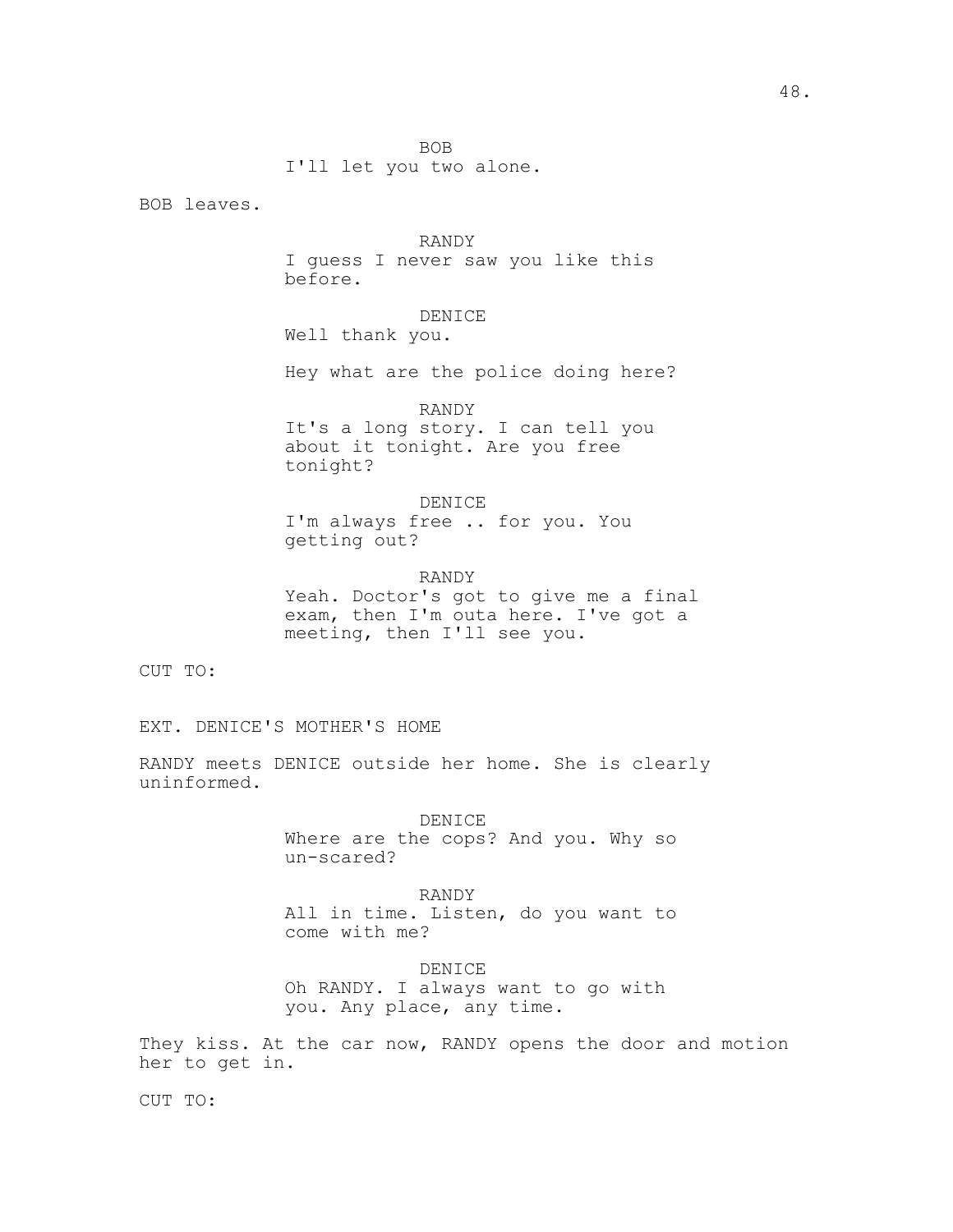I'll let you two alone.

BOB leaves.

#### RANDY

I guess I never saw you like this before.

## DENICE

Well thank you.

Hey what are the police doing here?

### RANDY

It's a long story. I can tell you about it tonight. Are you free tonight?

#### DENICE

I'm always free .. for you. You getting out?

# RANDY

Yeah. Doctor's got to give me a final exam, then I'm outa here. I've got a meeting, then I'll see you.

CUT TO:

EXT. DENICE'S MOTHER'S HOME

RANDY meets DENICE outside her home. She is clearly uninformed.

> DENICE Where are the cops? And you. Why so un-scared?

> RANDY All in time. Listen, do you want to come with me?

DENICE Oh RANDY. I always want to go with you. Any place, any time.

They kiss. At the car now, RANDY opens the door and motion her to get in.

CUT TO: